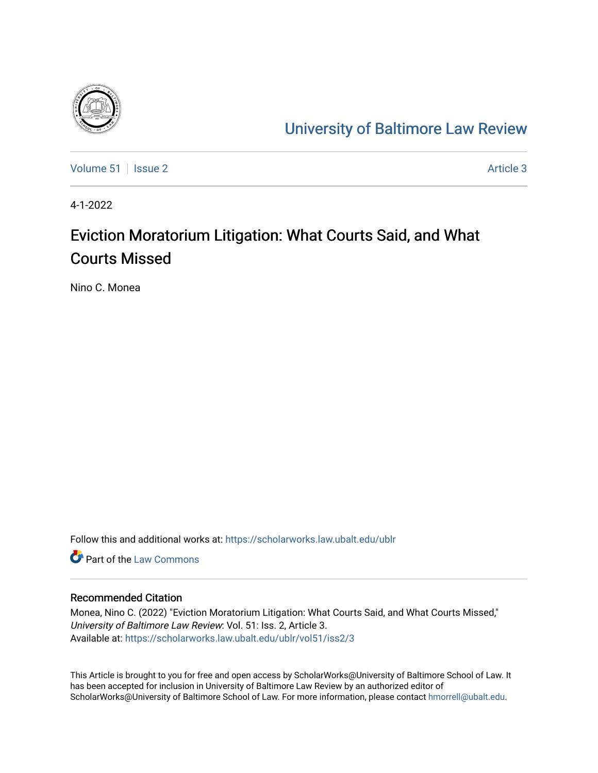

# [University of Baltimore Law Review](https://scholarworks.law.ubalt.edu/ublr)

[Volume 51](https://scholarworks.law.ubalt.edu/ublr/vol51) | [Issue 2](https://scholarworks.law.ubalt.edu/ublr/vol51/iss2) Article 3

4-1-2022

# Eviction Moratorium Litigation: What Courts Said, and What Courts Missed

Nino C. Monea

Follow this and additional works at: [https://scholarworks.law.ubalt.edu/ublr](https://scholarworks.law.ubalt.edu/ublr?utm_source=scholarworks.law.ubalt.edu%2Fublr%2Fvol51%2Fiss2%2F3&utm_medium=PDF&utm_campaign=PDFCoverPages)

**C** Part of the [Law Commons](https://network.bepress.com/hgg/discipline/578?utm_source=scholarworks.law.ubalt.edu%2Fublr%2Fvol51%2Fiss2%2F3&utm_medium=PDF&utm_campaign=PDFCoverPages)

## Recommended Citation

Monea, Nino C. (2022) "Eviction Moratorium Litigation: What Courts Said, and What Courts Missed," University of Baltimore Law Review: Vol. 51: Iss. 2, Article 3. Available at: [https://scholarworks.law.ubalt.edu/ublr/vol51/iss2/3](https://scholarworks.law.ubalt.edu/ublr/vol51/iss2/3?utm_source=scholarworks.law.ubalt.edu%2Fublr%2Fvol51%2Fiss2%2F3&utm_medium=PDF&utm_campaign=PDFCoverPages)

This Article is brought to you for free and open access by ScholarWorks@University of Baltimore School of Law. It has been accepted for inclusion in University of Baltimore Law Review by an authorized editor of ScholarWorks@University of Baltimore School of Law. For more information, please contact [hmorrell@ubalt.edu](mailto:hmorrell@ubalt.edu).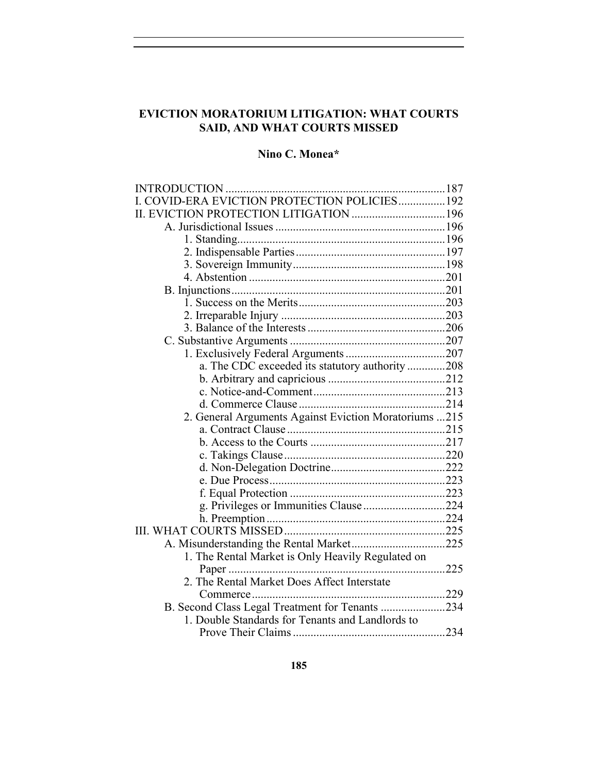## **EVICTION MORATORIUM LITIGATION: WHAT COURTS SAID, AND WHAT COURTS MISSED**

## **Nino C. Monea\***

| I. COVID-ERA EVICTION PROTECTION POLICIES 192         |  |
|-------------------------------------------------------|--|
|                                                       |  |
|                                                       |  |
|                                                       |  |
|                                                       |  |
|                                                       |  |
|                                                       |  |
|                                                       |  |
|                                                       |  |
|                                                       |  |
|                                                       |  |
|                                                       |  |
|                                                       |  |
| a. The CDC exceeded its statutory authority 208       |  |
|                                                       |  |
|                                                       |  |
|                                                       |  |
| 2. General Arguments Against Eviction Moratoriums 215 |  |
|                                                       |  |
|                                                       |  |
|                                                       |  |
|                                                       |  |
|                                                       |  |
|                                                       |  |
| g. Privileges or Immunities Clause224                 |  |
|                                                       |  |
|                                                       |  |
|                                                       |  |
| 1. The Rental Market is Only Heavily Regulated on     |  |
|                                                       |  |
| 2. The Rental Market Does Affect Interstate           |  |
|                                                       |  |
| B. Second Class Legal Treatment for Tenants 234       |  |
| 1. Double Standards for Tenants and Landlords to      |  |
|                                                       |  |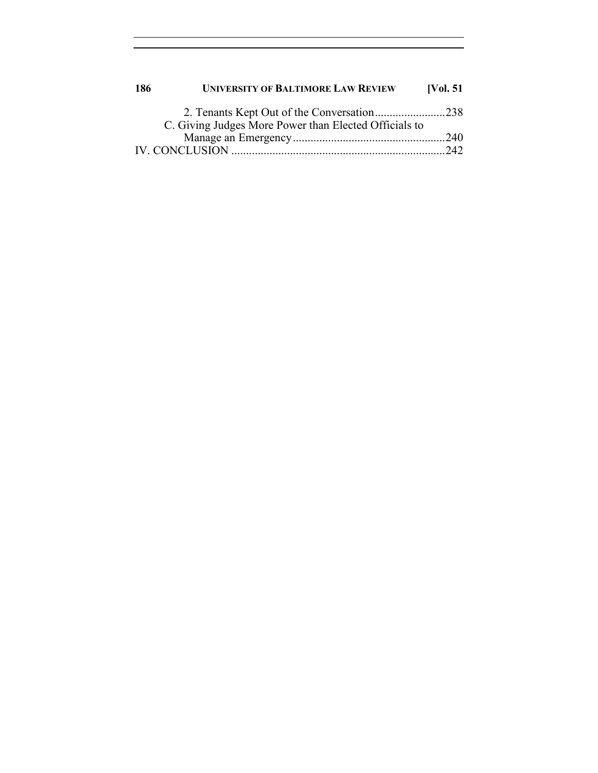| 186 | <b>UNIVERSITY OF BALTIMORE LAW REVIEW</b>             | [Vol. $51$ ] |
|-----|-------------------------------------------------------|--------------|
|     | 2. Tenants Kept Out of the Conversation238            |              |
|     | C. Giving Judges More Power than Elected Officials to |              |
|     |                                                       |              |
|     |                                                       |              |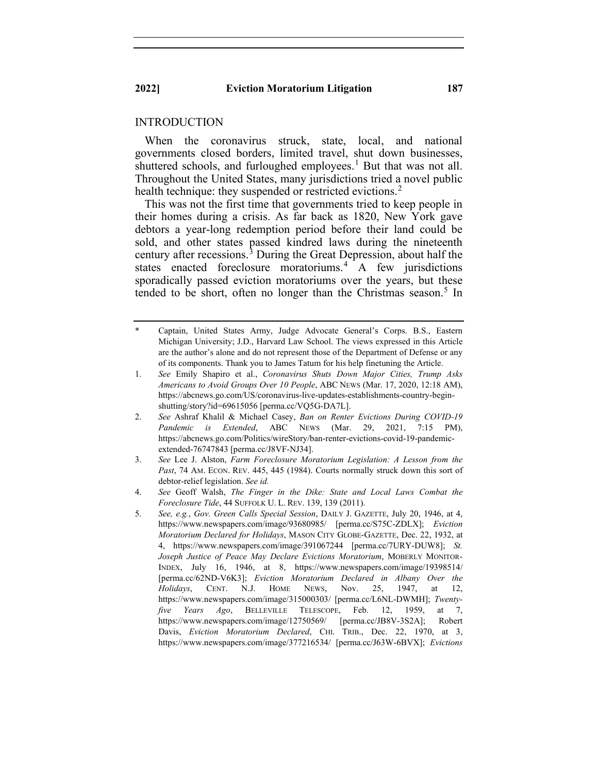#### INTRODUCTION

When the coronavirus struck, state, local, and national governments closed borders, limited travel, shut down businesses, shuttered schools, and furloughed employees.<sup>[1](#page-3-0)</sup> But that was not all. Throughout the United States, many jurisdictions tried a novel public health technique: they suspended or restricted evictions.<sup>[2](#page-3-1)</sup>

This was not the first time that governments tried to keep people in their homes during a crisis. As far back as 1820, New York gave debtors a year-long redemption period before their land could be sold, and other states passed kindred laws during the nineteenth century after recessions. [3](#page-3-2) During the Great Depression, about half the states enacted foreclosure moratoriums.<sup>[4](#page-3-3)</sup> A few jurisdictions sporadically passed eviction moratoriums over the years, but these tended to be short, often no longer than the Christmas season.<sup>[5](#page-3-4)</sup> In

- <span id="page-3-0"></span>Captain, United States Army, Judge Advocate General's Corps. B.S., Eastern Michigan University; J.D., Harvard Law School. The views expressed in this Article are the author's alone and do not represent those of the Department of Defense or any of its components. Thank you to James Tatum for his help finetuning the Article.
- 1. *See* Emily Shapiro et al., *Coronavirus Shuts Down Major Cities, Trump Asks Americans to Avoid Groups Over 10 People*, ABC NEWS (Mar. 17, 2020, 12:18 AM), https://abcnews.go.com/US/coronavirus-live-updates-establishments-country-beginshutting/story?id=69615056 [perma.cc/VQ5G-DA7L].
- <span id="page-3-1"></span>2. *See* Ashraf Khalil & Michael Casey, *Ban on Renter Evictions During COVID-19 Pandemic is Extended*, ABC NEWS (Mar. 29, 2021, 7:15 PM), https://abcnews.go.com/Politics/wireStory/ban-renter-evictions-covid-19-pandemicextended-76747843 [perma.cc/J8VF-NJ34].
- <span id="page-3-2"></span>3. *See* Lee J. Alston, *Farm Foreclosure Moratorium Legislation: A Lesson from the*  Past, 74 AM. ECON. REV. 445, 445 (1984). Courts normally struck down this sort of debtor-relief legislation. *See id.*
- <span id="page-3-3"></span>4. *See* Geoff Walsh, *The Finger in the Dike: State and Local Laws Combat the Foreclosure Tide*, 44 SUFFOLK U. L. REV. 139, 139 (2011).
- <span id="page-3-4"></span>5. *See, e.g.*, *Gov. Green Calls Special Session*, DAILY J. GAZETTE, July 20, 1946, at 4, https://www.newspapers.com/image/93680985/ [perma.cc/S75C-ZDLX]; *Eviction Moratorium Declared for Holidays*, MASON CITY GLOBE-GAZETTE, Dec. 22, 1932, at 4, https://www.newspapers.com/image/391067244 [perma.cc/7URY-DUW8]; *St. Joseph Justice of Peace May Declare Evictions Moratorium*, MOBERLY MONITOR-INDEX, July 16, 1946, at 8, https://www.newspapers.com/image/19398514/ [perma.cc/62ND-V6K3]; *Eviction Moratorium Declared in Albany Over the Holidays*, CENT. N.J. HOME NEWS, Nov. 25, 1947, at 12, https://www.newspapers.com/image/315000303/ [perma.cc/L6NL-DWMH]; *Twentyfive Years Ago*, BELLEVILLE TELESCOPE, Feb. 12, 1959, at 7, https://www.newspapers.com/image/12750569/ [perma.cc/JB8V-3S2A]; Robert Davis, *Eviction Moratorium Declared*, CHI. TRIB., Dec. 22, 1970, at 3, https://www.newspapers.com/image/377216534/ [perma.cc/J63W-6BVX]; *Evictions*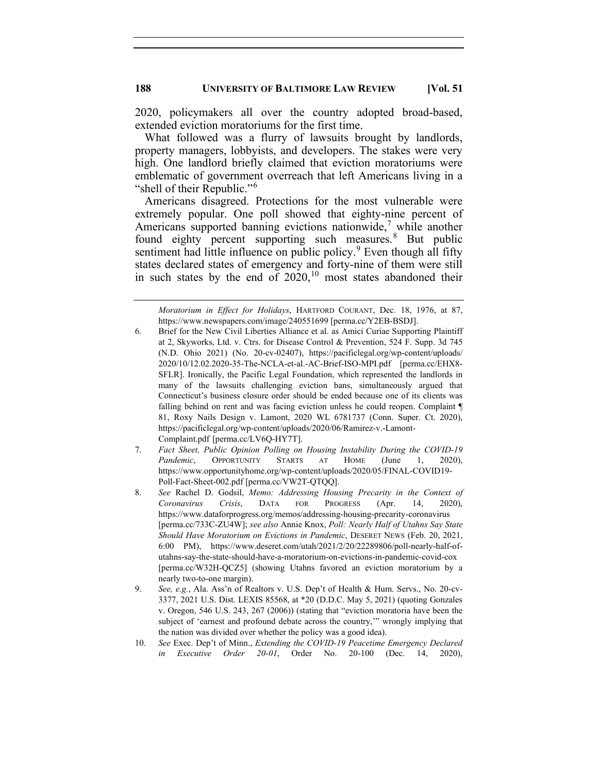2020, policymakers all over the country adopted broad-based, extended eviction moratoriums for the first time.

What followed was a flurry of lawsuits brought by landlords, property managers, lobbyists, and developers. The stakes were very high. One landlord briefly claimed that eviction moratoriums were emblematic of government overreach that left Americans living in a "shell of their Republic."[6](#page-4-0)

Americans disagreed. Protections for the most vulnerable were extremely popular. One poll showed that eighty-nine percent of Americans supported banning evictions nationwide, [7](#page-4-1) while another found eighty percent supporting such measures. [8](#page-4-2) But public sentiment had little influence on public policy. $9$  Even though all fifty states declared states of emergency and forty-nine of them were still in such states by the end of  $2020$ ,<sup>[10](#page-4-4)</sup> most states abandoned their

<span id="page-4-1"></span>7. *Fact Sheet, Public Opinion Polling on Housing Instability During the COVID-19* Pandemic, OPPORTUNITY STARTS AT HOME (June 1, 2020), https://www.opportunityhome.org/wp-content/uploads/2020/05/FINAL-COVID19- Poll-Fact-Sheet-002.pdf [perma.cc/VW2T-QTQQ].

- <span id="page-4-3"></span>9. *See, e.g.*, Ala. Ass'n of Realtors v. U.S. Dep't of Health & Hum. Servs., No. 20-cv-3377, 2021 U.S. Dist. LEXIS 85568, at \*20 (D.D.C. May 5, 2021) (quoting Gonzales v. Oregon, 546 U.S. 243, 267 (2006)) (stating that "eviction moratoria have been the subject of 'earnest and profound debate across the country,'" wrongly implying that the nation was divided over whether the policy was a good idea).
- <span id="page-4-4"></span>10. *See* Exec. Dep't of Minn., *Extending the COVID-19 Peacetime Emergency Declared in Executive Order 20-01*, Order No. 20-100 (Dec. 14, 2020),

*Moratorium in Effect for Holidays*, HARTFORD COURANT, Dec. 18, 1976, at 87, https://www.newspapers.com/image/240551699 [perma.cc/Y2EB-BSDJ].

<span id="page-4-0"></span><sup>6.</sup> Brief for the New Civil Liberties Alliance et al. as Amici Curiae Supporting Plaintiff at 2, Skyworks, Ltd. v. Ctrs. for Disease Control & Prevention, 524 F. Supp. 3d 745 (N.D. Ohio 2021) (No. 20-cv-02407), https://pacificlegal.org/wp-content/uploads/ 2020/10/12.02.2020-35-The-NCLA-et-al.-AC-Brief-ISO-MPI.pdf [perma.cc/EHX8- SFLR]. Ironically, the Pacific Legal Foundation, which represented the landlords in many of the lawsuits challenging eviction bans, simultaneously argued that Connecticut's business closure order should be ended because one of its clients was falling behind on rent and was facing eviction unless he could reopen. Complaint ¶ 81, Roxy Nails Design v. Lamont, 2020 WL 6781737 (Conn. Super. Ct. 2020), https://pacificlegal.org/wp-content/uploads/2020/06/Ramirez-v.-Lamont-Complaint.pdf [perma.cc/LV6Q-HY7T].

<span id="page-4-2"></span><sup>8.</sup> *See* Rachel D. Godsil, *Memo: Addressing Housing Precarity in the Context of Coronavirus Crisis*, DATA FOR PROGRESS (Apr. 14, 2020), https://www.dataforprogress.org/memos/addressing-housing-precarity-coronavirus [perma.cc/733C-ZU4W]; *see also* Annie Knox, *Poll: Nearly Half of Utahns Say State Should Have Moratorium on Evictions in Pandemic*, DESERET NEWS (Feb. 20, 2021, 6:00 PM), https://www.deseret.com/utah/2021/2/20/22289806/poll-nearly-half-ofutahns-say-the-state-should-have-a-moratorium-on-evictions-in-pandemic-covid-cox [perma.cc/W32H-QCZ5] (showing Utahns favored an eviction moratorium by a nearly two-to-one margin).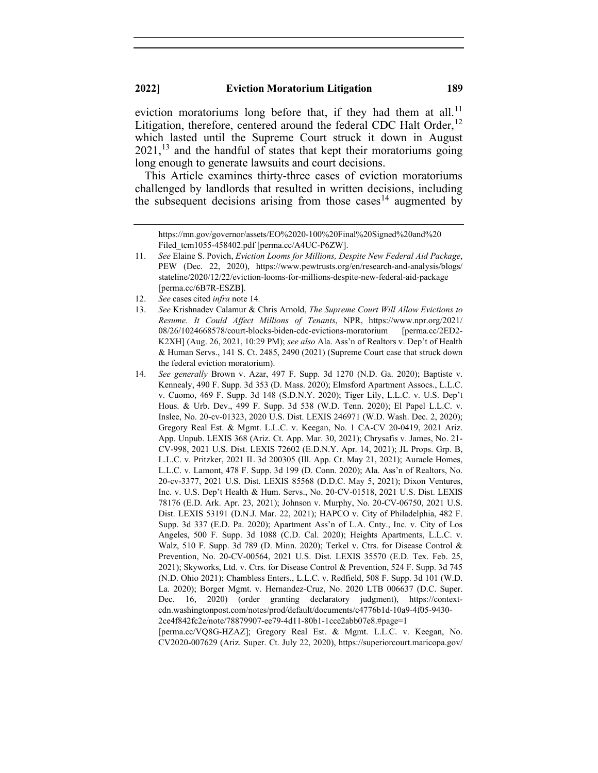eviction moratoriums long before that, if they had them at all.<sup>[11](#page-5-0)</sup> Litigation, therefore, centered around the federal CDC Halt Order,<sup>[12](#page-5-1)</sup> which lasted until the Supreme Court struck it down in August  $2021$ ,<sup>[13](#page-5-2)</sup> and the handful of states that kept their moratoriums going long enough to generate lawsuits and court decisions.

This Article examines thirty-three cases of eviction moratoriums challenged by landlords that resulted in written decisions, including the subsequent decisions arising from those cases<sup>[14](#page-5-3)</sup> augmented by

12. *See* cases cited *infra* note 14*.*

<span id="page-5-3"></span>14. *See generally* Brown v. Azar, 497 F. Supp. 3d 1270 (N.D. Ga. 2020); Baptiste v. Kennealy, 490 F. Supp. 3d 353 (D. Mass. 2020); Elmsford Apartment Assocs., L.L.C. v. Cuomo, 469 F. Supp. 3d 148 (S.D.N.Y. 2020); Tiger Lily, L.L.C. v. U.S. Dep't Hous. & Urb. Dev., 499 F. Supp. 3d 538 (W.D. Tenn. 2020); El Papel L.L.C. v. Inslee, No. 20-cv-01323, 2020 U.S. Dist. LEXIS 246971 (W.D. Wash. Dec. 2, 2020); Gregory Real Est. & Mgmt. L.L.C. v. Keegan, No. 1 CA-CV 20-0419, 2021 Ariz. App. Unpub. LEXIS 368 (Ariz. Ct. App. Mar. 30, 2021); Chrysafis v. James, No. 21- CV-998, 2021 U.S. Dist. LEXIS 72602 (E.D.N.Y. Apr. 14, 2021); JL Props. Grp. B, L.L.C. v. Pritzker, 2021 IL 3d 200305 (Ill. App. Ct. May 21, 2021); Auracle Homes, L.L.C. v. Lamont, 478 F. Supp. 3d 199 (D. Conn. 2020); Ala. Ass'n of Realtors, No. 20-cv-3377, 2021 U.S. Dist. LEXIS 85568 (D.D.C. May 5, 2021); Dixon Ventures, Inc. v. U.S. Dep't Health & Hum. Servs., No. 20-CV-01518, 2021 U.S. Dist. LEXIS 78176 (E.D. Ark. Apr. 23, 2021); Johnson v. Murphy, No. 20-CV-06750, 2021 U.S. Dist. LEXIS 53191 (D.N.J. Mar. 22, 2021); HAPCO v. City of Philadelphia, 482 F. Supp. 3d 337 (E.D. Pa. 2020); Apartment Ass'n of L.A. Cnty., Inc. v. City of Los Angeles, 500 F. Supp. 3d 1088 (C.D. Cal. 2020); Heights Apartments, L.L.C. v. Walz, 510 F. Supp. 3d 789 (D. Minn. 2020); Terkel v. Ctrs. for Disease Control & Prevention, No. 20-CV-00564, 2021 U.S. Dist. LEXIS 35570 (E.D. Tex. Feb. 25, 2021); Skyworks, Ltd. v. Ctrs. for Disease Control & Prevention, 524 F. Supp. 3d 745 (N.D. Ohio 2021); Chambless Enters., L.L.C. v. Redfield, 508 F. Supp. 3d 101 (W.D. La. 2020); Borger Mgmt. v. Hernandez-Cruz, No. 2020 LTB 006637 (D.C. Super. Dec. 16, 2020) (order granting declaratory judgment), https://contextcdn.washingtonpost.com/notes/prod/default/documents/c4776b1d-10a9-4f05-9430- 2ce4f842fc2e/note/78879907-ee79-4d11-80b1-1cce2abb07e8.#page=1

[perma.cc/VQ8G-HZAZ]; Gregory Real Est. & Mgmt. L.L.C. v. Keegan, No. CV2020-007629 (Ariz. Super. Ct. July 22, 2020), https://superiorcourt.maricopa.gov/

https://mn.gov/governor/assets/EO%2020-100%20Final%20Signed%20and%20 Filed tcm1055-458402.pdf [perma.cc/A4UC-P6ZW].

<span id="page-5-0"></span><sup>11.</sup> *See* Elaine S. Povich, *Eviction Looms for Millions, Despite New Federal Aid Package*, PEW (Dec. 22, 2020), https://www.pewtrusts.org/en/research-and-analysis/blogs/ stateline/2020/12/22/eviction-looms-for-millions-despite-new-federal-aid-package [perma.cc/6B7R-ESZB].

<span id="page-5-2"></span><span id="page-5-1"></span><sup>13.</sup> *See* Krishnadev Calamur & Chris Arnold, *The Supreme Court Will Allow Evictions to Resume. It Could Affect Millions of Tenants*, NPR, https://www.npr.org/2021/ 08/26/1024668578/court-blocks-biden-cdc-evictions-moratorium [perma.cc/2ED2- K2XH] (Aug. 26, 2021, 10:29 PM); *see also* Ala. Ass'n of Realtors v. Dep't of Health & Human Servs., 141 S. Ct. 2485, 2490 (2021) (Supreme Court case that struck down the federal eviction moratorium).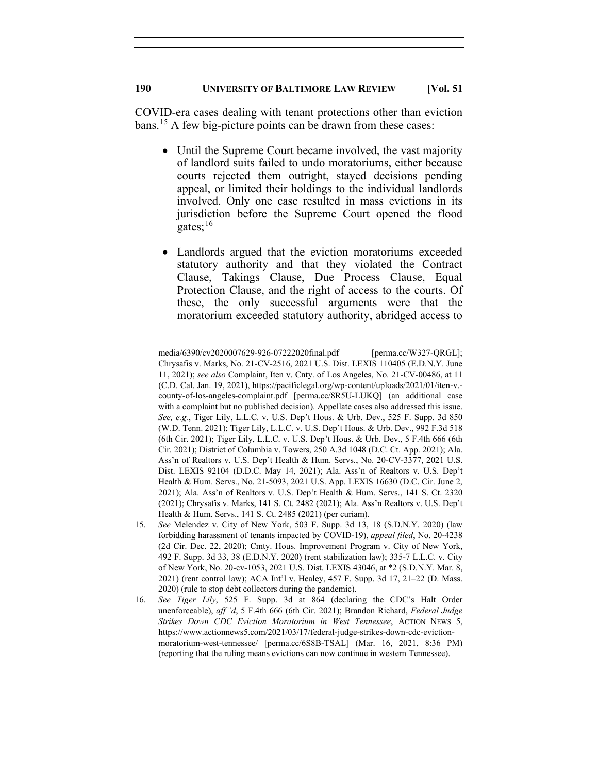COVID-era cases dealing with tenant protections other than eviction bans. [15](#page-6-0) A few big-picture points can be drawn from these cases:

- Until the Supreme Court became involved, the vast majority of landlord suits failed to undo moratoriums, either because courts rejected them outright, stayed decisions pending appeal, or limited their holdings to the individual landlords involved. Only one case resulted in mass evictions in its iurisdiction before the Supreme Court opened the flood gates;<sup>[16](#page-6-1)</sup>
- Landlords argued that the eviction moratoriums exceeded statutory authority and that they violated the Contract Clause, Takings Clause, Due Process Clause, Equal Protection Clause, and the right of access to the courts. Of these, the only successful arguments were that the moratorium exceeded statutory authority, abridged access to

media/6390/cv2020007629-926-07222020final.pdf [perma.cc/W327-QRGL]; Chrysafis v. Marks, No. 21-CV-2516, 2021 U.S. Dist. LEXIS 110405 (E.D.N.Y. June 11, 2021); *see also* Complaint, Iten v. Cnty. of Los Angeles, No. 21-CV-00486, at 11 (C.D. Cal. Jan. 19, 2021), https://pacificlegal.org/wp-content/uploads/2021/01/iten-v. county-of-los-angeles-complaint.pdf [perma.cc/8R5U-LUKQ] (an additional case with a complaint but no published decision). Appellate cases also addressed this issue. *See, e.g.*, Tiger Lily, L.L.C. v. U.S. Dep't Hous. & Urb. Dev., 525 F. Supp. 3d 850 (W.D. Tenn. 2021); Tiger Lily, L.L.C. v. U.S. Dep't Hous. & Urb. Dev., 992 F.3d 518 (6th Cir. 2021); Tiger Lily, L.L.C. v. U.S. Dep't Hous. & Urb. Dev., 5 F.4th 666 (6th Cir. 2021); District of Columbia v. Towers, 250 A.3d 1048 (D.C. Ct. App. 2021); Ala. Ass'n of Realtors v. U.S. Dep't Health & Hum. Servs., No. 20-CV-3377, 2021 U.S. Dist. LEXIS 92104 (D.D.C. May 14, 2021); Ala. Ass'n of Realtors v. U.S. Dep't Health & Hum. Servs., No. 21-5093, 2021 U.S. App. LEXIS 16630 (D.C. Cir. June 2, 2021); Ala. Ass'n of Realtors v. U.S. Dep't Health & Hum. Servs., 141 S. Ct. 2320 (2021); Chrysafis v. Marks, 141 S. Ct. 2482 (2021); Ala. Ass'n Realtors v. U.S. Dep't Health & Hum. Servs., 141 S. Ct. 2485 (2021) (per curiam).

<span id="page-6-0"></span><sup>15.</sup> *See* Melendez v. City of New York, 503 F. Supp. 3d 13, 18 (S.D.N.Y. 2020) (law forbidding harassment of tenants impacted by COVID-19), *appeal filed*, No. 20-4238 (2d Cir. Dec. 22, 2020); Cmty. Hous. Improvement Program v. City of New York, 492 F. Supp. 3d 33, 38 (E.D.N.Y. 2020) (rent stabilization law); 335-7 L.L.C. v. City of New York, No. 20-cv-1053, 2021 U.S. Dist. LEXIS 43046, at \*2 (S.D.N.Y. Mar. 8, 2021) (rent control law); ACA Int'l v. Healey, 457 F. Supp. 3d 17, 21–22 (D. Mass. 2020) (rule to stop debt collectors during the pandemic).

<span id="page-6-1"></span><sup>16.</sup> *See Tiger Lily*, 525 F. Supp. 3d at 864 (declaring the CDC's Halt Order unenforceable), *aff''d*, 5 F.4th 666 (6th Cir. 2021); Brandon Richard, *Federal Judge Strikes Down CDC Eviction Moratorium in West Tennessee*, ACTION NEWS 5, https://www.actionnews5.com/2021/03/17/federal-judge-strikes-down-cdc-evictionmoratorium-west-tennessee/ [perma.cc/6S8B-TSAL] (Mar. 16, 2021, 8:36 PM) (reporting that the ruling means evictions can now continue in western Tennessee).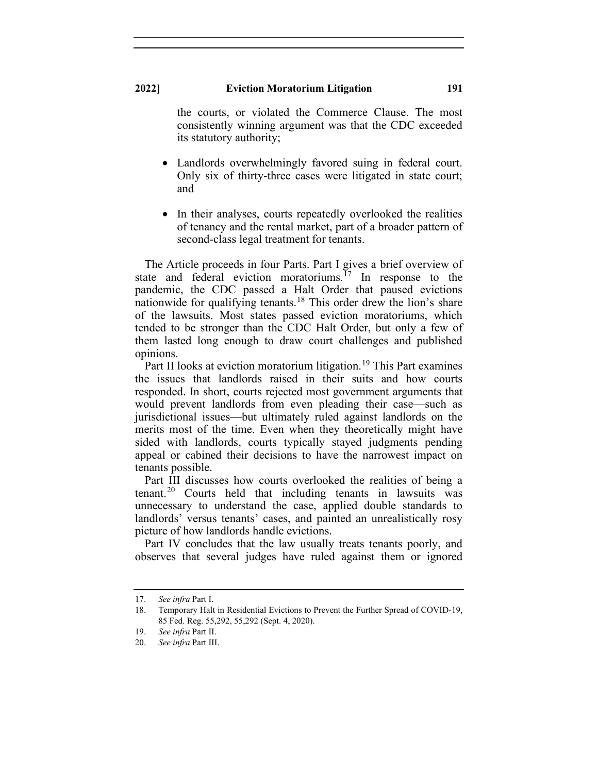the courts, or violated the Commerce Clause. The most consistently winning argument was that the CDC exceeded its statutory authority;

- Landlords overwhelmingly favored suing in federal court. Only six of thirty-three cases were litigated in state court; and
- In their analyses, courts repeatedly overlooked the realities of tenancy and the rental market, part of a broader pattern of second-class legal treatment for tenants.

The Article proceeds in four Parts. Part I gives a brief overview of state and federal eviction moratoriums.<sup>[17](#page-7-0)</sup> In response to the pandemic, the CDC passed a Halt Order that paused evictions nationwide for qualifying tenants.<sup>[18](#page-7-1)</sup> This order drew the lion's share of the lawsuits. Most states passed eviction moratoriums, which tended to be stronger than the CDC Halt Order, but only a few of them lasted long enough to draw court challenges and published opinions.

Part II looks at eviction moratorium litigation.<sup>[19](#page-7-2)</sup> This Part examines the issues that landlords raised in their suits and how courts responded. In short, courts rejected most government arguments that would prevent landlords from even pleading their case—such as jurisdictional issues—but ultimately ruled against landlords on the merits most of the time. Even when they theoretically might have sided with landlords, courts typically stayed judgments pending appeal or cabined their decisions to have the narrowest impact on tenants possible.

Part III discusses how courts overlooked the realities of being a tenant. [20](#page-7-3) Courts held that including tenants in lawsuits was unnecessary to understand the case, applied double standards to landlords' versus tenants' cases, and painted an unrealistically rosy picture of how landlords handle evictions.

Part IV concludes that the law usually treats tenants poorly, and observes that several judges have ruled against them or ignored

<span id="page-7-1"></span><span id="page-7-0"></span><sup>17.</sup> *See infra* Part I.

<sup>18.</sup> Temporary Halt in Residential Evictions to Prevent the Further Spread of COVID-19, 85 Fed. Reg. 55,292, 55,292 (Sept. 4, 2020).

<sup>19.</sup> *See infra* Part II.

<span id="page-7-3"></span><span id="page-7-2"></span><sup>20.</sup> *See infra* Part III.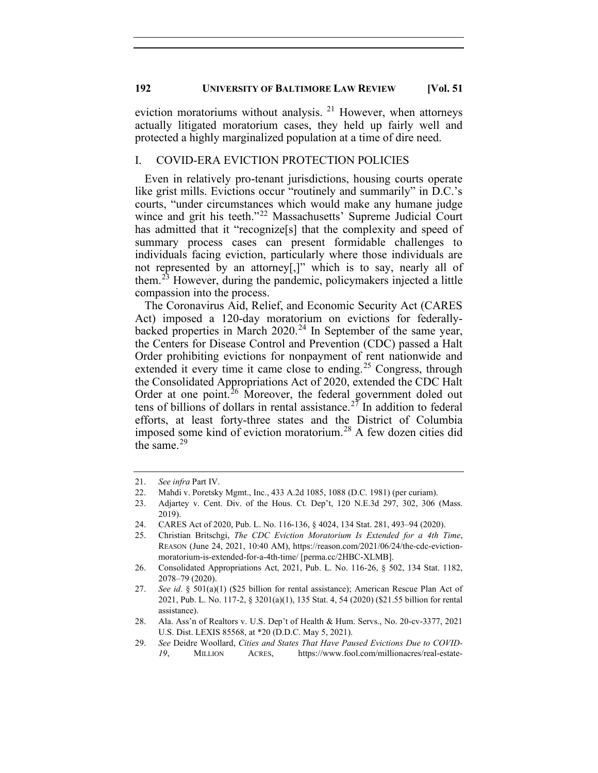eviction moratoriums without analysis. <sup>[21](#page-8-0)</sup> However, when attorneys actually litigated moratorium cases, they held up fairly well and protected a highly marginalized population at a time of dire need.

## I. COVID-ERA EVICTION PROTECTION POLICIES

Even in relatively pro-tenant jurisdictions, housing courts operate like grist mills. Evictions occur "routinely and summarily" in D.C.'s courts, "under circumstances which would make any humane judge wince and grit his teeth."<sup>[22](#page-8-1)</sup> Massachusetts' Supreme Judicial Court has admitted that it "recognize<sup>[s]</sup> that the complexity and speed of summary process cases can present formidable challenges to individuals facing eviction, particularly where those individuals are not represented by an attorney[,]" which is to say, nearly all of them.[23](#page-8-2) However, during the pandemic, policymakers injected a little compassion into the process.

The Coronavirus Aid, Relief, and Economic Security Act (CARES Act) imposed a 120-day moratorium on evictions for federallybacked properties in March 2020. [24](#page-8-3) In September of the same year, the Centers for Disease Control and Prevention (CDC) passed a Halt Order prohibiting evictions for nonpayment of rent nationwide and extended it every time it came close to ending.<sup>[25](#page-8-4)</sup> Congress, through the Consolidated Appropriations Act of 2020, extended the CDC Halt Order at one point. $26$  Moreover, the federal government doled out tens of billions of dollars in rental assistance.<sup>[27](#page-8-6)</sup> In addition to federal efforts, at least forty-three states and the District of Columbia imposed some kind of eviction moratorium.[28](#page-8-7) A few dozen cities did the same. $^{29}$  $^{29}$  $^{29}$ 

<span id="page-8-0"></span><sup>21.</sup> *See infra* Part IV.

<span id="page-8-1"></span><sup>22.</sup> Mahdi v. Poretsky Mgmt., Inc., 433 A.2d 1085, 1088 (D.C. 1981) (per curiam).

<span id="page-8-2"></span><sup>23.</sup> Adjartey v. Cent. Div. of the Hous. Ct. Dep't, 120 N.E.3d 297, 302, 306 (Mass. 2019).

<sup>24.</sup> CARES Act of 2020, Pub. L. No. 116-136, § 4024, 134 Stat. 281, 493–94 (2020).

<span id="page-8-4"></span><span id="page-8-3"></span><sup>25.</sup> Christian Britschgi, *The CDC Eviction Moratorium Is Extended for a 4th Time*, REASON (June 24, 2021, 10:40 AM), https://reason.com/2021/06/24/the-cdc-evictionmoratorium-is-extended-for-a-4th-time/ [perma.cc/2HBC-XLMB].

<span id="page-8-5"></span><sup>26.</sup> Consolidated Appropriations Act, 2021, Pub. L. No. 116-26, § 502, 134 Stat. 1182, 2078–79 (2020).

<span id="page-8-6"></span><sup>27.</sup> *See id.* § 501(a)(1) (\$25 billion for rental assistance); American Rescue Plan Act of 2021, Pub. L. No. 117-2, § 3201(a)(1), 135 Stat. 4, 54 (2020) (\$21.55 billion for rental assistance).

<span id="page-8-7"></span><sup>28.</sup> Ala. Ass'n of Realtors v. U.S. Dep't of Health & Hum. Servs., No. 20-cv-3377, 2021 U.S. Dist. LEXIS 85568, at \*20 (D.D.C. May 5, 2021).

<span id="page-8-8"></span><sup>29.</sup> *See* Deidre Woollard, *Cities and States That Have Paused Evictions Due to COVID-19*, MILLION ACRES, https://www.fool.com/millionacres/real-estate-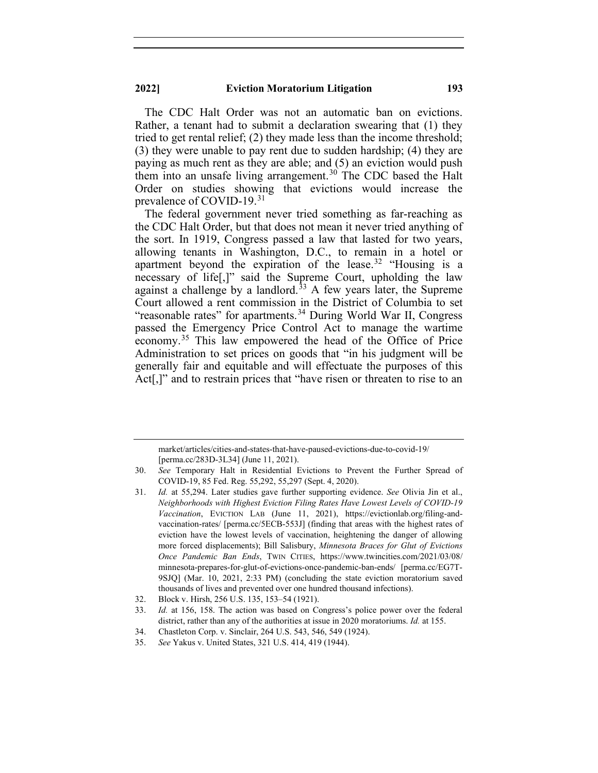The CDC Halt Order was not an automatic ban on evictions. Rather, a tenant had to submit a declaration swearing that (1) they tried to get rental relief; (2) they made less than the income threshold; (3) they were unable to pay rent due to sudden hardship; (4) they are paying as much rent as they are able; and (5) an eviction would push them into an unsafe living arrangement.<sup>[30](#page-9-0)</sup> The CDC based the Halt Order on studies showing that evictions would increase the prevalence of COVID-19.<sup>[31](#page-9-1)</sup>

The federal government never tried something as far-reaching as the CDC Halt Order, but that does not mean it never tried anything of the sort. In 1919, Congress passed a law that lasted for two years, allowing tenants in Washington, D.C., to remain in a hotel or apartment beyond the expiration of the lease.<sup>[32](#page-9-2)</sup> "Housing is a necessary of life[,]" said the Supreme Court, upholding the law against a challenge by a landlord.<sup>[33](#page-9-3)</sup> A few years later, the Supreme Court allowed a rent commission in the District of Columbia to set "reasonable rates" for apartments.<sup>[34](#page-9-4)</sup> During World War II, Congress passed the Emergency Price Control Act to manage the wartime economy.[35](#page-9-5) This law empowered the head of the Office of Price Administration to set prices on goods that "in his judgment will be generally fair and equitable and will effectuate the purposes of this Act<sup>[1]</sup>, and to restrain prices that "have risen or threaten to rise to an

market/articles/cities-and-states-that-have-paused-evictions-due-to-covid-19/ [perma.cc/283D-3L34] (June 11, 2021).

<span id="page-9-0"></span><sup>30.</sup> *See* Temporary Halt in Residential Evictions to Prevent the Further Spread of COVID-19, 85 Fed. Reg. 55,292, 55,297 (Sept. 4, 2020).

<span id="page-9-1"></span><sup>31.</sup> *Id.* at 55,294. Later studies gave further supporting evidence. *See* Olivia Jin et al., *Neighborhoods with Highest Eviction Filing Rates Have Lowest Levels of COVID-19 Vaccination*, EVICTION LAB (June 11, 2021), https://evictionlab.org/filing-andvaccination-rates/ [perma.cc/5ECB-553J] (finding that areas with the highest rates of eviction have the lowest levels of vaccination, heightening the danger of allowing more forced displacements); Bill Salisbury, *Minnesota Braces for Glut of Evictions Once Pandemic Ban Ends*, TWIN CITIES, https://www.twincities.com/2021/03/08/ minnesota-prepares-for-glut-of-evictions-once-pandemic-ban-ends/ [perma.cc/EG7T-9SJQ] (Mar. 10, 2021, 2:33 PM) (concluding the state eviction moratorium saved thousands of lives and prevented over one hundred thousand infections).

<span id="page-9-2"></span><sup>32.</sup> Block v. Hirsh, 256 U.S. 135, 153–54 (1921).

<span id="page-9-3"></span><sup>33.</sup> *Id.* at 156, 158. The action was based on Congress's police power over the federal district, rather than any of the authorities at issue in 2020 moratoriums. *Id.* at 155.

<sup>34.</sup> Chastleton Corp. v. Sinclair, 264 U.S. 543, 546, 549 (1924).

<span id="page-9-5"></span><span id="page-9-4"></span><sup>35.</sup> *See* Yakus v. United States, 321 U.S. 414, 419 (1944).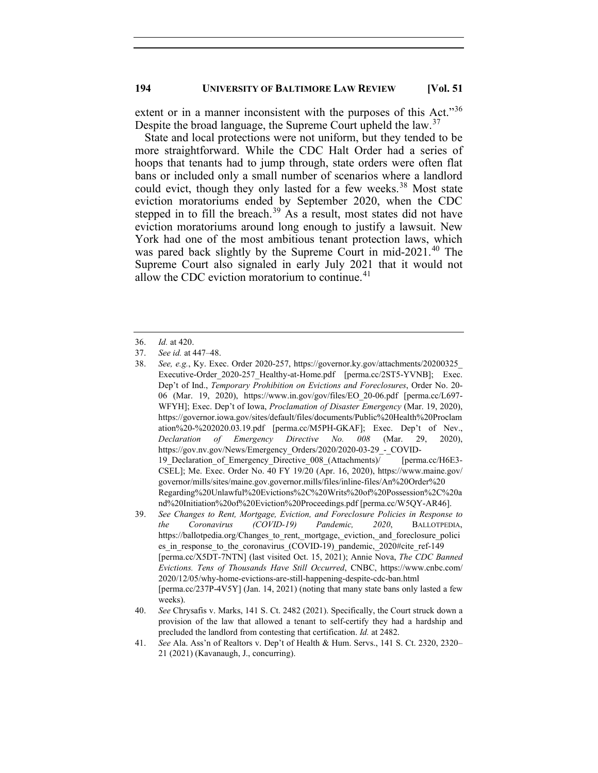extent or in a manner inconsistent with the purposes of this Act."[36](#page-10-0) Despite the broad language, the Supreme Court upheld the law.<sup>[37](#page-10-1)</sup>

State and local protections were not uniform, but they tended to be more straightforward. While the CDC Halt Order had a series of hoops that tenants had to jump through, state orders were often flat bans or included only a small number of scenarios where a landlord could evict, though they only lasted for a few weeks.<sup>[38](#page-10-2)</sup> Most state eviction moratoriums ended by September 2020, when the CDC stepped in to fill the breach.<sup>[39](#page-10-3)</sup> As a result, most states did not have eviction moratoriums around long enough to justify a lawsuit. New York had one of the most ambitious tenant protection laws, which was pared back slightly by the Supreme Court in mid-2021.<sup>[40](#page-10-4)</sup> The Supreme Court also signaled in early July 2021 that it would not allow the CDC eviction moratorium to continue.<sup>[41](#page-10-5)</sup>

<sup>36.</sup> *Id.* at 420.

<span id="page-10-2"></span><span id="page-10-1"></span><span id="page-10-0"></span><sup>37.</sup> *See id.* at 447–48.

<sup>38.</sup> *See, e.g.*, Ky. Exec. Order 2020-257, https://governor.ky.gov/attachments/20200325\_ Executive-Order\_2020-257\_Healthy-at-Home.pdf [perma.cc/2ST5-YVNB]; Exec. Dep't of Ind., *Temporary Prohibition on Evictions and Foreclosures*, Order No. 20- 06 (Mar. 19, 2020), https://www.in.gov/gov/files/EO\_20-06.pdf [perma.cc/L697- WFYH]; Exec. Dep't of Iowa, *Proclamation of Disaster Emergency* (Mar. 19, 2020), https://governor.iowa.gov/sites/default/files/documents/Public%20Health%20Proclam ation%20-%202020.03.19.pdf [perma.cc/M5PH-GKAF]; Exec. Dep't of Nev., *Declaration of Emergency Directive No. 008* (Mar. 29, 2020), https://gov.nv.gov/News/Emergency\_Orders/2020/2020-03-29\_-\_COVID-19 Declaration of Emergency Directive 008 (Attachments)/ [perma.cc/H6E3-CSEL]; Me. Exec. Order No. 40 FY 19/20 (Apr. 16, 2020), https://www.maine.gov/ governor/mills/sites/maine.gov.governor.mills/files/inline-files/An%20Order%20 Regarding%20Unlawful%20Evictions%2C%20Writs%20of%20Possession%2C%20a nd%20Initiation%20of%20Eviction%20Proceedings.pdf [perma.cc/W5QY-AR46].

<span id="page-10-3"></span><sup>39.</sup> *See Changes to Rent, Mortgage, Eviction, and Foreclosure Policies in Response to the Coronavirus (COVID-19) Pandemic, 2020*, BALLOTPEDIA, https://ballotpedia.org/Changes to rent, mortgage, eviction, and foreclosure polici es in response to the coronavirus (COVID-19) pandemic, 2020#cite ref-149 [perma.cc/X5DT-7NTN] (last visited Oct. 15, 2021); Annie Nova, *The CDC Banned Evictions. Tens of Thousands Have Still Occurred*, CNBC, https://www.cnbc.com/ 2020/12/05/why-home-evictions-are-still-happening-despite-cdc-ban.html [perma.cc/237P-4V5Y] (Jan. 14, 2021) (noting that many state bans only lasted a few weeks).

<span id="page-10-4"></span><sup>40.</sup> *See* Chrysafis v. Marks, 141 S. Ct. 2482 (2021). Specifically, the Court struck down a provision of the law that allowed a tenant to self-certify they had a hardship and precluded the landlord from contesting that certification. *Id.* at 2482.

<span id="page-10-5"></span><sup>41.</sup> *See* Ala. Ass'n of Realtors v. Dep't of Health & Hum. Servs., 141 S. Ct. 2320, 2320– 21 (2021) (Kavanaugh, J., concurring).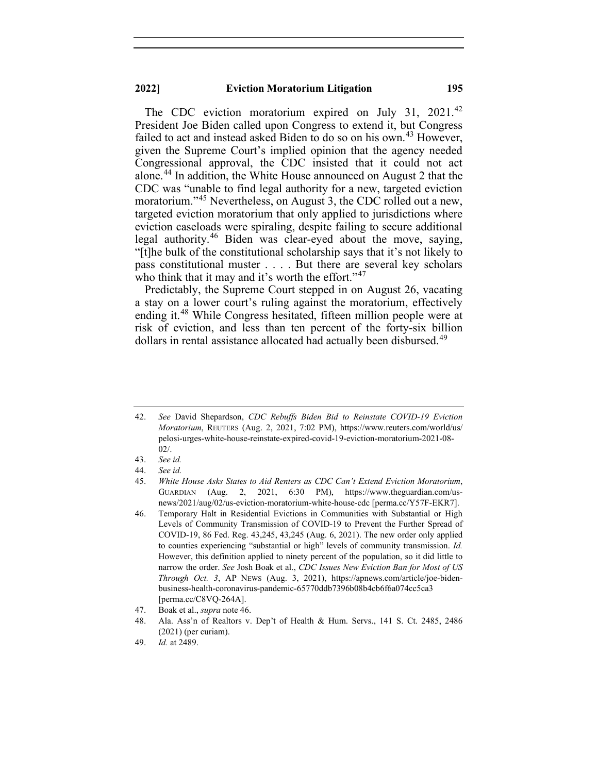The CDC eviction moratorium expired on July 31, 2021.<sup>[42](#page-11-0)</sup> President Joe Biden called upon Congress to extend it, but Congress failed to act and instead asked Biden to do so on his own.<sup>[43](#page-11-1)</sup> However, given the Supreme Court's implied opinion that the agency needed Congressional approval, the CDC insisted that it could not act alone.[44](#page-11-2) In addition, the White House announced on August 2 that the CDC was "unable to find legal authority for a new, targeted eviction moratorium."<sup>[45](#page-11-3)</sup> Nevertheless, on August 3, the CDC rolled out a new, targeted eviction moratorium that only applied to jurisdictions where eviction caseloads were spiraling, despite failing to secure additional legal authority.[46](#page-11-4) Biden was clear-eyed about the move, saying, "[t]he bulk of the constitutional scholarship says that it's not likely to pass constitutional muster . . . . But there are several key scholars who think that it may and it's worth the effort."<sup>[47](#page-11-5)</sup>

Predictably, the Supreme Court stepped in on August 26, vacating a stay on a lower court's ruling against the moratorium, effectively ending it.<sup>[48](#page-11-6)</sup> While Congress hesitated, fifteen million people were at risk of eviction, and less than ten percent of the forty-six billion dollars in rental assistance allocated had actually been disbursed.<sup>[49](#page-11-7)</sup>

<span id="page-11-0"></span><sup>42.</sup> *See* David Shepardson, *CDC Rebuffs Biden Bid to Reinstate COVID-19 Eviction Moratorium*, REUTERS (Aug. 2, 2021, 7:02 PM), https://www.reuters.com/world/us/ pelosi-urges-white-house-reinstate-expired-covid-19-eviction-moratorium-2021-08- 02/.

<span id="page-11-1"></span><sup>43.</sup> *See id.*

<span id="page-11-3"></span><span id="page-11-2"></span><sup>44.</sup> *See id.*

<sup>45.</sup> *White House Asks States to Aid Renters as CDC Can't Extend Eviction Moratorium*, GUARDIAN (Aug. 2, 2021, 6:30 PM), https://www.theguardian.com/usnews/2021/aug/02/us-eviction-moratorium-white-house-cdc [perma.cc/Y57F-EKR7].

<span id="page-11-4"></span><sup>46.</sup> Temporary Halt in Residential Evictions in Communities with Substantial or High Levels of Community Transmission of COVID-19 to Prevent the Further Spread of COVID-19, 86 Fed. Reg. 43,245, 43,245 (Aug. 6, 2021). The new order only applied to counties experiencing "substantial or high" levels of community transmission. *Id.* However, this definition applied to ninety percent of the population, so it did little to narrow the order. *See* Josh Boak et al., *CDC Issues New Eviction Ban for Most of US Through Oct. 3*, AP NEWS (Aug. 3, 2021), https://apnews.com/article/joe-bidenbusiness-health-coronavirus-pandemic-65770ddb7396b08b4cb6f6a074cc5ca3 [perma.cc/C8VQ-264A].

<span id="page-11-5"></span><sup>47.</sup> Boak et al., *supra* note 46.

<span id="page-11-6"></span><sup>48.</sup> Ala. Ass'n of Realtors v. Dep't of Health & Hum. Servs., 141 S. Ct. 2485, 2486 (2021) (per curiam).

<span id="page-11-7"></span><sup>49.</sup> *Id.* at 2489.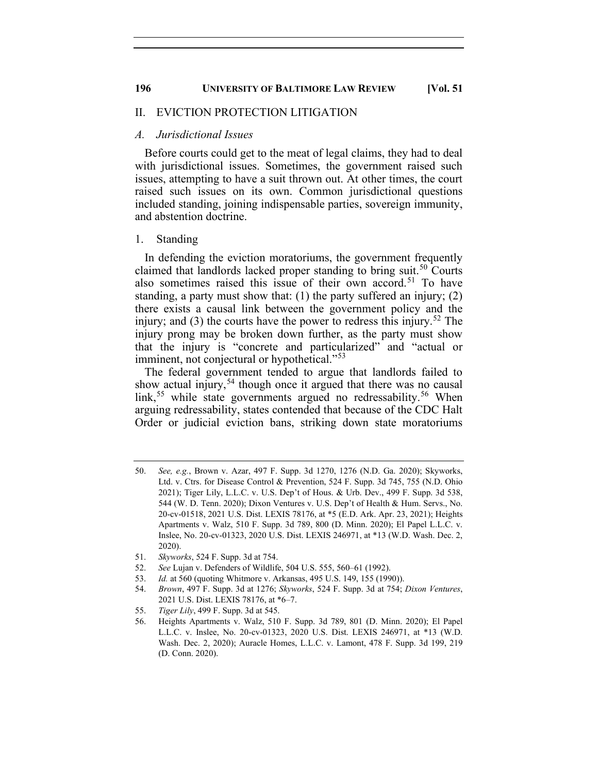## II. EVICTION PROTECTION LITIGATION

## *A. Jurisdictional Issues*

Before courts could get to the meat of legal claims, they had to deal with jurisdictional issues. Sometimes, the government raised such issues, attempting to have a suit thrown out. At other times, the court raised such issues on its own. Common jurisdictional questions included standing, joining indispensable parties, sovereign immunity, and abstention doctrine.

#### 1. Standing

In defending the eviction moratoriums, the government frequently claimed that landlords lacked proper standing to bring suit.<sup>[50](#page-12-0)</sup> Courts also sometimes raised this issue of their own accord.<sup>[51](#page-12-1)</sup> To have standing, a party must show that: (1) the party suffered an injury; (2) there exists a causal link between the government policy and the injury; and (3) the courts have the power to redress this injury.<sup>[52](#page-12-2)</sup> The injury prong may be broken down further, as the party must show that the injury is "concrete and particularized" and "actual or imminent, not conjectural or hypothetical."<sup>[53](#page-12-3)</sup>

The federal government tended to argue that landlords failed to show actual injury,<sup>[54](#page-12-4)</sup> though once it argued that there was no causal link,<sup>[55](#page-12-5)</sup> while state governments argued no redressability.<sup>[56](#page-12-6)</sup> When arguing redressability, states contended that because of the CDC Halt Order or judicial eviction bans, striking down state moratoriums

- <span id="page-12-1"></span>51. *Skyworks*, 524 F. Supp. 3d at 754.
- <span id="page-12-3"></span><span id="page-12-2"></span>52. *See* Lujan v. Defenders of Wildlife, 504 U.S. 555, 560–61 (1992).
- 53. *Id.* at 560 (quoting Whitmore v. Arkansas, 495 U.S. 149, 155 (1990)).
- <span id="page-12-4"></span>54. *Brown*, 497 F. Supp. 3d at 1276; *Skyworks*, 524 F. Supp. 3d at 754; *Dixon Ventures*, 2021 U.S. Dist. LEXIS 78176, at \*6–7.
- <span id="page-12-6"></span><span id="page-12-5"></span>55. *Tiger Lily*, 499 F. Supp. 3d at 545.

<span id="page-12-0"></span><sup>50.</sup> *See, e.g.*, Brown v. Azar, 497 F. Supp. 3d 1270, 1276 (N.D. Ga. 2020); Skyworks, Ltd. v. Ctrs. for Disease Control & Prevention, 524 F. Supp. 3d 745, 755 (N.D. Ohio 2021); Tiger Lily, L.L.C. v. U.S. Dep't of Hous. & Urb. Dev., 499 F. Supp. 3d 538, 544 (W. D. Tenn. 2020); Dixon Ventures v. U.S. Dep't of Health & Hum. Servs., No. 20-cv-01518, 2021 U.S. Dist. LEXIS 78176, at \*5 (E.D. Ark. Apr. 23, 2021); Heights Apartments v. Walz, 510 F. Supp. 3d 789, 800 (D. Minn. 2020); El Papel L.L.C. v. Inslee, No. 20-cv-01323, 2020 U.S. Dist. LEXIS 246971, at \*13 (W.D. Wash. Dec. 2, 2020).

<sup>56.</sup> Heights Apartments v. Walz, 510 F. Supp. 3d 789, 801 (D. Minn. 2020); El Papel L.L.C. v. Inslee, No. 20-cv-01323, 2020 U.S. Dist. LEXIS 246971, at \*13 (W.D. Wash. Dec. 2, 2020); Auracle Homes, L.L.C. v. Lamont, 478 F. Supp. 3d 199, 219 (D. Conn. 2020).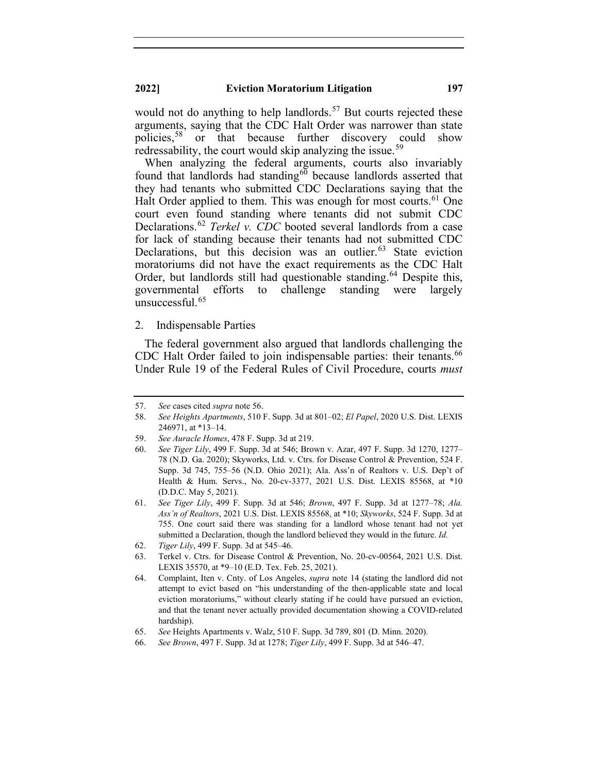would not do anything to help landlords.<sup>[57](#page-13-0)</sup> But courts rejected these arguments, saying that the CDC Halt Order was narrower than state policies,<sup>[58](#page-13-1)</sup> or that because further discovery could show redressability, the court would skip analyzing the issue.<sup>[59](#page-13-2)</sup>

When analyzing the federal arguments, courts also invariably found that landlords had standing $60$  because landlords asserted that they had tenants who submitted CDC Declarations saying that the Halt Order applied to them. This was enough for most courts.<sup>[61](#page-13-4)</sup> One court even found standing where tenants did not submit CDC Declarations. [62](#page-13-5) *Terkel v. CDC* booted several landlords from a case for lack of standing because their tenants had not submitted CDC Declarations, but this decision was an outlier.<sup>[63](#page-13-6)</sup> State eviction moratoriums did not have the exact requirements as the CDC Halt Order, but landlords still had questionable standing.<sup>[64](#page-13-7)</sup> Despite this, governmental efforts to challenge standing were largely unsuccessful. [65](#page-13-8)

#### 2. Indispensable Parties

The federal government also argued that landlords challenging the CDC Halt Order failed to join indispensable parties: their tenants.<sup>[66](#page-13-9)</sup> Under Rule 19 of the Federal Rules of Civil Procedure, courts *must* 

<span id="page-13-0"></span><sup>57.</sup> *See* cases cited *supra* note 56.

<span id="page-13-1"></span><sup>58.</sup> *See Heights Apartments*, 510 F. Supp. 3d at 801–02; *El Papel*, 2020 U.S. Dist. LEXIS 246971, at \*13–14.

<span id="page-13-2"></span><sup>59.</sup> *See Auracle Homes*, 478 F. Supp. 3d at 219.

<span id="page-13-3"></span><sup>60.</sup> *See Tiger Lily*, 499 F. Supp. 3d at 546; Brown v. Azar, 497 F. Supp. 3d 1270, 1277– 78 (N.D. Ga. 2020); Skyworks, Ltd. v. Ctrs. for Disease Control & Prevention, 524 F. Supp. 3d 745, 755–56 (N.D. Ohio 2021); Ala. Ass'n of Realtors v. U.S. Dep't of Health & Hum. Servs., No. 20-cv-3377, 2021 U.S. Dist. LEXIS 85568, at \*10 (D.D.C. May 5, 2021).

<span id="page-13-4"></span><sup>61.</sup> *See Tiger Lily*, 499 F. Supp. 3d at 546; *Brown*, 497 F. Supp. 3d at 1277–78; *Ala. Ass'n of Realtors*, 2021 U.S. Dist. LEXIS 85568, at \*10; *Skyworks*, 524 F. Supp. 3d at 755. One court said there was standing for a landlord whose tenant had not yet submitted a Declaration, though the landlord believed they would in the future. *Id.*

<sup>62.</sup> *Tiger Lily*, 499 F. Supp. 3d at 545–46.

<span id="page-13-6"></span><span id="page-13-5"></span><sup>63.</sup> Terkel v. Ctrs. for Disease Control & Prevention, No. 20-cv-00564, 2021 U.S. Dist. LEXIS 35570, at \*9–10 (E.D. Tex. Feb. 25, 2021).

<span id="page-13-7"></span><sup>64.</sup> Complaint, Iten v. Cnty. of Los Angeles, *supra* note 14 (stating the landlord did not attempt to evict based on "his understanding of the then-applicable state and local eviction moratoriums," without clearly stating if he could have pursued an eviction, and that the tenant never actually provided documentation showing a COVID-related hardship).

<sup>65.</sup> *See* Heights Apartments v. Walz, 510 F. Supp. 3d 789, 801 (D. Minn. 2020).

<span id="page-13-9"></span><span id="page-13-8"></span><sup>66.</sup> *See Brown*, 497 F. Supp. 3d at 1278; *Tiger Lily*, 499 F. Supp. 3d at 546–47.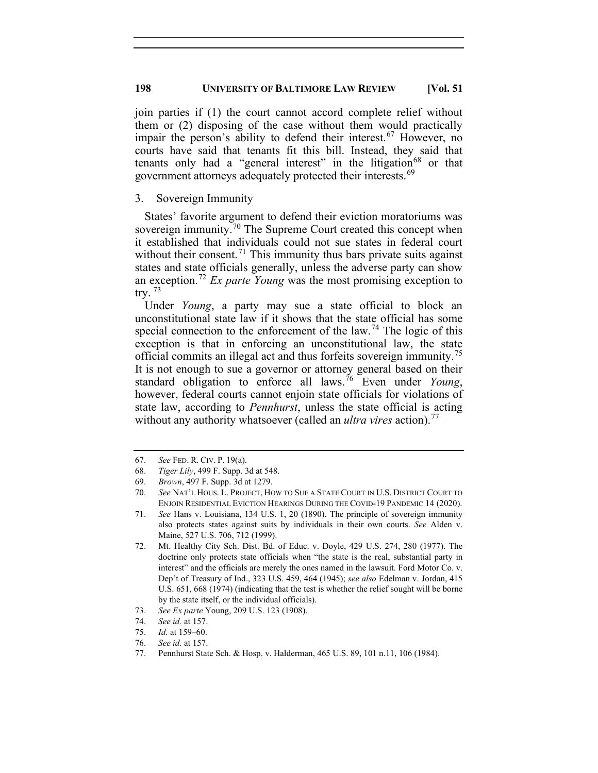join parties if (1) the court cannot accord complete relief without them or (2) disposing of the case without them would practically impair the person's ability to defend their interest.<sup>[67](#page-14-0)</sup> However, no courts have said that tenants fit this bill. Instead, they said that tenants only had a "general interest" in the litigation<sup>[68](#page-14-1)</sup> or that government attorneys adequately protected their interests.<sup>[69](#page-14-2)</sup>

## 3. Sovereign Immunity

States' favorite argument to defend their eviction moratoriums was sovereign immunity.<sup>[70](#page-14-3)</sup> The Supreme Court created this concept when it established that individuals could not sue states in federal court without their consent.<sup>[71](#page-14-4)</sup> This immunity thus bars private suits against states and state officials generally, unless the adverse party can show an exception.[72](#page-14-5) *Ex parte Young* was the most promising exception to try.  $73$ 

Under *Young*, a party may sue a state official to block an unconstitutional state law if it shows that the state official has some special connection to the enforcement of the law.<sup>[74](#page-14-7)</sup> The logic of this exception is that in enforcing an unconstitutional law, the state official commits an illegal act and thus forfeits sovereign immunity.[75](#page-14-8) It is not enough to sue a governor or attorney general based on their standard obligation to enforce all laws.[76](#page-14-9) Even under *Young*, however, federal courts cannot enjoin state officials for violations of state law, according to *Pennhurst*, unless the state official is acting without any authority whatsoever (called an *ultra vires* action). [77](#page-14-10)

- <span id="page-14-8"></span>75. *Id.* at 159–60.
- <span id="page-14-10"></span><span id="page-14-9"></span>76. *See id.* at 157.

<span id="page-14-0"></span><sup>67.</sup> *See* FED. R. CIV. P. 19(a).

<span id="page-14-1"></span><sup>68.</sup> *Tiger Lily*, 499 F. Supp. 3d at 548.

<span id="page-14-2"></span><sup>69.</sup> *Brown*, 497 F. Supp. 3d at 1279.

<span id="page-14-3"></span><sup>70.</sup> *See* NAT'L HOUS. L. PROJECT, HOW TO SUE A STATE COURT IN U.S. DISTRICT COURT TO ENJOIN RESIDENTIAL EVICTION HEARINGS DURING THE COVID-19 PANDEMIC 14 (2020).

<span id="page-14-4"></span><sup>71.</sup> *See* Hans v. Louisiana, 134 U.S. 1, 20 (1890). The principle of sovereign immunity also protects states against suits by individuals in their own courts. *See* Alden v. Maine, 527 U.S. 706, 712 (1999).

<span id="page-14-5"></span><sup>72.</sup> Mt. Healthy City Sch. Dist. Bd. of Educ. v. Doyle, 429 U.S. 274, 280 (1977). The doctrine only protects state officials when "the state is the real, substantial party in interest" and the officials are merely the ones named in the lawsuit. Ford Motor Co. v. Dep't of Treasury of Ind., 323 U.S. 459, 464 (1945); *see also* Edelman v. Jordan, 415 U.S. 651, 668 (1974) (indicating that the test is whether the relief sought will be borne by the state itself, or the individual officials).

<sup>73.</sup> *See Ex parte* Young, 209 U.S. 123 (1908).

<span id="page-14-7"></span><span id="page-14-6"></span><sup>74.</sup> *See id.* at 157.

<sup>77.</sup> Pennhurst State Sch. & Hosp. v. Halderman, 465 U.S. 89, 101 n.11, 106 (1984).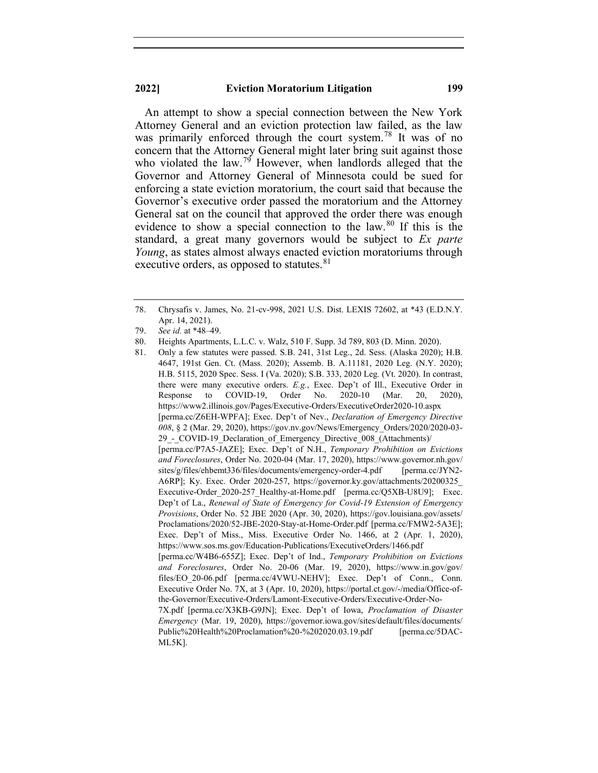An attempt to show a special connection between the New York Attorney General and an eviction protection law failed, as the law was primarily enforced through the court system.<sup>[78](#page-15-0)</sup> It was of no concern that the Attorney General might later bring suit against those who violated the law.<sup>[79](#page-15-1)</sup> However, when landlords alleged that the Governor and Attorney General of Minnesota could be sued for enforcing a state eviction moratorium, the court said that because the Governor's executive order passed the moratorium and the Attorney General sat on the council that approved the order there was enough evidence to show a special connection to the law.<sup>[80](#page-15-2)</sup> If this is the standard, a great many governors would be subject to *Ex parte Young*, as states almost always enacted eviction moratoriums through executive orders, as opposed to statutes.<sup>[81](#page-15-3)</sup>

<span id="page-15-0"></span><sup>78.</sup> Chrysafis v. James, No. 21-cv-998, 2021 U.S. Dist. LEXIS 72602, at \*43 (E.D.N.Y. Apr. 14, 2021).

<span id="page-15-1"></span><sup>79.</sup> *See id.* at \*48–49.

<span id="page-15-2"></span><sup>80.</sup> Heights Apartments, L.L.C. v. Walz, 510 F. Supp. 3d 789, 803 (D. Minn. 2020).

<span id="page-15-3"></span><sup>81.</sup> Only a few statutes were passed. S.B. 241, 31st Leg., 2d. Sess. (Alaska 2020); H.B. 4647, 191st Gen. Ct. (Mass. 2020); Assemb. B. A.11181, 2020 Leg. (N.Y. 2020); H.B. 5115, 2020 Spec. Sess. I (Va. 2020); S.B. 333, 2020 Leg. (Vt. 2020). In contrast, there were many executive orders. *E.g.*, Exec. Dep't of Ill., Executive Order in Response to COVID-19, Order No. 2020-10 (Mar. 20, 2020), https://www2.illinois.gov/Pages/Executive-Orders/ExecutiveOrder2020-10.aspx [perma.cc/Z6EH-WPFA]; Exec. Dep't of Nev., *Declaration of Emergency Directive 008*, § 2 (Mar. 29, 2020), https://gov.nv.gov/News/Emergency\_Orders/2020/2020-03- 29 - COVID-19 Declaration of Emergency Directive 008 (Attachments)/ [perma.cc/P7A5-JAZE]; Exec. Dep't of N.H., *Temporary Prohibition on Evictions and Foreclosures*, Order No. 2020-04 (Mar. 17, 2020), https://www.governor.nh.gov/ sites/g/files/ehbemt336/files/documents/emergency-order-4.pdf [perma.cc/JYN2-A6RP]; Ky. Exec. Order 2020-257, https://governor.ky.gov/attachments/20200325\_ Executive-Order 2020-257 Healthy-at-Home.pdf [perma.cc/Q5XB-U8U9]; Exec. Dep't of La., *Renewal of State of Emergency for Covid-19 Extension of Emergency Provisions*, Order No. 52 JBE 2020 (Apr. 30, 2020), https://gov.louisiana.gov/assets/ Proclamations/2020/52-JBE-2020-Stay-at-Home-Order.pdf [perma.cc/FMW2-5A3E]; Exec. Dep't of Miss., Miss. Executive Order No. 1466, at 2 (Apr. 1, 2020), https://www.sos.ms.gov/Education-Publications/ExecutiveOrders/1466.pdf [perma.cc/W4B6-655Z]; Exec. Dep't of Ind., *Temporary Prohibition on Evictions and Foreclosures*, Order No. 20-06 (Mar. 19, 2020), https://www.in.gov/gov/ files/EO\_20-06.pdf [perma.cc/4VWU-NEHV]; Exec. Dep't of Conn., Conn. Executive Order No. 7X, at 3 (Apr. 10, 2020), https://portal.ct.gov/-/media/Office-ofthe-Governor/Executive-Orders/Lamont-Executive-Orders/Executive-Order-No-7X.pdf [perma.cc/X3KB-G9JN]; Exec. Dep't of Iowa, *Proclamation of Disaster Emergency* (Mar. 19, 2020), https://governor.iowa.gov/sites/default/files/documents/ Public%20Health%20Proclamation%20-%202020.03.19.pdf [perma.cc/5DAC-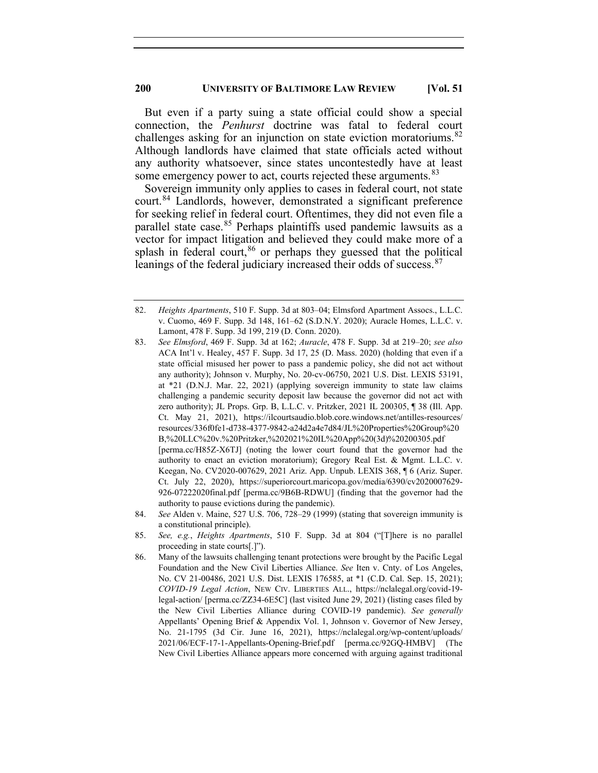But even if a party suing a state official could show a special connection, the *Penhurst* doctrine was fatal to federal court challenges asking for an injunction on state eviction moratoriums.<sup>[82](#page-16-0)</sup> Although landlords have claimed that state officials acted without any authority whatsoever, since states uncontestedly have at least some emergency power to act, courts rejected these arguments.<sup>[83](#page-16-1)</sup>

Sovereign immunity only applies to cases in federal court, not state court. [84](#page-16-2) Landlords, however, demonstrated a significant preference for seeking relief in federal court. Oftentimes, they did not even file a parallel state case.<sup>[85](#page-16-3)</sup> Perhaps plaintiffs used pandemic lawsuits as a vector for impact litigation and believed they could make more of a splash in federal court,<sup>[86](#page-16-4)</sup> or perhaps they guessed that the political leanings of the federal judiciary increased their odds of success.<sup>[87](#page-16-5)</sup>

<span id="page-16-0"></span><sup>82.</sup> *Heights Apartments*, 510 F. Supp. 3d at 803–04; Elmsford Apartment Assocs., L.L.C. v. Cuomo, 469 F. Supp. 3d 148, 161–62 (S.D.N.Y. 2020); Auracle Homes, L.L.C. v. Lamont, 478 F. Supp. 3d 199, 219 (D. Conn. 2020).

<span id="page-16-1"></span><sup>83.</sup> *See Elmsford*, 469 F. Supp. 3d at 162; *Auracle*, 478 F. Supp. 3d at 219–20; *see also* ACA Int'l v. Healey, 457 F. Supp. 3d 17, 25 (D. Mass. 2020) (holding that even if a state official misused her power to pass a pandemic policy, she did not act without any authority); Johnson v. Murphy, No. 20-cv-06750, 2021 U.S. Dist. LEXIS 53191, at \*21 (D.N.J. Mar. 22, 2021) (applying sovereign immunity to state law claims challenging a pandemic security deposit law because the governor did not act with zero authority); JL Props. Grp. B, L.L.C. v. Pritzker, 2021 IL 200305, ¶ 38 (Ill. App. Ct. May 21, 2021), https://ilcourtsaudio.blob.core.windows.net/antilles-resources/ resources/336f0fe1-d738-4377-9842-a24d2a4e7d84/JL%20Properties%20Group%20 B,%20LLC%20v.%20Pritzker,%202021%20IL%20App%20(3d)%20200305.pdf [perma.cc/H85Z-X6TJ] (noting the lower court found that the governor had the authority to enact an eviction moratorium); Gregory Real Est. & Mgmt. L.L.C. v. Keegan, No. CV2020-007629, 2021 Ariz. App. Unpub. LEXIS 368, ¶ 6 (Ariz. Super. Ct. July 22, 2020), https://superiorcourt.maricopa.gov/media/6390/cv2020007629- 926-07222020final.pdf [perma.cc/9B6B-RDWU] (finding that the governor had the authority to pause evictions during the pandemic).

<span id="page-16-5"></span><span id="page-16-2"></span><sup>84.</sup> *See* Alden v. Maine, 527 U.S. 706, 728–29 (1999) (stating that sovereign immunity is a constitutional principle).

<span id="page-16-3"></span><sup>85.</sup> *See, e.g.*, *Heights Apartments*, 510 F. Supp. 3d at 804 ("[T]here is no parallel proceeding in state courts[.]").

<span id="page-16-4"></span><sup>86.</sup> Many of the lawsuits challenging tenant protections were brought by the Pacific Legal Foundation and the New Civil Liberties Alliance. *See* Iten v. Cnty. of Los Angeles, No. CV 21-00486, 2021 U.S. Dist. LEXIS 176585, at \*1 (C.D. Cal. Sep. 15, 2021); *COVID-19 Legal Action*, NEW CIV. LIBERTIES ALL., https://nclalegal.org/covid-19 legal-action/ [perma.cc/ZZ34-6E5C] (last visited June 29, 2021) (listing cases filed by the New Civil Liberties Alliance during COVID-19 pandemic). *See generally* Appellants' Opening Brief & Appendix Vol. 1, Johnson v. Governor of New Jersey, No. 21-1795 (3d Cir. June 16, 2021), https://nclalegal.org/wp-content/uploads/ 2021/06/ECF-17-1-Appellants-Opening-Brief.pdf [perma.cc/92GQ-HMBV] (The New Civil Liberties Alliance appears more concerned with arguing against traditional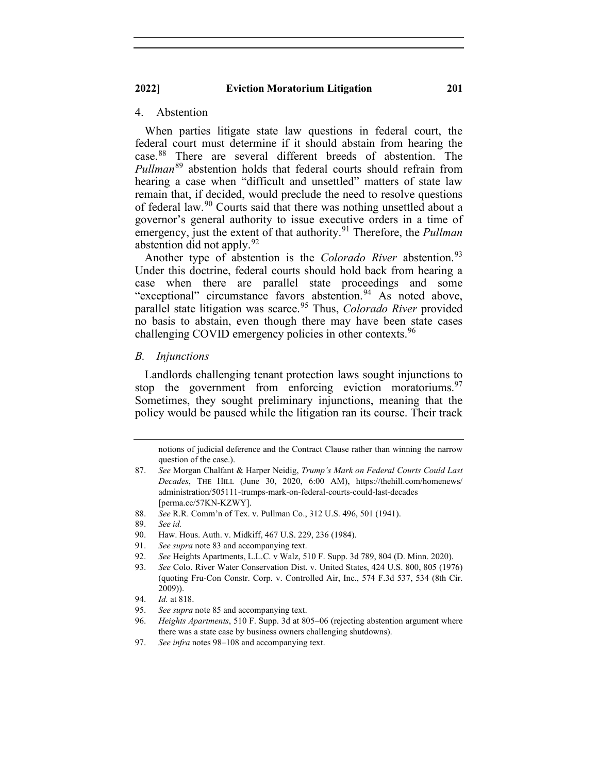## 4. Abstention

When parties litigate state law questions in federal court, the federal court must determine if it should abstain from hearing the case.[88](#page-17-0) There are several different breeds of abstention. The *Pullman*[89](#page-17-1) abstention holds that federal courts should refrain from hearing a case when "difficult and unsettled" matters of state law remain that, if decided, would preclude the need to resolve questions of federal law.<sup>[90](#page-17-2)</sup> Courts said that there was nothing unsettled about a governor's general authority to issue executive orders in a time of emergency, just the extent of that authority. [91](#page-17-3) Therefore, the *Pullman* abstention did not apply.  $92$ 

Another type of abstention is the *Colorado River* abstention.<sup>[93](#page-17-5)</sup> Under this doctrine, federal courts should hold back from hearing a case when there are parallel state proceedings and some "exceptional" circumstance favors abstention.<sup>[94](#page-17-6)</sup> As noted above, parallel state litigation was scarce.<sup>[95](#page-17-7)</sup> Thus, *Colorado River* provided no basis to abstain, even though there may have been state cases challenging COVID emergency policies in other contexts.<sup>[96](#page-17-8)</sup>

#### *B. Injunctions*

Landlords challenging tenant protection laws sought injunctions to stop the government from enforcing eviction moratoriums.<sup>[97](#page-17-9)</sup> Sometimes, they sought preliminary injunctions, meaning that the policy would be paused while the litigation ran its course. Their track

<span id="page-17-0"></span>88. *See* R.R. Comm'n of Tex. v. Pullman Co., 312 U.S. 496, 501 (1941).

notions of judicial deference and the Contract Clause rather than winning the narrow question of the case.).

<sup>87.</sup> *See* Morgan Chalfant & Harper Neidig, *Trump's Mark on Federal Courts Could Last Decades*, THE HILL (June 30, 2020, 6:00 AM), https://thehill.com/homenews/ administration/505111-trumps-mark-on-federal-courts-could-last-decades [perma.cc/57KN-KZWY].

<span id="page-17-1"></span><sup>89.</sup> *See id.*

<span id="page-17-2"></span><sup>90.</sup> Haw. Hous. Auth. v. Midkiff, 467 U.S. 229, 236 (1984).

<span id="page-17-3"></span><sup>91.</sup> *See supra* note 83 and accompanying text.

<span id="page-17-4"></span><sup>92.</sup> *See* Heights Apartments, L.L.C. v Walz, 510 F. Supp. 3d 789, 804 (D. Minn. 2020).

<span id="page-17-5"></span><sup>93.</sup> *See* Colo. River Water Conservation Dist. v. United States, 424 U.S. 800, 805 (1976) (quoting Fru-Con Constr. Corp. v. Controlled Air, Inc., 574 F.3d 537, 534 (8th Cir. 2009)).

<span id="page-17-6"></span><sup>94.</sup> *Id.* at 818.

<span id="page-17-8"></span><span id="page-17-7"></span><sup>95.</sup> *See supra* note 85 and accompanying text.

<sup>96.</sup> *Heights Apartments*, 510 F. Supp. 3d at 805−06 (rejecting abstention argument where there was a state case by business owners challenging shutdowns).

<span id="page-17-9"></span><sup>97.</sup> *See infra* notes 98–108 and accompanying text.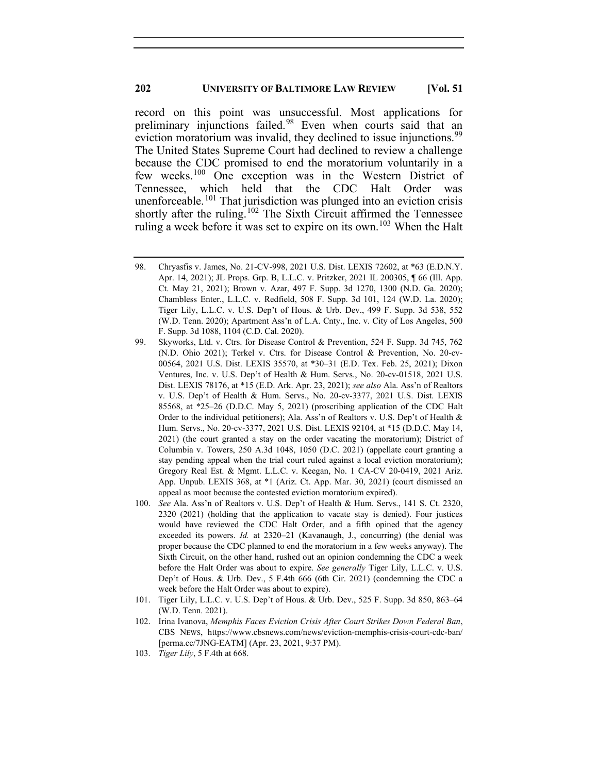record on this point was unsuccessful. Most applications for preliminary injunctions failed.[98](#page-18-0) Even when courts said that an eviction moratorium was invalid, they declined to issue injunctions.<sup>[99](#page-18-1)</sup> The United States Supreme Court had declined to review a challenge because the CDC promised to end the moratorium voluntarily in a few weeks.[100](#page-18-2) One exception was in the Western District of Tennessee, which held that the CDC Halt Order was unenforceable. [101](#page-18-3) That jurisdiction was plunged into an eviction crisis shortly after the ruling.<sup>[102](#page-18-4)</sup> The Sixth Circuit affirmed the Tennessee ruling a week before it was set to expire on its own.<sup>[103](#page-18-5)</sup> When the Halt

- <span id="page-18-3"></span>101. Tiger Lily, L.L.C. v. U.S. Dep't of Hous. & Urb. Dev., 525 F. Supp. 3d 850, 863–64 (W.D. Tenn. 2021).
- <span id="page-18-4"></span>102. Irina Ivanova, *Memphis Faces Eviction Crisis After Court Strikes Down Federal Ban*, CBS NEWS, https://www.cbsnews.com/news/eviction-memphis-crisis-court-cdc-ban/ [perma.cc/7JNG-EATM] (Apr. 23, 2021, 9:37 PM).
- <span id="page-18-5"></span>103. *Tiger Lily*, 5 F.4th at 668.

<span id="page-18-0"></span><sup>98.</sup> Chryasfis v. James, No. 21-CV-998, 2021 U.S. Dist. LEXIS 72602, at \*63 (E.D.N.Y. Apr. 14, 2021); JL Props. Grp. B, L.L.C. v. Pritzker, 2021 IL 200305, ¶ 66 (Ill. App. Ct. May 21, 2021); Brown v. Azar, 497 F. Supp. 3d 1270, 1300 (N.D. Ga. 2020); Chambless Enter., L.L.C. v. Redfield, 508 F. Supp. 3d 101, 124 (W.D. La. 2020); Tiger Lily, L.L.C. v. U.S. Dep't of Hous. & Urb. Dev., 499 F. Supp. 3d 538, 552 (W.D. Tenn. 2020); Apartment Ass'n of L.A. Cnty., Inc. v. City of Los Angeles, 500 F. Supp. 3d 1088, 1104 (C.D. Cal. 2020).

<span id="page-18-1"></span><sup>99.</sup> Skyworks, Ltd. v. Ctrs. for Disease Control & Prevention, 524 F. Supp. 3d 745, 762 (N.D. Ohio 2021); Terkel v. Ctrs. for Disease Control & Prevention, No. 20-cv-00564, 2021 U.S. Dist. LEXIS 35570, at \*30–31 (E.D. Tex. Feb. 25, 2021); Dixon Ventures, Inc. v. U.S. Dep't of Health & Hum. Servs., No. 20-cv-01518, 2021 U.S. Dist. LEXIS 78176, at \*15 (E.D. Ark. Apr. 23, 2021); *see also* Ala. Ass'n of Realtors v. U.S. Dep't of Health & Hum. Servs., No. 20-cv-3377, 2021 U.S. Dist. LEXIS 85568, at \*25–26 (D.D.C. May 5, 2021) (proscribing application of the CDC Halt Order to the individual petitioners); Ala. Ass'n of Realtors v. U.S. Dep't of Health & Hum. Servs., No. 20-cv-3377, 2021 U.S. Dist. LEXIS 92104, at \*15 (D.D.C. May 14, 2021) (the court granted a stay on the order vacating the moratorium); District of Columbia v. Towers, 250 A.3d 1048, 1050 (D.C. 2021) (appellate court granting a stay pending appeal when the trial court ruled against a local eviction moratorium); Gregory Real Est. & Mgmt. L.L.C. v. Keegan, No. 1 CA-CV 20-0419, 2021 Ariz. App. Unpub. LEXIS 368, at \*1 (Ariz. Ct. App. Mar. 30, 2021) (court dismissed an appeal as moot because the contested eviction moratorium expired).

<span id="page-18-2"></span><sup>100.</sup> *See* Ala. Ass'n of Realtors v. U.S. Dep't of Health & Hum. Servs., 141 S. Ct. 2320, 2320 (2021) (holding that the application to vacate stay is denied). Four justices would have reviewed the CDC Halt Order, and a fifth opined that the agency exceeded its powers. *Id.* at 2320–21 (Kavanaugh, J., concurring) (the denial was proper because the CDC planned to end the moratorium in a few weeks anyway). The Sixth Circuit, on the other hand, rushed out an opinion condemning the CDC a week before the Halt Order was about to expire. *See generally* Tiger Lily, L.L.C. v. U.S. Dep't of Hous. & Urb. Dev., 5 F.4th 666 (6th Cir. 2021) (condemning the CDC a week before the Halt Order was about to expire).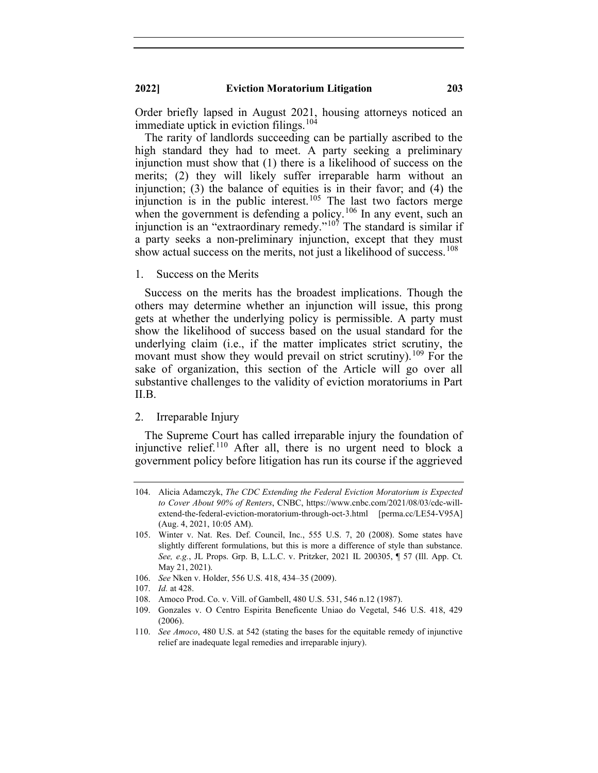Order briefly lapsed in August 2021, housing attorneys noticed an immediate uptick in eviction filings.<sup>[104](#page-19-0)</sup>

The rarity of landlords succeeding can be partially ascribed to the high standard they had to meet. A party seeking a preliminary injunction must show that (1) there is a likelihood of success on the merits; (2) they will likely suffer irreparable harm without an injunction; (3) the balance of equities is in their favor; and (4) the injunction is in the public interest.<sup>[105](#page-19-1)</sup> The last two factors merge when the government is defending a policy.<sup>[106](#page-19-2)</sup> In any event, such an injunction is an "extraordinary remedy."<sup>[107](#page-19-3)</sup> The standard is similar if a party seeks a non-preliminary injunction, except that they must show actual success on the merits, not just a likelihood of success.<sup>[108](#page-19-4)</sup>

1. Success on the Merits

Success on the merits has the broadest implications. Though the others may determine whether an injunction will issue, this prong gets at whether the underlying policy is permissible. A party must show the likelihood of success based on the usual standard for the underlying claim (i.e., if the matter implicates strict scrutiny, the movant must show they would prevail on strict scrutiny).<sup>[109](#page-19-5)</sup> For the sake of organization, this section of the Article will go over all substantive challenges to the validity of eviction moratoriums in Part II.B.

#### 2. Irreparable Injury

The Supreme Court has called irreparable injury the foundation of injunctive relief.<sup>[110](#page-19-6)</sup> After all, there is no urgent need to block a government policy before litigation has run its course if the aggrieved

- <span id="page-19-2"></span>106. *See* Nken v. Holder, 556 U.S. 418, 434–35 (2009).
- <span id="page-19-3"></span>107. *Id.* at 428.
- 108. Amoco Prod. Co. v. Vill. of Gambell, 480 U.S. 531, 546 n.12 (1987).
- <span id="page-19-5"></span><span id="page-19-4"></span>109. Gonzales v. O Centro Espirita Beneficente Uniao do Vegetal, 546 U.S. 418, 429 (2006).

<span id="page-19-0"></span><sup>104.</sup> Alicia Adamczyk, *The CDC Extending the Federal Eviction Moratorium is Expected to Cover About 90% of Renters*, CNBC, https://www.cnbc.com/2021/08/03/cdc-willextend-the-federal-eviction-moratorium-through-oct-3.html [perma.cc/LE54-V95A] (Aug. 4, 2021, 10:05 AM).

<span id="page-19-1"></span><sup>105.</sup> Winter v. Nat. Res. Def. Council, Inc., 555 U.S. 7, 20 (2008). Some states have slightly different formulations, but this is more a difference of style than substance. *See, e.g.*, JL Props. Grp. B, L.L.C. v. Pritzker, 2021 IL 200305, ¶ 57 (Ill. App. Ct. May 21, 2021).

<span id="page-19-6"></span><sup>110.</sup> *See Amoco*, 480 U.S. at 542 (stating the bases for the equitable remedy of injunctive relief are inadequate legal remedies and irreparable injury).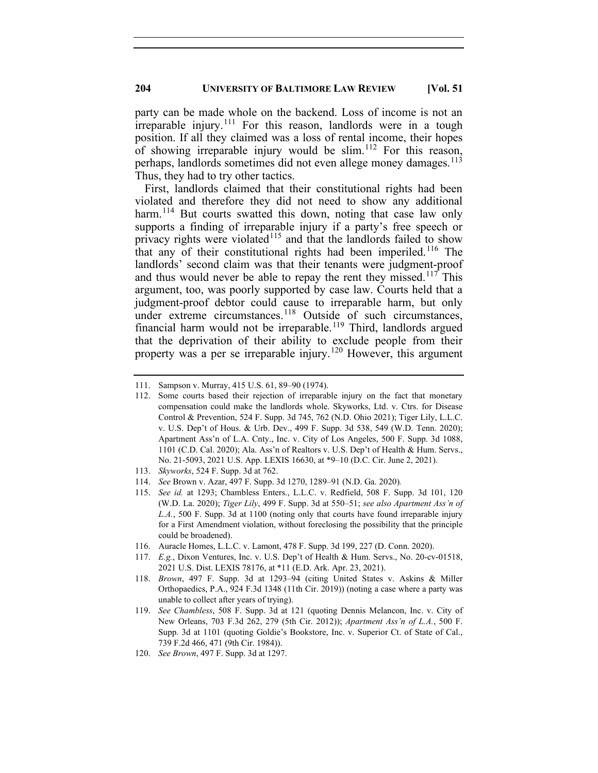party can be made whole on the backend. Loss of income is not an irreparable injury.<sup>[111](#page-20-0)</sup> For this reason, landlords were in a tough position. If all they claimed was a loss of rental income, their hopes of showing irreparable injury would be slim.<sup>[112](#page-20-1)</sup> For this reason, perhaps, landlords sometimes did not even allege money damages.<sup>[113](#page-20-2)</sup> Thus, they had to try other tactics.

First, landlords claimed that their constitutional rights had been violated and therefore they did not need to show any additional harm.<sup>[114](#page-20-3)</sup> But courts swatted this down, noting that case law only supports a finding of irreparable injury if a party's free speech or privacy rights were violated<sup>[115](#page-20-4)</sup> and that the landlords failed to show that any of their constitutional rights had been imperiled.<sup>[116](#page-20-5)</sup> The landlords' second claim was that their tenants were judgment-proof and thus would never be able to repay the rent they missed.<sup>[117](#page-20-6)</sup> This argument, too, was poorly supported by case law. Courts held that a judgment-proof debtor could cause to irreparable harm, but only under extreme circumstances.<sup>[118](#page-20-7)</sup> Outside of such circumstances, financial harm would not be irreparable.<sup>[119](#page-20-8)</sup> Third, landlords argued that the deprivation of their ability to exclude people from their property was a per se irreparable injury.<sup>[120](#page-20-9)</sup> However, this argument

- <span id="page-20-4"></span>114. *See* Brown v. Azar, 497 F. Supp. 3d 1270, 1289–91 (N.D. Ga. 2020)*.*
- 115. *See id.* at 1293; Chambless Enters., L.L.C. v. Redfield, 508 F. Supp. 3d 101, 120 (W.D. La. 2020); *Tiger Lily*, 499 F. Supp. 3d at 550–51; *see also Apartment Ass'n of L.A.*, 500 F. Supp. 3d at 1100 (noting only that courts have found irreparable injury for a First Amendment violation, without foreclosing the possibility that the principle could be broadened).
- <span id="page-20-5"></span>116. Auracle Homes, L.L.C. v. Lamont, 478 F. Supp. 3d 199, 227 (D. Conn. 2020).
- <span id="page-20-6"></span>117. *E.g.*, Dixon Ventures, Inc. v. U.S. Dep't of Health & Hum. Servs., No. 20-cv-01518, 2021 U.S. Dist. LEXIS 78176, at \*11 (E.D. Ark. Apr. 23, 2021).
- <span id="page-20-7"></span>118. *Brown*, 497 F. Supp. 3d at 1293–94 (citing United States v. Askins & Miller Orthopaedics, P.A., 924 F.3d 1348 (11th Cir. 2019)) (noting a case where a party was unable to collect after years of trying).
- <span id="page-20-8"></span>119. *See Chambless*, 508 F. Supp. 3d at 121 (quoting Dennis Melancon, Inc. v. City of New Orleans, 703 F.3d 262, 279 (5th Cir. 2012)); *Apartment Ass'n of L.A.*, 500 F. Supp. 3d at 1101 (quoting Goldie's Bookstore, Inc. v. Superior Ct. of State of Cal., 739 F.2d 466, 471 (9th Cir. 1984)).
- <span id="page-20-9"></span>120. *See Brown*, 497 F. Supp. 3d at 1297.

<span id="page-20-1"></span><span id="page-20-0"></span><sup>111.</sup> Sampson v. Murray, 415 U.S. 61, 89–90 (1974).

<sup>112.</sup> Some courts based their rejection of irreparable injury on the fact that monetary compensation could make the landlords whole. Skyworks, Ltd. v. Ctrs. for Disease Control & Prevention, 524 F. Supp. 3d 745, 762 (N.D. Ohio 2021); Tiger Lily, L.L.C. v. U.S. Dep't of Hous. & Urb. Dev., 499 F. Supp. 3d 538, 549 (W.D. Tenn. 2020); Apartment Ass'n of L.A. Cnty., Inc. v. City of Los Angeles, 500 F. Supp. 3d 1088, 1101 (C.D. Cal. 2020); Ala. Ass'n of Realtors v. U.S. Dep't of Health & Hum. Servs., No. 21-5093, 2021 U.S. App. LEXIS 16630, at \*9–10 (D.C. Cir. June 2, 2021).

<span id="page-20-3"></span><span id="page-20-2"></span><sup>113.</sup> *Skyworks*, 524 F. Supp. 3d at 762.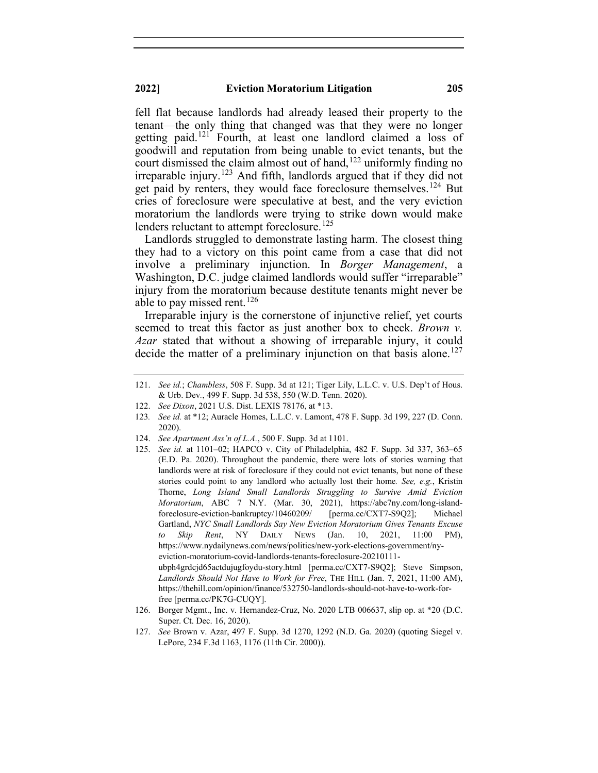fell flat because landlords had already leased their property to the tenant—the only thing that changed was that they were no longer getting paid.[121](#page-21-0) Fourth, at least one landlord claimed a loss of goodwill and reputation from being unable to evict tenants, but the court dismissed the claim almost out of hand, [122](#page-21-1) uniformly finding no irreparable injury.[123](#page-21-2) And fifth, landlords argued that if they did not get paid by renters, they would face foreclosure themselves.<sup>[124](#page-21-3)</sup> But cries of foreclosure were speculative at best, and the very eviction moratorium the landlords were trying to strike down would make lenders reluctant to attempt foreclosure.<sup>[125](#page-21-4)</sup>

Landlords struggled to demonstrate lasting harm. The closest thing they had to a victory on this point came from a case that did not involve a preliminary injunction. In *Borger Management*, a Washington, D.C. judge claimed landlords would suffer "irreparable" injury from the moratorium because destitute tenants might never be able to pay missed rent.<sup>[126](#page-21-5)</sup>

Irreparable injury is the cornerstone of injunctive relief, yet courts seemed to treat this factor as just another box to check. *Brown v. Azar* stated that without a showing of irreparable injury, it could decide the matter of a preliminary injunction on that basis alone.<sup>[127](#page-21-6)</sup>

- 122. *See Dixon*, 2021 U.S. Dist. LEXIS 78176, at \*13.
- <span id="page-21-2"></span><span id="page-21-1"></span>123*. See id.* at \*12; Auracle Homes, L.L.C. v. Lamont, 478 F. Supp. 3d 199, 227 (D. Conn. 2020).
- <span id="page-21-4"></span><span id="page-21-3"></span>124. *See Apartment Ass'n of L.A.*, 500 F. Supp. 3d at 1101.
- 125. *See id.* at 1101–02; HAPCO v. City of Philadelphia, 482 F. Supp. 3d 337, 363–65 (E.D. Pa. 2020). Throughout the pandemic, there were lots of stories warning that landlords were at risk of foreclosure if they could not evict tenants, but none of these stories could point to any landlord who actually lost their home*. See, e.g.*, Kristin Thorne, *Long Island Small Landlords Struggling to Survive Amid Eviction Moratorium*, ABC 7 N.Y. (Mar. 30, 2021), https://abc7ny.com/long-islandforeclosure-eviction-bankruptcy/10460209/ [perma.cc/CXT7-S9Q2]; Michael Gartland, *NYC Small Landlords Say New Eviction Moratorium Gives Tenants Excuse to Skip Rent*, NY DAILY NEWS (Jan. 10, 2021, 11:00 PM), https://www.nydailynews.com/news/politics/new-york-elections-government/nyeviction-moratorium-covid-landlords-tenants-foreclosure-20210111 ubph4grdcjd65actdujugfoydu-story.html [perma.cc/CXT7-S9Q2]; Steve Simpson, *Landlords Should Not Have to Work for Free*, THE HILL (Jan. 7, 2021, 11:00 AM), https://thehill.com/opinion/finance/532750-landlords-should-not-have-to-work-forfree [perma.cc/PK7G-CUQY].
- <span id="page-21-5"></span>126. Borger Mgmt., Inc. v. Hernandez-Cruz, No. 2020 LTB 006637, slip op. at \*20 (D.C. Super. Ct. Dec. 16, 2020).
- <span id="page-21-6"></span>127. *See* Brown v. Azar, 497 F. Supp. 3d 1270, 1292 (N.D. Ga. 2020) (quoting Siegel v. LePore, 234 F.3d 1163, 1176 (11th Cir. 2000)).

<span id="page-21-0"></span><sup>121.</sup> *See id.*; *Chambless*, 508 F. Supp. 3d at 121; Tiger Lily, L.L.C. v. U.S. Dep't of Hous. & Urb. Dev*.*, 499 F. Supp. 3d 538, 550 (W.D. Tenn. 2020).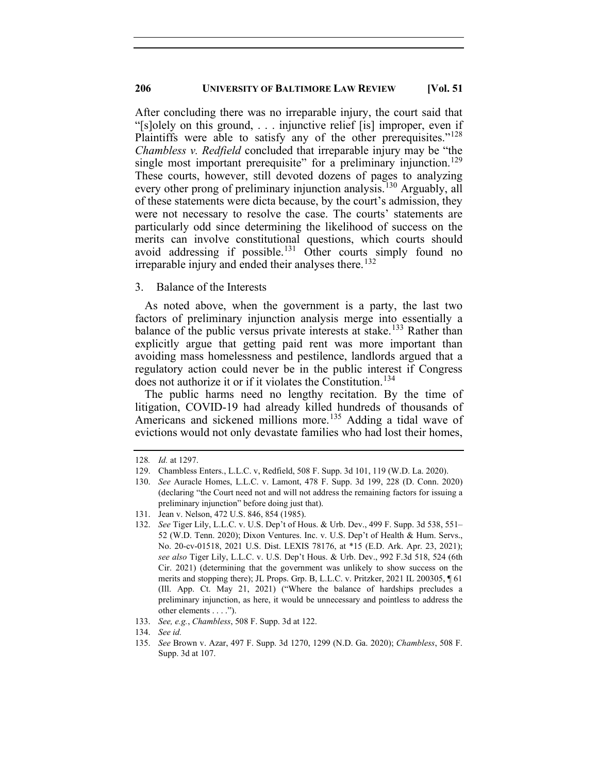After concluding there was no irreparable injury, the court said that "[s]olely on this ground, . . . injunctive relief [is] improper, even if Plaintiffs were able to satisfy any of the other prerequisites."<sup>[128](#page-22-0)</sup> *Chambless v. Redfield* concluded that irreparable injury may be "the single most important prerequisite" for a preliminary injunction.<sup>[129](#page-22-1)</sup> These courts, however, still devoted dozens of pages to analyzing every other prong of preliminary injunction analysis.<sup>[130](#page-22-2)</sup> Arguably, all of these statements were dicta because, by the court's admission, they were not necessary to resolve the case. The courts' statements are particularly odd since determining the likelihood of success on the merits can involve constitutional questions, which courts should avoid addressing if possible.<sup>[131](#page-22-3)</sup> Other courts simply found no irreparable injury and ended their analyses there. [132](#page-22-4)

#### 3. Balance of the Interests

As noted above, when the government is a party, the last two factors of preliminary injunction analysis merge into essentially a balance of the public versus private interests at stake.<sup>[133](#page-22-5)</sup> Rather than explicitly argue that getting paid rent was more important than avoiding mass homelessness and pestilence, landlords argued that a regulatory action could never be in the public interest if Congress does not authorize it or if it violates the Constitution.<sup>[134](#page-22-6)</sup>

The public harms need no lengthy recitation. By the time of litigation, COVID-19 had already killed hundreds of thousands of Americans and sickened millions more.<sup>[135](#page-22-7)</sup> Adding a tidal wave of evictions would not only devastate families who had lost their homes,

133. *See, e.g.*, *Chambless*, 508 F. Supp. 3d at 122.

<span id="page-22-1"></span><span id="page-22-0"></span><sup>128</sup>*. Id.* at 1297.

<sup>129.</sup> Chambless Enters., L.L.C. v, Redfield, 508 F. Supp. 3d 101, 119 (W.D. La. 2020).

<span id="page-22-2"></span><sup>130.</sup> *See* Auracle Homes, L.L.C. v. Lamont, 478 F. Supp. 3d 199, 228 (D. Conn. 2020) (declaring "the Court need not and will not address the remaining factors for issuing a preliminary injunction" before doing just that).

<span id="page-22-3"></span><sup>131.</sup> Jean v. Nelson, 472 U.S. 846, 854 (1985).

<span id="page-22-4"></span><sup>132.</sup> *See* Tiger Lily, L.L.C. v. U.S. Dep't of Hous. & Urb. Dev., 499 F. Supp. 3d 538, 551– 52 (W.D. Tenn. 2020); Dixon Ventures. Inc. v. U.S. Dep't of Health & Hum. Servs., No. 20-cv-01518, 2021 U.S. Dist. LEXIS 78176, at \*15 (E.D. Ark. Apr. 23, 2021); *see also* Tiger Lily, L.L.C. v. U.S. Dep't Hous. & Urb. Dev., 992 F.3d 518, 524 (6th Cir. 2021) (determining that the government was unlikely to show success on the merits and stopping there); JL Props. Grp. B, L.L.C. v. Pritzker, 2021 IL 200305, ¶ 61 (Ill. App. Ct. May 21, 2021) ("Where the balance of hardships precludes a preliminary injunction, as here, it would be unnecessary and pointless to address the other elements . . . .").

<span id="page-22-5"></span><sup>134.</sup> *See id.*

<span id="page-22-7"></span><span id="page-22-6"></span><sup>135.</sup> *See* Brown v. Azar, 497 F. Supp. 3d 1270, 1299 (N.D. Ga. 2020); *Chambless*, 508 F. Supp. 3d at 107.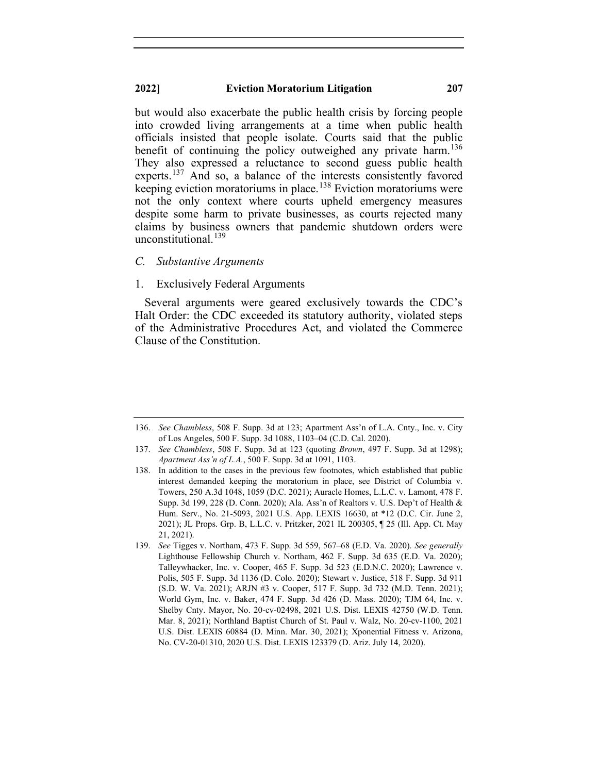but would also exacerbate the public health crisis by forcing people into crowded living arrangements at a time when public health officials insisted that people isolate. Courts said that the public benefit of continuing the policy outweighed any private harm.<sup>[136](#page-23-0)</sup> They also expressed a reluctance to second guess public health experts.<sup>[137](#page-23-1)</sup> And so, a balance of the interests consistently favored keeping eviction moratoriums in place.<sup>[138](#page-23-2)</sup> Eviction moratoriums were not the only context where courts upheld emergency measures despite some harm to private businesses, as courts rejected many claims by business owners that pandemic shutdown orders were unconstitutional.<sup>[139](#page-23-3)</sup>

#### *C. Substantive Arguments*

## 1. Exclusively Federal Arguments

Several arguments were geared exclusively towards the CDC's Halt Order: the CDC exceeded its statutory authority, violated steps of the Administrative Procedures Act, and violated the Commerce Clause of the Constitution.

<span id="page-23-0"></span><sup>136.</sup> *See Chambless*, 508 F. Supp. 3d at 123; Apartment Ass'n of L.A. Cnty., Inc. v. City of Los Angeles, 500 F. Supp. 3d 1088, 1103–04 (C.D. Cal. 2020).

<span id="page-23-1"></span><sup>137.</sup> *See Chambless*, 508 F. Supp. 3d at 123 (quoting *Brown*, 497 F. Supp. 3d at 1298); *Apartment Ass'n of L.A.*, 500 F. Supp. 3d at 1091, 1103.

<span id="page-23-2"></span><sup>138.</sup> In addition to the cases in the previous few footnotes, which established that public interest demanded keeping the moratorium in place, see District of Columbia v. Towers, 250 A.3d 1048, 1059 (D.C. 2021); Auracle Homes, L.L.C. v. Lamont, 478 F. Supp. 3d 199, 228 (D. Conn. 2020); Ala. Ass'n of Realtors v. U.S. Dep't of Health & Hum. Serv., No. 21-5093, 2021 U.S. App. LEXIS 16630, at \*12 (D.C. Cir. June 2, 2021); JL Props. Grp. B, L.L.C. v. Pritzker, 2021 IL 200305, ¶ 25 (Ill. App. Ct. May 21, 2021).

<span id="page-23-3"></span><sup>139.</sup> *See* Tigges v. Northam, 473 F. Supp. 3d 559, 567–68 (E.D. Va. 2020). *See generally* Lighthouse Fellowship Church v. Northam, 462 F. Supp. 3d 635 (E.D. Va. 2020); Talleywhacker, Inc. v. Cooper, 465 F. Supp. 3d 523 (E.D.N.C. 2020); Lawrence v. Polis, 505 F. Supp. 3d 1136 (D. Colo. 2020); Stewart v. Justice, 518 F. Supp. 3d 911 (S.D. W. Va. 2021); ARJN #3 v. Cooper, 517 F. Supp. 3d 732 (M.D. Tenn. 2021); World Gym, Inc. v. Baker, 474 F. Supp. 3d 426 (D. Mass. 2020); TJM 64, Inc. v. Shelby Cnty. Mayor, No. 20-cv-02498, 2021 U.S. Dist. LEXIS 42750 (W.D. Tenn. Mar. 8, 2021); Northland Baptist Church of St. Paul v. Walz, No. 20-cv-1100, 2021 U.S. Dist. LEXIS 60884 (D. Minn. Mar. 30, 2021); Xponential Fitness v. Arizona, No. CV-20-01310, 2020 U.S. Dist. LEXIS 123379 (D. Ariz. July 14, 2020).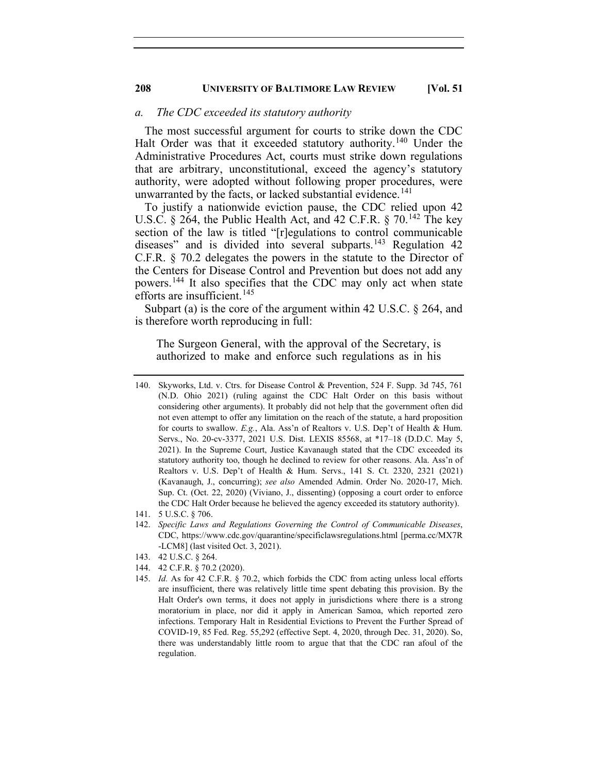## *a. The CDC exceeded its statutory authority*

The most successful argument for courts to strike down the CDC Halt Order was that it exceeded statutory authority.<sup>[140](#page-24-0)</sup> Under the Administrative Procedures Act, courts must strike down regulations that are arbitrary, unconstitutional, exceed the agency's statutory authority, were adopted without following proper procedures, were unwarranted by the facts, or lacked substantial evidence. [141](#page-24-1)

To justify a nationwide eviction pause, the CDC relied upon 42 U.S.C. § 264, the Public Health Act, and 42 C.F.R. § 70.<sup>[142](#page-24-2)</sup> The key section of the law is titled "[r]egulations to control communicable diseases" and is divided into several subparts.<sup>[143](#page-24-3)</sup> Regulation 42 C.F.R. § 70.2 delegates the powers in the statute to the Director of the Centers for Disease Control and Prevention but does not add any powers.[144](#page-24-4) It also specifies that the CDC may only act when state efforts are insufficient.<sup>[145](#page-24-5)</sup>

Subpart (a) is the core of the argument within 42 U.S.C. § 264, and is therefore worth reproducing in full:

The Surgeon General, with the approval of the Secretary, is authorized to make and enforce such regulations as in his

- <span id="page-24-3"></span>143. 42 U.S.C. § 264.
- <span id="page-24-5"></span><span id="page-24-4"></span>144. 42 C.F.R. § 70.2 (2020).
- 145. *Id.* As for 42 C.F.R. § 70.2, which forbids the CDC from acting unless local efforts are insufficient, there was relatively little time spent debating this provision. By the Halt Order's own terms, it does not apply in jurisdictions where there is a strong moratorium in place, nor did it apply in American Samoa, which reported zero infections. Temporary Halt in Residential Evictions to Prevent the Further Spread of COVID-19, 85 Fed. Reg. 55,292 (effective Sept. 4, 2020, through Dec. 31, 2020). So, there was understandably little room to argue that that the CDC ran afoul of the regulation.

<span id="page-24-0"></span><sup>140.</sup> Skyworks, Ltd. v. Ctrs. for Disease Control & Prevention, 524 F. Supp. 3d 745, 761 (N.D. Ohio 2021) (ruling against the CDC Halt Order on this basis without considering other arguments). It probably did not help that the government often did not even attempt to offer any limitation on the reach of the statute, a hard proposition for courts to swallow. *E.g.*, Ala. Ass'n of Realtors v. U.S. Dep't of Health & Hum. Servs., No. 20-cv-3377, 2021 U.S. Dist. LEXIS 85568, at \*17–18 (D.D.C. May 5, 2021). In the Supreme Court, Justice Kavanaugh stated that the CDC exceeded its statutory authority too, though he declined to review for other reasons. Ala. Ass'n of Realtors v. U.S. Dep't of Health & Hum. Servs., 141 S. Ct. 2320, 2321 (2021) (Kavanaugh, J., concurring); *see also* Amended Admin. Order No. 2020-17, Mich. Sup. Ct. (Oct. 22, 2020) (Viviano, J., dissenting) (opposing a court order to enforce the CDC Halt Order because he believed the agency exceeded its statutory authority).

<sup>141.</sup> 5 U.S.C. § 706.

<span id="page-24-2"></span><span id="page-24-1"></span><sup>142.</sup> *Specific Laws and Regulations Governing the Control of Communicable Diseases*, CDC, https://www.cdc.gov/quarantine/specificlawsregulations.html [perma.cc/MX7R -LCM8] (last visited Oct. 3, 2021).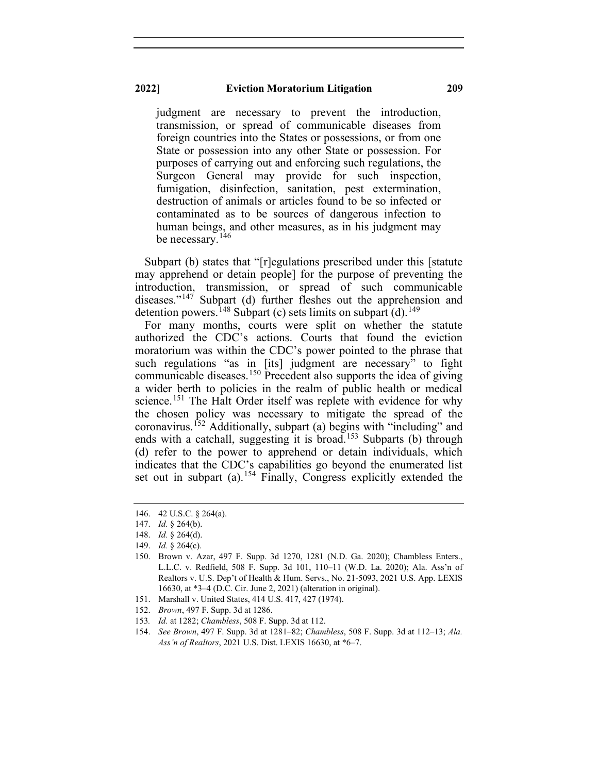judgment are necessary to prevent the introduction, transmission, or spread of communicable diseases from foreign countries into the States or possessions, or from one State or possession into any other State or possession. For purposes of carrying out and enforcing such regulations, the Surgeon General may provide for such inspection, fumigation, disinfection, sanitation, pest extermination, destruction of animals or articles found to be so infected or contaminated as to be sources of dangerous infection to human beings, and other measures, as in his judgment may be necessary.<sup>[146](#page-25-0)</sup>

Subpart (b) states that "[r]egulations prescribed under this [statute may apprehend or detain people] for the purpose of preventing the introduction, transmission, or spread of such communicable diseases."<sup>[147](#page-25-1)</sup> Subpart (d) further fleshes out the apprehension and detention powers.<sup>[148](#page-25-2)</sup> Subpart (c) sets limits on subpart (d).<sup>[149](#page-25-3)</sup>

For many months, courts were split on whether the statute authorized the CDC's actions. Courts that found the eviction moratorium was within the CDC's power pointed to the phrase that such regulations "as in [its] judgment are necessary" to fight communicable diseases.[150](#page-25-4) Precedent also supports the idea of giving a wider berth to policies in the realm of public health or medical science.<sup>[151](#page-25-5)</sup> The Halt Order itself was replete with evidence for why the chosen policy was necessary to mitigate the spread of the coronavirus.[152](#page-25-6) Additionally, subpart (a) begins with "including" and ends with a catchall, suggesting it is broad.<sup>[153](#page-25-7)</sup> Subparts (b) through (d) refer to the power to apprehend or detain individuals, which indicates that the CDC's capabilities go beyond the enumerated list set out in subpart (a).<sup>[154](#page-25-8)</sup> Finally, Congress explicitly extended the

- 151. Marshall v. United States, 414 U.S. 417, 427 (1974).
- <span id="page-25-6"></span><span id="page-25-5"></span>152. *Brown*, 497 F. Supp. 3d at 1286.
- <span id="page-25-7"></span>153*. Id.* at 1282; *Chambless*, 508 F. Supp. 3d at 112.
- <span id="page-25-8"></span>154. *See Brown*, 497 F. Supp. 3d at 1281–82; *Chambless*, 508 F. Supp. 3d at 112–13; *Ala. Ass'n of Realtors*, 2021 U.S. Dist. LEXIS 16630, at \*6–7.

<span id="page-25-0"></span><sup>146.</sup> 42 U.S.C. § 264(a).

<span id="page-25-1"></span><sup>147.</sup> *Id.* § 264(b).

<sup>148.</sup> *Id.* § 264(d).

<sup>149.</sup> *Id.* § 264(c).

<span id="page-25-4"></span><span id="page-25-3"></span><span id="page-25-2"></span><sup>150.</sup> Brown v. Azar, 497 F. Supp. 3d 1270, 1281 (N.D. Ga. 2020); Chambless Enters., L.L.C. v. Redfield, 508 F. Supp. 3d 101, 110–11 (W.D. La. 2020); Ala. Ass'n of Realtors v. U.S. Dep't of Health & Hum. Servs., No. 21-5093, 2021 U.S. App. LEXIS 16630, at \*3–4 (D.C. Cir. June 2, 2021) (alteration in original).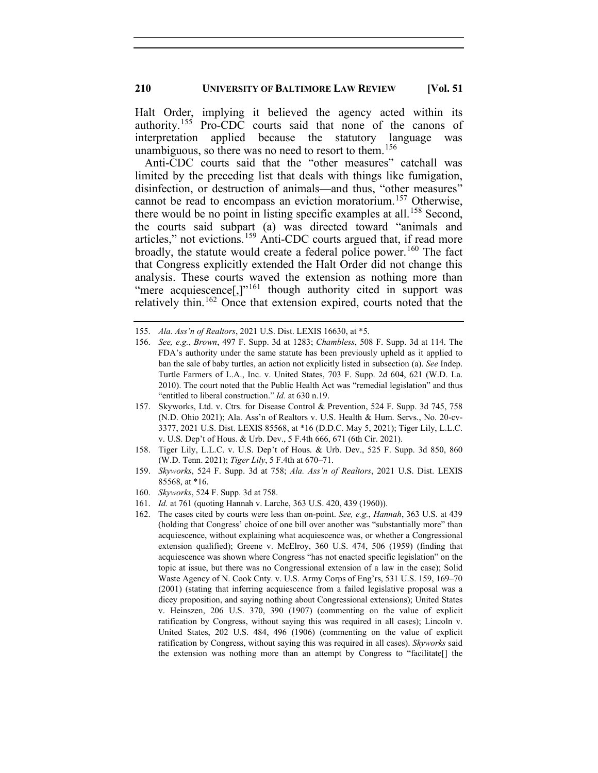Halt Order, implying it believed the agency acted within its authority.[155](#page-26-0) Pro-CDC courts said that none of the canons of interpretation applied because the statutory language was unambiguous, so there was no need to resort to them.<sup>[156](#page-26-1)</sup>

Anti-CDC courts said that the "other measures" catchall was limited by the preceding list that deals with things like fumigation, disinfection, or destruction of animals—and thus, "other measures" cannot be read to encompass an eviction moratorium.[157](#page-26-2) Otherwise, there would be no point in listing specific examples at all.<sup>[158](#page-26-3)</sup> Second, the courts said subpart (a) was directed toward "animals and articles," not evictions.<sup>[159](#page-26-4)</sup> Anti-CDC courts argued that, if read more broadly, the statute would create a federal police power.<sup>[160](#page-26-5)</sup> The fact that Congress explicitly extended the Halt Order did not change this analysis. These courts waved the extension as nothing more than "mere acquiescence[,]"<sup>[161](#page-26-6)</sup> though authority cited in support was relatively thin.<sup>[162](#page-26-7)</sup> Once that extension expired, courts noted that the

- <span id="page-26-2"></span>157. Skyworks, Ltd. v. Ctrs. for Disease Control & Prevention, 524 F. Supp. 3d 745, 758 (N.D. Ohio 2021); Ala. Ass'n of Realtors v. U.S. Health & Hum. Servs., No. 20-cv-3377, 2021 U.S. Dist. LEXIS 85568, at \*16 (D.D.C. May 5, 2021); Tiger Lily, L.L.C. v. U.S. Dep't of Hous. & Urb. Dev., 5 F.4th 666, 671 (6th Cir. 2021).
- <span id="page-26-3"></span>158. Tiger Lily, L.L.C. v. U.S. Dep't of Hous. & Urb. Dev., 525 F. Supp. 3d 850, 860 (W.D. Tenn. 2021); *Tiger Lily*, 5 F.4th at 670–71.
- <span id="page-26-4"></span>159. *Skyworks*, 524 F. Supp. 3d at 758; *Ala. Ass'n of Realtors*, 2021 U.S. Dist. LEXIS 85568, at \*16.
- <span id="page-26-6"></span><span id="page-26-5"></span>160. *Skyworks*, 524 F. Supp. 3d at 758.
- <span id="page-26-7"></span>161. *Id.* at 761 (quoting Hannah v. Larche, 363 U.S. 420, 439 (1960)).
- 162. The cases cited by courts were less than on-point. *See, e.g.*, *Hannah*, 363 U.S. at 439 (holding that Congress' choice of one bill over another was "substantially more" than acquiescence, without explaining what acquiescence was, or whether a Congressional extension qualified); Greene v. McElroy, 360 U.S. 474, 506 (1959) (finding that acquiescence was shown where Congress "has not enacted specific legislation" on the topic at issue, but there was no Congressional extension of a law in the case); Solid Waste Agency of N. Cook Cnty. v. U.S. Army Corps of Eng'rs, 531 U.S. 159, 169–70 (2001) (stating that inferring acquiescence from a failed legislative proposal was a dicey proposition, and saying nothing about Congressional extensions); United States v. Heinszen, 206 U.S. 370, 390 (1907) (commenting on the value of explicit ratification by Congress, without saying this was required in all cases); Lincoln v. United States, 202 U.S. 484, 496 (1906) (commenting on the value of explicit ratification by Congress, without saying this was required in all cases). *Skyworks* said the extension was nothing more than an attempt by Congress to "facilitate[] the

<span id="page-26-1"></span><span id="page-26-0"></span><sup>155.</sup> *Ala. Ass'n of Realtors*, 2021 U.S. Dist. LEXIS 16630, at \*5.

<sup>156.</sup> *See, e.g.*, *Brown*, 497 F. Supp. 3d at 1283; *Chambless*, 508 F. Supp. 3d at 114. The FDA's authority under the same statute has been previously upheld as it applied to ban the sale of baby turtles, an action not explicitly listed in subsection (a). *See* Indep. Turtle Farmers of L.A., Inc. v. United States, 703 F. Supp. 2d 604, 621 (W.D. La. 2010). The court noted that the Public Health Act was "remedial legislation" and thus "entitled to liberal construction." *Id.* at 630 n.19.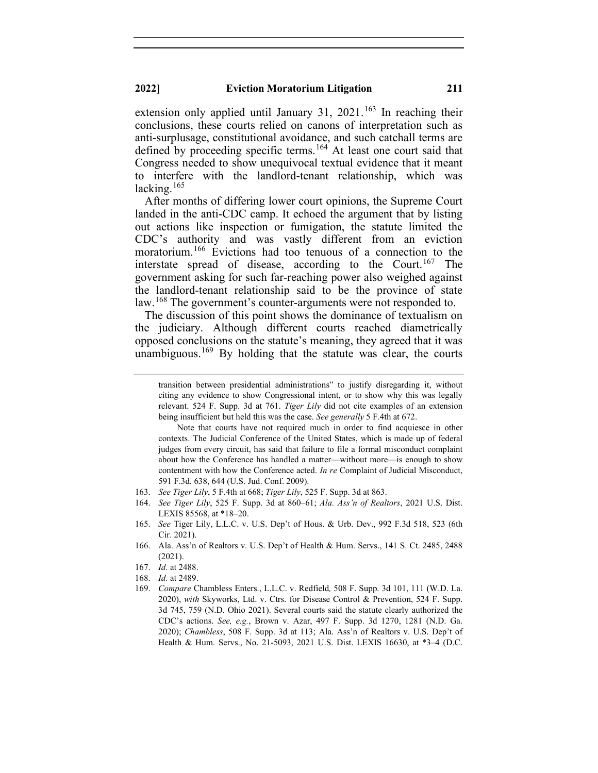extension only applied until January 31,  $2021$ .<sup>[163](#page-27-0)</sup> In reaching their conclusions, these courts relied on canons of interpretation such as anti-surplusage, constitutional avoidance, and such catchall terms are defined by proceeding specific terms.<sup>[164](#page-27-1)</sup> At least one court said that Congress needed to show unequivocal textual evidence that it meant to interfere with the landlord-tenant relationship, which was lacking. $165$ 

After months of differing lower court opinions, the Supreme Court landed in the anti-CDC camp. It echoed the argument that by listing out actions like inspection or fumigation, the statute limited the CDC's authority and was vastly different from an eviction moratorium. [166](#page-27-3) Evictions had too tenuous of a connection to the interstate spread of disease, according to the Court.<sup>[167](#page-27-4)</sup> The government asking for such far-reaching power also weighed against the landlord-tenant relationship said to be the province of state law.<sup>[168](#page-27-5)</sup> The government's counter-arguments were not responded to.

The discussion of this point shows the dominance of textualism on the judiciary. Although different courts reached diametrically opposed conclusions on the statute's meaning, they agreed that it was unambiguous.<sup>[169](#page-27-6)</sup> By holding that the statute was clear, the courts

transition between presidential administrations" to justify disregarding it, without citing any evidence to show Congressional intent, or to show why this was legally relevant. 524 F. Supp. 3d at 761. *Tiger Lily* did not cite examples of an extension being insufficient but held this was the case. *See generally* 5 F.4th at 672.

Note that courts have not required much in order to find acquiesce in other contexts. The Judicial Conference of the United States, which is made up of federal judges from every circuit, has said that failure to file a formal misconduct complaint about how the Conference has handled a matter—without more—is enough to show contentment with how the Conference acted. *In re* Complaint of Judicial Misconduct, 591 F.3d. 638, 644 (U.S. Jud. Conf. 2009).

<span id="page-27-0"></span><sup>163.</sup> *See Tiger Lily*, 5 F.4th at 668; *Tiger Lily*, 525 F. Supp. 3d at 863.

<span id="page-27-1"></span><sup>164.</sup> *See Tiger Lily*, 525 F. Supp. 3d at 860–61; *Ala. Ass'n of Realtors*, 2021 U.S. Dist. LEXIS 85568, at \*18–20.

<span id="page-27-2"></span><sup>165.</sup> *See* Tiger Lily, L.L.C. v. U.S. Dep't of Hous. & Urb. Dev., 992 F.3d 518, 523 (6th Cir. 2021).

<span id="page-27-3"></span><sup>166.</sup> Ala. Ass'n of Realtors v. U.S. Dep't of Health & Hum. Servs., 141 S. Ct. 2485, 2488 (2021).

<sup>167.</sup> *Id.* at 2488.

<span id="page-27-6"></span><span id="page-27-5"></span><span id="page-27-4"></span><sup>168.</sup> *Id.* at 2489.

<sup>169.</sup> *Compare* Chambless Enters., L.L.C. v. Redfield*,* 508 F. Supp. 3d 101, 111 (W.D. La. 2020), *with* Skyworks, Ltd. v. Ctrs. for Disease Control & Prevention, 524 F. Supp. 3d 745, 759 (N.D. Ohio 2021). Several courts said the statute clearly authorized the CDC's actions. *See, e.g.*, Brown v. Azar, 497 F. Supp. 3d 1270, 1281 (N.D. Ga. 2020); *Chambless*, 508 F. Supp. 3d at 113; Ala. Ass'n of Realtors v. U.S. Dep't of Health & Hum. Servs., No. 21-5093, 2021 U.S. Dist. LEXIS 16630, at \*3–4 (D.C.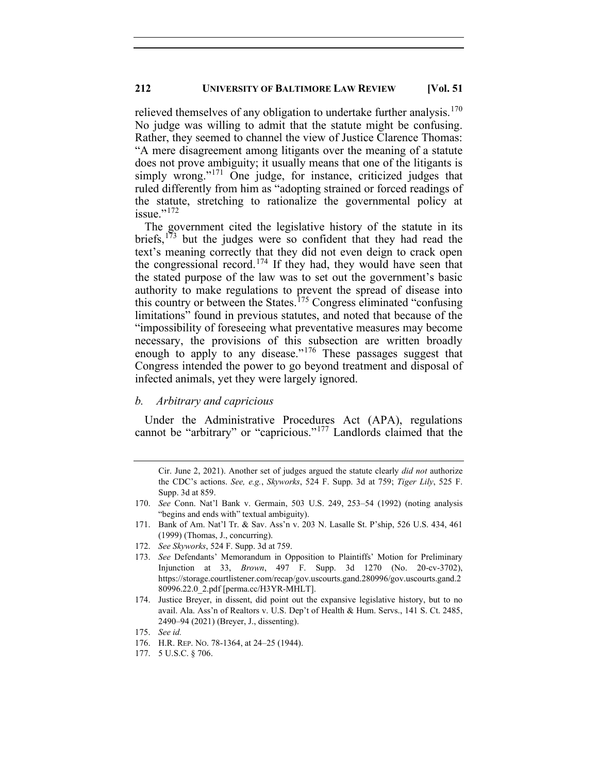relieved themselves of any obligation to undertake further analysis.<sup>[170](#page-28-0)</sup> No judge was willing to admit that the statute might be confusing. Rather, they seemed to channel the view of Justice Clarence Thomas: "A mere disagreement among litigants over the meaning of a statute does not prove ambiguity; it usually means that one of the litigants is simply wrong."<sup>[171](#page-28-1)</sup> One judge, for instance, criticized judges that ruled differently from him as "adopting strained or forced readings of the statute, stretching to rationalize the governmental policy at issue." $^{172}$  $^{172}$  $^{172}$ 

The government cited the legislative history of the statute in its briefs,  $173$  but the judges were so confident that they had read the text's meaning correctly that they did not even deign to crack open the congressional record.<sup>[174](#page-28-4)</sup> If they had, they would have seen that the stated purpose of the law was to set out the government's basic authority to make regulations to prevent the spread of disease into this country or between the States.<sup>[175](#page-28-5)</sup> Congress eliminated "confusing limitations" found in previous statutes, and noted that because of the "impossibility of foreseeing what preventative measures may become necessary, the provisions of this subsection are written broadly enough to apply to any disease."<sup>[176](#page-28-6)</sup> These passages suggest that Congress intended the power to go beyond treatment and disposal of infected animals, yet they were largely ignored.

#### *b. Arbitrary and capricious*

Under the Administrative Procedures Act (APA), regulations cannot be "arbitrary" or "capricious."[177](#page-28-7) Landlords claimed that the

- <span id="page-28-1"></span>171. Bank of Am. Nat'l Tr. & Sav. Ass'n v. 203 N. Lasalle St. P'ship, 526 U.S. 434, 461 (1999) (Thomas, J., concurring).
- <span id="page-28-2"></span>172. *See Skyworks*, 524 F. Supp. 3d at 759.
- <span id="page-28-3"></span>173. *See* Defendants' Memorandum in Opposition to Plaintiffs' Motion for Preliminary Injunction at 33, *Brown*, 497 F. Supp. 3d 1270 (No. 20-cv-3702), https://storage.courtlistener.com/recap/gov.uscourts.gand.280996/gov.uscourts.gand.2 80996.22.0\_2.pdf [perma.cc/H3YR-MHLT].
- <span id="page-28-4"></span>174. Justice Breyer, in dissent, did point out the expansive legislative history, but to no avail. Ala. Ass'n of Realtors v. U.S. Dep't of Health & Hum. Servs., 141 S. Ct. 2485, 2490–94 (2021) (Breyer, J., dissenting).

176. H.R. REP. NO. 78-1364, at 24–25 (1944).

Cir. June 2, 2021). Another set of judges argued the statute clearly *did not* authorize the CDC's actions. *See, e.g.*, *Skyworks*, 524 F. Supp. 3d at 759; *Tiger Lily*, 525 F. Supp. 3d at 859.

<span id="page-28-0"></span><sup>170.</sup> *See* Conn. Nat'l Bank v. Germain, 503 U.S. 249, 253–54 (1992) (noting analysis "begins and ends with" textual ambiguity).

<span id="page-28-6"></span><span id="page-28-5"></span><sup>175.</sup> *See id.*

<span id="page-28-7"></span><sup>177.</sup> 5 U.S.C. § 706.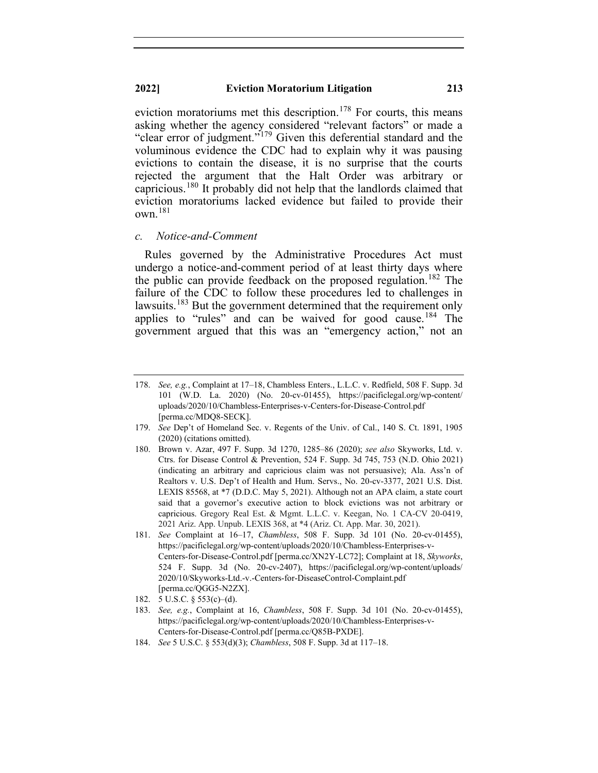eviction moratoriums met this description.<sup>[178](#page-29-0)</sup> For courts, this means asking whether the agency considered "relevant factors" or made a "clear error of judgment."[179](#page-29-1) Given this deferential standard and the voluminous evidence the CDC had to explain why it was pausing evictions to contain the disease, it is no surprise that the courts rejected the argument that the Halt Order was arbitrary or capricious.[180](#page-29-2) It probably did not help that the landlords claimed that eviction moratoriums lacked evidence but failed to provide their  $own.<sup>181</sup>$  $own.<sup>181</sup>$  $own.<sup>181</sup>$ 

#### *c. Notice-and-Comment*

Rules governed by the Administrative Procedures Act must undergo a notice-and-comment period of at least thirty days where the public can provide feedback on the proposed regulation.<sup>[182](#page-29-4)</sup> The failure of the CDC to follow these procedures led to challenges in lawsuits.<sup>[183](#page-29-5)</sup> But the government determined that the requirement only applies to "rules" and can be waived for good cause.<sup>[184](#page-29-6)</sup> The government argued that this was an "emergency action," not an

<span id="page-29-4"></span>182. 5 U.S.C. § 553(c)–(d).

<span id="page-29-6"></span>184. *See* 5 U.S.C. § 553(d)(3); *Chambless*, 508 F. Supp. 3d at 117–18.

<span id="page-29-0"></span><sup>178.</sup> *See, e.g.*, Complaint at 17–18, Chambless Enters., L.L.C. v. Redfield, 508 F. Supp. 3d 101 (W.D. La. 2020) (No. 20-cv-01455), https://pacificlegal.org/wp-content/ uploads/2020/10/Chambless-Enterprises-v-Centers-for-Disease-Control.pdf [perma.cc/MDQ8-SECK].

<span id="page-29-1"></span><sup>179.</sup> *See* Dep't of Homeland Sec. v. Regents of the Univ. of Cal., 140 S. Ct. 1891, 1905 (2020) (citations omitted).

<span id="page-29-2"></span><sup>180.</sup> Brown v. Azar, 497 F. Supp. 3d 1270, 1285–86 (2020); *see also* Skyworks, Ltd. v. Ctrs. for Disease Control & Prevention, 524 F. Supp. 3d 745, 753 (N.D. Ohio 2021) (indicating an arbitrary and capricious claim was not persuasive); Ala. Ass'n of Realtors v. U.S. Dep't of Health and Hum. Servs., No. 20-cv-3377, 2021 U.S. Dist. LEXIS 85568, at \*7 (D.D.C. May 5, 2021). Although not an APA claim, a state court said that a governor's executive action to block evictions was not arbitrary or capricious. Gregory Real Est. & Mgmt. L.L.C. v. Keegan, No. 1 CA-CV 20-0419, 2021 Ariz. App. Unpub. LEXIS 368, at \*4 (Ariz. Ct. App. Mar. 30, 2021).

<span id="page-29-3"></span><sup>181.</sup> *See* Complaint at 16–17, *Chambless*, 508 F. Supp. 3d 101 (No. 20-cv-01455), https://pacificlegal.org/wp-content/uploads/2020/10/Chambless-Enterprises-v-Centers-for-Disease-Control.pdf [perma.cc/XN2Y-LC72]; Complaint at 18, *Skyworks*, 524 F. Supp. 3d (No. 20-cv-2407), https://pacificlegal.org/wp-content/uploads/ 2020/10/Skyworks-Ltd.-v.-Centers-for-DiseaseControl-Complaint.pdf [perma.cc/QGG5-N2ZX].

<span id="page-29-5"></span><sup>183.</sup> *See, e.g.*, Complaint at 16, *Chambless*, 508 F. Supp. 3d 101 (No. 20-cv-01455), https://pacificlegal.org/wp-content/uploads/2020/10/Chambless-Enterprises-v-Centers-for-Disease-Control.pdf [perma.cc/Q85B-PXDE].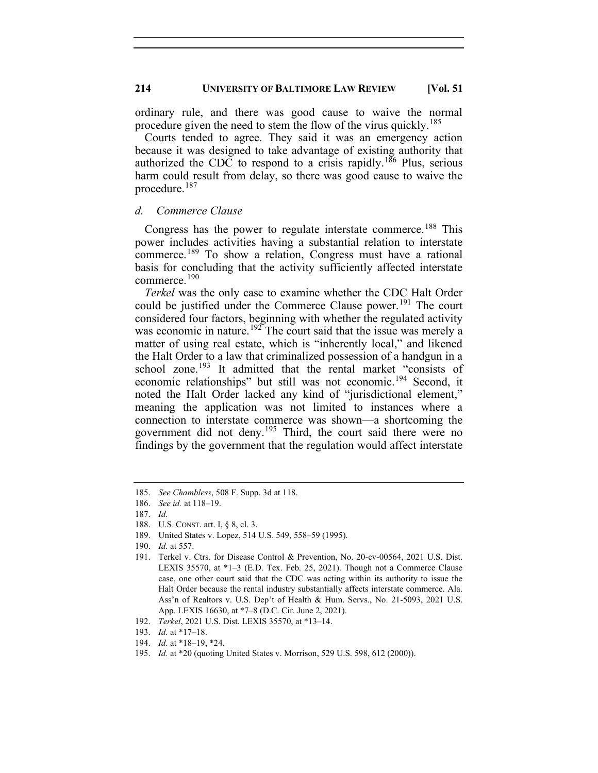ordinary rule, and there was good cause to waive the normal procedure given the need to stem the flow of the virus quickly.<sup>[185](#page-30-0)</sup>

Courts tended to agree. They said it was an emergency action because it was designed to take advantage of existing authority that authorized the CDC to respond to a crisis rapidly.<sup>[186](#page-30-1)</sup> Plus, serious harm could result from delay, so there was good cause to waive the procedure. [187](#page-30-2)

#### *d. Commerce Clause*

Congress has the power to regulate interstate commerce.<sup>[188](#page-30-3)</sup> This power includes activities having a substantial relation to interstate commerce.<sup>[189](#page-30-4)</sup> To show a relation, Congress must have a rational basis for concluding that the activity sufficiently affected interstate commerce.[190](#page-30-5)

*Terkel* was the only case to examine whether the CDC Halt Order could be justified under the Commerce Clause power.<sup>[191](#page-30-6)</sup> The court considered four factors, beginning with whether the regulated activity was economic in nature.<sup>[192](#page-30-7)</sup> The court said that the issue was merely a matter of using real estate, which is "inherently local," and likened the Halt Order to a law that criminalized possession of a handgun in a school zone.<sup>[193](#page-30-8)</sup> It admitted that the rental market "consists of economic relationships" but still was not economic.[194](#page-30-9) Second, it noted the Halt Order lacked any kind of "jurisdictional element," meaning the application was not limited to instances where a connection to interstate commerce was shown—a shortcoming the government did not deny.[195](#page-30-10) Third, the court said there were no findings by the government that the regulation would affect interstate

189. United States v. Lopez, 514 U.S. 549, 558–59 (1995).

<span id="page-30-0"></span><sup>185.</sup> *See Chambless*, 508 F. Supp. 3d at 118.

<span id="page-30-1"></span><sup>186.</sup> *See id.* at 118–19.

<span id="page-30-3"></span><span id="page-30-2"></span><sup>187.</sup> *Id.*

<sup>188.</sup> U.S. CONST. art. I, § 8, cl. 3.

<sup>190.</sup> *Id.* at 557.

<span id="page-30-6"></span><span id="page-30-5"></span><span id="page-30-4"></span><sup>191.</sup> Terkel v. Ctrs. for Disease Control & Prevention, No. 20-cv-00564, 2021 U.S. Dist. LEXIS 35570, at \*1–3 (E.D. Tex. Feb. 25, 2021). Though not a Commerce Clause case, one other court said that the CDC was acting within its authority to issue the Halt Order because the rental industry substantially affects interstate commerce. Ala. Ass'n of Realtors v. U.S. Dep't of Health & Hum. Servs., No. 21-5093, 2021 U.S. App. LEXIS 16630, at \*7–8 (D.C. Cir. June 2, 2021).

<span id="page-30-7"></span><sup>192.</sup> *Terkel*, 2021 U.S. Dist. LEXIS 35570, at \*13–14.

<sup>193.</sup> *Id.* at \*17–18.

<span id="page-30-10"></span><span id="page-30-9"></span><span id="page-30-8"></span><sup>194.</sup> *Id.* at \*18–19, \*24.

<sup>195.</sup> *Id.* at \*20 (quoting United States v. Morrison, 529 U.S. 598, 612 (2000)).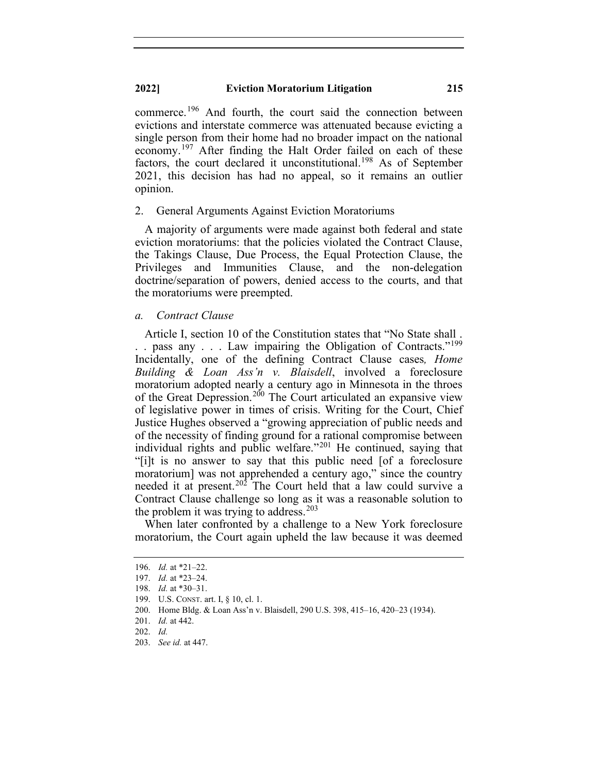commerce.<sup>[196](#page-31-0)</sup> And fourth, the court said the connection between evictions and interstate commerce was attenuated because evicting a single person from their home had no broader impact on the national economy.<sup>[197](#page-31-1)</sup> After finding the Halt Order failed on each of these factors, the court declared it unconstitutional.<sup>[198](#page-31-2)</sup> As of September 2021, this decision has had no appeal, so it remains an outlier opinion.

#### 2. General Arguments Against Eviction Moratoriums

A majority of arguments were made against both federal and state eviction moratoriums: that the policies violated the Contract Clause, the Takings Clause, Due Process, the Equal Protection Clause, the Privileges and Immunities Clause, and the non-delegation doctrine/separation of powers, denied access to the courts, and that the moratoriums were preempted.

### *a. Contract Clause*

Article I, section 10 of the Constitution states that "No State shall . .. pass any ... Law impairing the Obligation of Contracts."<sup>[199](#page-31-3)</sup> Incidentally, one of the defining Contract Clause cases*, Home Building & Loan Ass'n v. Blaisdell*, involved a foreclosure moratorium adopted nearly a century ago in Minnesota in the throes of the Great Depression.<sup>[200](#page-31-4)</sup> The Court articulated an expansive view of legislative power in times of crisis. Writing for the Court, Chief Justice Hughes observed a "growing appreciation of public needs and of the necessity of finding ground for a rational compromise between individual rights and public welfare."<sup>[201](#page-31-5)</sup> He continued, saying that "[i]t is no answer to say that this public need [of a foreclosure moratorium] was not apprehended a century ago," since the country needed it at present.[202](#page-31-6) The Court held that a law could survive a Contract Clause challenge so long as it was a reasonable solution to the problem it was trying to address.<sup>[203](#page-31-7)</sup>

When later confronted by a challenge to a New York foreclosure moratorium, the Court again upheld the law because it was deemed

<span id="page-31-0"></span><sup>196.</sup> *Id.* at \*21–22.

<span id="page-31-1"></span><sup>197.</sup> *Id.* at \*23–24.

<span id="page-31-2"></span><sup>198.</sup> *Id.* at \*30–31.

<span id="page-31-3"></span><sup>199.</sup> U.S. CONST. art. I, § 10, cl. 1.

<span id="page-31-4"></span><sup>200.</sup> Home Bldg. & Loan Ass'n v. Blaisdell, 290 U.S. 398, 415–16, 420–23 (1934).

<sup>201.</sup> *Id.* at 442.

<span id="page-31-6"></span><span id="page-31-5"></span><sup>202.</sup> *Id.*

<span id="page-31-7"></span><sup>203.</sup> *See id.* at 447.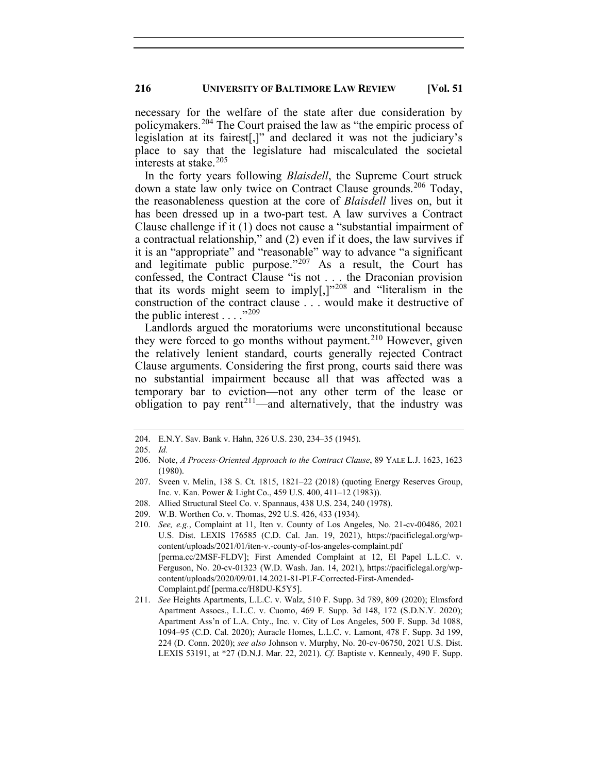necessary for the welfare of the state after due consideration by policymakers.[204](#page-32-0) The Court praised the law as "the empiric process of legislation at its fairest[,]" and declared it was not the judiciary's place to say that the legislature had miscalculated the societal interests at stake.<sup>[205](#page-32-1)</sup>

In the forty years following *Blaisdell*, the Supreme Court struck down a state law only twice on Contract Clause grounds.<sup>[206](#page-32-2)</sup> Today, the reasonableness question at the core of *Blaisdell* lives on, but it has been dressed up in a two-part test. A law survives a Contract Clause challenge if it (1) does not cause a "substantial impairment of a contractual relationship," and (2) even if it does, the law survives if it is an "appropriate" and "reasonable" way to advance "a significant and legitimate public purpose." $207$  As a result, the Court has confessed, the Contract Clause "is not . . . the Draconian provision that its words might seem to imply[,]"[208](#page-32-4) and "literalism in the construction of the contract clause . . . would make it destructive of the public interest  $\ldots$  ."[209](#page-32-5)"

Landlords argued the moratoriums were unconstitutional because they were forced to go months without payment.<sup>[210](#page-32-6)</sup> However, given the relatively lenient standard, courts generally rejected Contract Clause arguments. Considering the first prong, courts said there was no substantial impairment because all that was affected was a temporary bar to eviction—not any other term of the lease or obligation to pay rent<sup>[211](#page-32-7)</sup>—and alternatively, that the industry was

<span id="page-32-0"></span><sup>204.</sup> E.N.Y. Sav. Bank v. Hahn, 326 U.S. 230, 234–35 (1945).

<span id="page-32-1"></span><sup>205.</sup> *Id.*

<span id="page-32-2"></span><sup>206.</sup> Note, *A Process-Oriented Approach to the Contract Clause*, 89 YALE L.J. 1623, 1623 (1980).

<span id="page-32-3"></span><sup>207.</sup> Sveen v. Melin, 138 S. Ct. 1815, 1821–22 (2018) (quoting Energy Reserves Group, Inc. v. Kan. Power & Light Co., 459 U.S. 400, 411–12 (1983)).

<span id="page-32-4"></span><sup>208.</sup> Allied Structural Steel Co. v. Spannaus, 438 U.S. 234, 240 (1978).

<span id="page-32-5"></span><sup>209.</sup> W.B. Worthen Co. v. Thomas, 292 U.S. 426, 433 (1934).

<span id="page-32-6"></span><sup>210.</sup> *See, e.g.*, Complaint at 11, Iten v. County of Los Angeles, No. 21-cv-00486, 2021 U.S. Dist. LEXIS 176585 (C.D. Cal. Jan. 19, 2021), https://pacificlegal.org/wpcontent/uploads/2021/01/iten-v.-county-of-los-angeles-complaint.pdf [perma.cc/2MSF-FLDV]; First Amended Complaint at 12, El Papel L.L.C. v. Ferguson, No. 20-cv-01323 (W.D. Wash. Jan. 14, 2021), https://pacificlegal.org/wpcontent/uploads/2020/09/01.14.2021-81-PLF-Corrected-First-Amended-Complaint.pdf [perma.cc/H8DU-K5Y5].

<span id="page-32-7"></span><sup>211.</sup> *See* Heights Apartments, L.L.C. v. Walz, 510 F. Supp. 3d 789, 809 (2020); Elmsford Apartment Assocs., L.L.C. v. Cuomo, 469 F. Supp. 3d 148, 172 (S.D.N.Y. 2020); Apartment Ass'n of L.A. Cnty., Inc. v. City of Los Angeles, 500 F. Supp. 3d 1088, 1094–95 (C.D. Cal. 2020); Auracle Homes, L.L.C. v. Lamont, 478 F. Supp. 3d 199, 224 (D. Conn. 2020); *see also* Johnson v. Murphy, No. 20-cv-06750, 2021 U.S. Dist. LEXIS 53191, at \*27 (D.N.J. Mar. 22, 2021). *Cf.* Baptiste v. Kennealy, 490 F. Supp.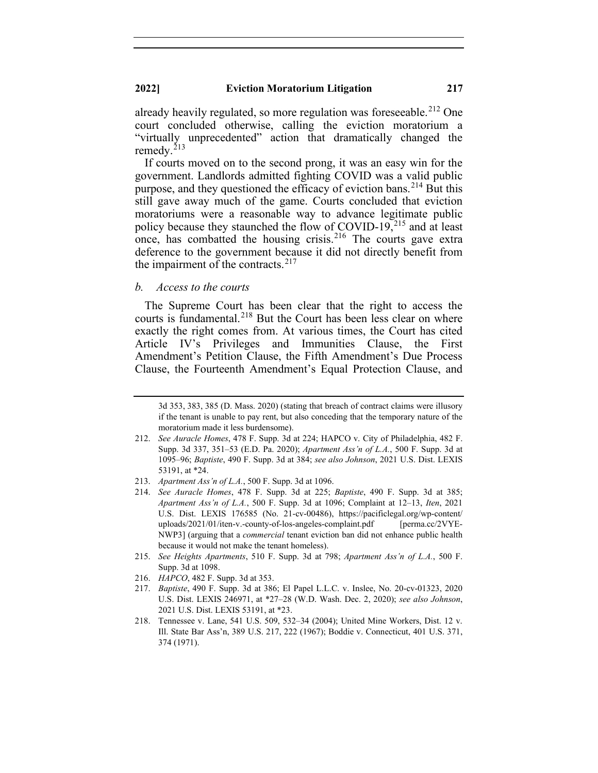already heavily regulated, so more regulation was foreseeable.<sup>[212](#page-33-0)</sup> One court concluded otherwise, calling the eviction moratorium a "virtually unprecedented" action that dramatically changed the remedy. $213$ 

If courts moved on to the second prong, it was an easy win for the government. Landlords admitted fighting COVID was a valid public purpose, and they questioned the efficacy of eviction bans.<sup>[214](#page-33-2)</sup> But this still gave away much of the game. Courts concluded that eviction moratoriums were a reasonable way to advance legitimate public policy because they staunched the flow of COVID-19, $^{215}$  $^{215}$  $^{215}$  and at least once, has combatted the housing crisis.<sup>[216](#page-33-4)</sup> The courts gave extra deference to the government because it did not directly benefit from the impairment of the contracts. $217$ 

## *b. Access to the courts*

The Supreme Court has been clear that the right to access the courts is fundamental.<sup>[218](#page-33-6)</sup> But the Court has been less clear on where exactly the right comes from. At various times, the Court has cited Article IV's Privileges and Immunities Clause, the First Amendment's Petition Clause, the Fifth Amendment's Due Process Clause, the Fourteenth Amendment's Equal Protection Clause, and

<sup>3</sup>d 353, 383, 385 (D. Mass. 2020) (stating that breach of contract claims were illusory if the tenant is unable to pay rent, but also conceding that the temporary nature of the moratorium made it less burdensome).

<span id="page-33-0"></span><sup>212.</sup> *See Auracle Homes*, 478 F. Supp. 3d at 224; HAPCO v. City of Philadelphia, 482 F. Supp. 3d 337, 351–53 (E.D. Pa. 2020); *Apartment Ass'n of L.A.*, 500 F. Supp. 3d at 1095–96; *Baptiste*, 490 F. Supp. 3d at 384; *see also Johnson*, 2021 U.S. Dist. LEXIS 53191, at \*24.

<span id="page-33-1"></span><sup>213.</sup> *Apartment Ass'n of L.A.*, 500 F. Supp. 3d at 1096.

<span id="page-33-2"></span><sup>214.</sup> *See Auracle Homes*, 478 F. Supp. 3d at 225; *Baptiste*, 490 F. Supp. 3d at 385; *Apartment Ass'n of L.A.*, 500 F. Supp. 3d at 1096; Complaint at 12–13, *Iten*, 2021 U.S. Dist. LEXIS 176585 (No. 21-cv-00486), https://pacificlegal.org/wp-content/ uploads/2021/01/iten-v.-county-of-los-angeles-complaint.pdf [perma.cc/2VYE-NWP3] (arguing that a *commercial* tenant eviction ban did not enhance public health because it would not make the tenant homeless).

<span id="page-33-3"></span><sup>215.</sup> *See Heights Apartments*, 510 F. Supp. 3d at 798; *Apartment Ass'n of L.A.*, 500 F. Supp. 3d at 1098.

<span id="page-33-5"></span><span id="page-33-4"></span><sup>216.</sup> *HAPCO*, 482 F. Supp. 3d at 353.

<sup>217.</sup> *Baptiste*, 490 F. Supp. 3d at 386; El Papel L.L.C. v. Inslee, No. 20-cv-01323, 2020 U.S. Dist. LEXIS 246971, at \*27–28 (W.D. Wash. Dec. 2, 2020); *see also Johnson*, 2021 U.S. Dist. LEXIS 53191, at \*23.

<span id="page-33-6"></span><sup>218.</sup> Tennessee v. Lane, 541 U.S. 509, 532–34 (2004); United Mine Workers, Dist. 12 v. Ill. State Bar Ass'n, 389 U.S. 217, 222 (1967); Boddie v. Connecticut, 401 U.S. 371, 374 (1971).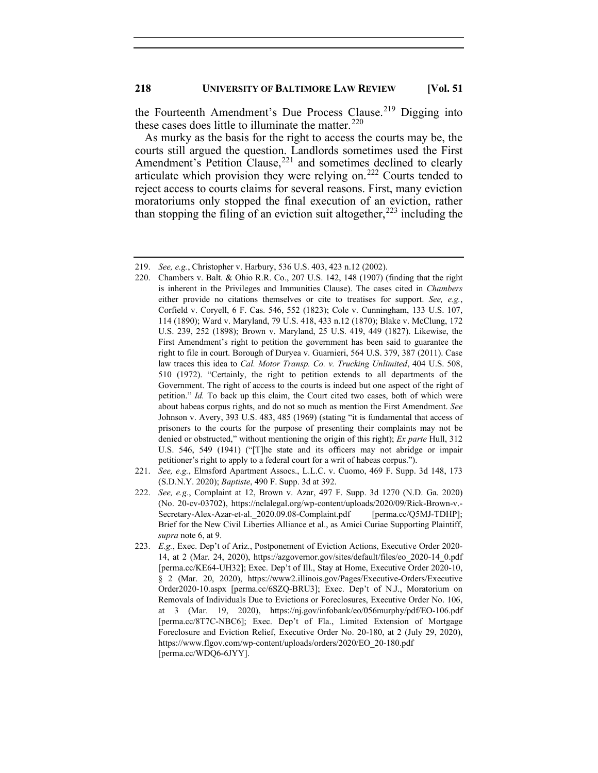the Fourteenth Amendment's Due Process Clause.<sup>[219](#page-34-0)</sup> Digging into these cases does little to illuminate the matter. $^{220}$  $^{220}$  $^{220}$ 

As murky as the basis for the right to access the courts may be, the courts still argued the question. Landlords sometimes used the First Amendment's Petition Clause,<sup>[221](#page-34-2)</sup> and sometimes declined to clearly articulate which provision they were relying on.<sup>[222](#page-34-3)</sup> Courts tended to reject access to courts claims for several reasons. First, many eviction moratoriums only stopped the final execution of an eviction, rather than stopping the filing of an eviction suit altogether,  $223$  including the

- <span id="page-34-1"></span>220. Chambers v. Balt. & Ohio R.R. Co., 207 U.S. 142, 148 (1907) (finding that the right is inherent in the Privileges and Immunities Clause). The cases cited in *Chambers*  either provide no citations themselves or cite to treatises for support. *See, e.g.*, Corfield v. Coryell, 6 F. Cas. 546, 552 (1823); Cole v. Cunningham, 133 U.S. 107, 114 (1890); Ward v. Maryland, 79 U.S. 418, 433 n.12 (1870); Blake v. McClung, 172 U.S. 239, 252 (1898); Brown v. Maryland, 25 U.S. 419, 449 (1827). Likewise, the First Amendment's right to petition the government has been said to guarantee the right to file in court. Borough of Duryea v. Guarnieri, 564 U.S. 379, 387 (2011). Case law traces this idea to *Cal. Motor Transp. Co. v. Trucking Unlimited*, 404 U.S. 508, 510 (1972). "Certainly, the right to petition extends to all departments of the Government. The right of access to the courts is indeed but one aspect of the right of petition." *Id.* To back up this claim, the Court cited two cases, both of which were about habeas corpus rights, and do not so much as mention the First Amendment. *See*  Johnson v. Avery, 393 U.S. 483, 485 (1969) (stating "it is fundamental that access of prisoners to the courts for the purpose of presenting their complaints may not be denied or obstructed," without mentioning the origin of this right); *Ex parte* Hull, 312 U.S. 546, 549 (1941) ("[T]he state and its officers may not abridge or impair petitioner's right to apply to a federal court for a writ of habeas corpus.").
- <span id="page-34-2"></span>221. *See, e.g.*, Elmsford Apartment Assocs., L.L.C. v. Cuomo, 469 F. Supp. 3d 148, 173 (S.D.N.Y. 2020); *Baptiste*, 490 F. Supp. 3d at 392.
- <span id="page-34-3"></span>222. *See, e.g.*, Complaint at 12, Brown v. Azar, 497 F. Supp. 3d 1270 (N.D. Ga. 2020) (No. 20-cv-03702), https://nclalegal.org/wp-content/uploads/2020/09/Rick-Brown-v.- Secretary-Alex-Azar-et-al. 2020.09.08-Complaint.pdf [perma.cc/Q5MJ-TDHP]; Brief for the New Civil Liberties Alliance et al., as Amici Curiae Supporting Plaintiff, *supra* note 6, at 9.
- <span id="page-34-4"></span>223. *E.g.*, Exec. Dep't of Ariz., Postponement of Eviction Actions, Executive Order 2020- 14, at 2 (Mar. 24, 2020), https://azgovernor.gov/sites/default/files/eo\_2020-14\_0.pdf [perma.cc/KE64-UH32]; Exec. Dep't of Ill., Stay at Home, Executive Order 2020-10, § 2 (Mar. 20, 2020), https://www2.illinois.gov/Pages/Executive-Orders/Executive Order2020-10.aspx [perma.cc/6SZQ-BRU3]; Exec. Dep't of N.J., Moratorium on Removals of Individuals Due to Evictions or Foreclosures, Executive Order No. 106, at 3 (Mar. 19, 2020), https://nj.gov/infobank/eo/056murphy/pdf/EO-106.pdf [perma.cc/8T7C-NBC6]; Exec. Dep't of Fla., Limited Extension of Mortgage Foreclosure and Eviction Relief, Executive Order No. 20-180, at 2 (July 29, 2020), https://www.flgov.com/wp-content/uploads/orders/2020/EO\_20-180.pdf [perma.cc/WDQ6-6JYY].

<span id="page-34-0"></span><sup>219.</sup> *See, e.g.*, Christopher v. Harbury, 536 U.S. 403, 423 n.12 (2002).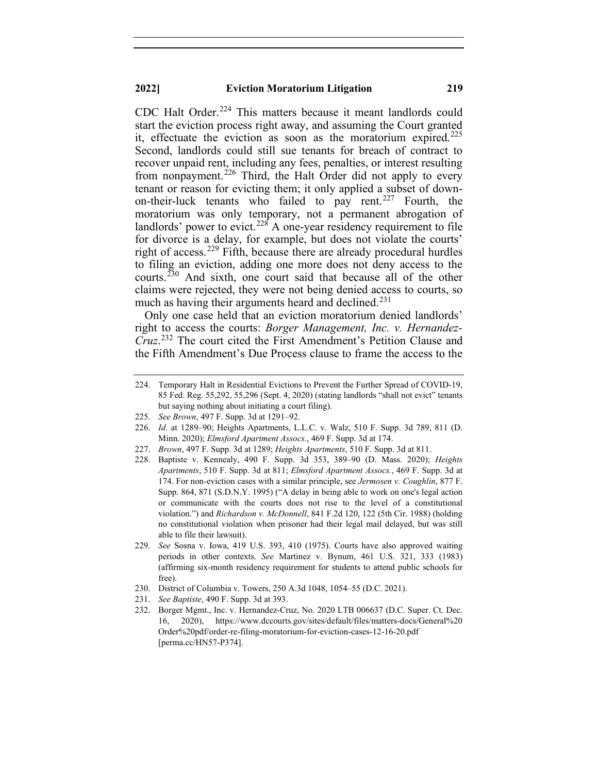CDC Halt Order.<sup>[224](#page-35-0)</sup> This matters because it meant landlords could start the eviction process right away, and assuming the Court granted it, effectuate the eviction as soon as the moratorium expired.<sup>[225](#page-35-1)</sup> Second, landlords could still sue tenants for breach of contract to recover unpaid rent, including any fees, penalties, or interest resulting from nonpayment.<sup>[226](#page-35-2)</sup> Third, the Halt Order did not apply to every tenant or reason for evicting them; it only applied a subset of down-on-their-luck tenants who failed to pay rent.<sup>[227](#page-35-3)</sup> Fourth, the moratorium was only temporary, not a permanent abrogation of landlords' power to evict.<sup>[228](#page-35-4)</sup> A one-year residency requirement to file for divorce is a delay, for example, but does not violate the courts' right of access.<sup>[229](#page-35-5)</sup> Fifth, because there are already procedural hurdles to filing an eviction, adding one more does not deny access to the courts.[230](#page-35-6) And sixth, one court said that because all of the other claims were rejected, they were not being denied access to courts, so much as having their arguments heard and declined.<sup>[231](#page-35-7)</sup>

Only one case held that an eviction moratorium denied landlords' right to access the courts: *Borger Management, Inc. v. Hernandez-Cruz*. [232](#page-35-8) The court cited the First Amendment's Petition Clause and the Fifth Amendment's Due Process clause to frame the access to the

- <span id="page-35-2"></span>226. *Id.* at 1289–90; Heights Apartments, L.L.C. v. Walz, 510 F. Supp. 3d 789, 811 (D. Minn. 2020); *Elmsford Apartment Assocs.*, 469 F. Supp. 3d at 174.
- <span id="page-35-3"></span>227. *Brown*, 497 F. Supp. 3d at 1289; *Heights Apartments*, 510 F. Supp. 3d at 811.
- <span id="page-35-4"></span>228. Baptiste v. Kennealy, 490 F. Supp. 3d 353, 389–90 (D. Mass. 2020); *Heights Apartments*, 510 F. Supp. 3d at 811; *Elmsford Apartment Assocs.*, 469 F. Supp. 3d at 174. For non-eviction cases with a similar principle, see *Jermosen v. Coughlin*, 877 F. Supp. 864, 871 (S.D.N.Y. 1995) ("A delay in being able to work on one's legal action or communicate with the courts does not rise to the level of a constitutional violation.") and *Richardson v. McDonnell*, 841 F.2d 120, 122 (5th Cir. 1988) (holding no constitutional violation when prisoner had their legal mail delayed, but was still able to file their lawsuit).
- <span id="page-35-5"></span>229. *See* Sosna v. Iowa, 419 U.S. 393, 410 (1975). Courts have also approved waiting periods in other contexts. *See* Martinez v. Bynum, 461 U.S. 321, 333 (1983) (affirming six-month residency requirement for students to attend public schools for free).
- <span id="page-35-6"></span>230. District of Columbia v. Towers, 250 A.3d 1048, 1054–55 (D.C. 2021).
- 231. *See Baptiste*, 490 F. Supp. 3d at 393.
- <span id="page-35-8"></span><span id="page-35-7"></span>232. Borger Mgmt., Inc. v. Hernandez-Cruz, No. 2020 LTB 006637 (D.C. Super. Ct. Dec. 16, 2020), https://www.dccourts.gov/sites/default/files/matters-docs/General%20 Order%20pdf/order-re-filing-moratorium-for-eviction-cases-12-16-20.pdf [perma.cc/HN57-P374].

<span id="page-35-0"></span><sup>224.</sup> Temporary Halt in Residential Evictions to Prevent the Further Spread of COVID-19, 85 Fed. Reg. 55,292, 55,296 (Sept. 4, 2020) (stating landlords "shall not evict" tenants but saying nothing about initiating a court filing).

<span id="page-35-1"></span><sup>225.</sup> *See Brown*, 497 F. Supp. 3d at 1291–92.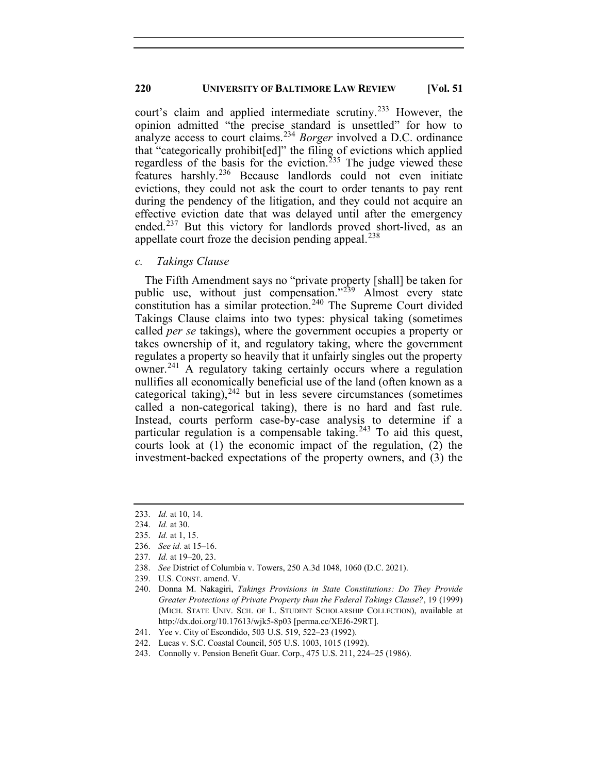court's claim and applied intermediate scrutiny. [233](#page-36-0) However, the opinion admitted "the precise standard is unsettled" for how to analyze access to court claims.[234](#page-36-1) *Borger* involved a D.C. ordinance that "categorically prohibit[ed]" the filing of evictions which applied regardless of the basis for the eviction.<sup>[235](#page-36-2)</sup> The judge viewed these features harshly.<sup>[236](#page-36-3)</sup> Because landlords could not even initiate evictions, they could not ask the court to order tenants to pay rent during the pendency of the litigation, and they could not acquire an effective eviction date that was delayed until after the emergency ended.<sup>[237](#page-36-4)</sup> But this victory for landlords proved short-lived, as an appellate court froze the decision pending appeal.  $238$ 

#### *c. Takings Clause*

The Fifth Amendment says no "private property [shall] be taken for public use, without just compensation."<sup>[239](#page-36-6)</sup> Almost every state constitution has a similar protection.<sup>[240](#page-36-7)</sup> The Supreme Court divided Takings Clause claims into two types: physical taking (sometimes called *per se* takings), where the government occupies a property or takes ownership of it, and regulatory taking, where the government regulates a property so heavily that it unfairly singles out the property owner. [241](#page-36-8) A regulatory taking certainly occurs where a regulation nullifies all economically beneficial use of the land (often known as a categorical taking),  $242$  but in less severe circumstances (sometimes called a non-categorical taking), there is no hard and fast rule. Instead, courts perform case-by-case analysis to determine if a particular regulation is a compensable taking.<sup>[243](#page-36-10)</sup> To aid this quest, courts look at (1) the economic impact of the regulation, (2) the investment-backed expectations of the property owners, and (3) the

- <span id="page-36-4"></span>237. *Id.* at 19–20, 23.
- <span id="page-36-5"></span>238. *See* District of Columbia v. Towers, 250 A.3d 1048, 1060 (D.C. 2021).

<span id="page-36-0"></span><sup>233.</sup> *Id.* at 10, 14.

<span id="page-36-1"></span><sup>234.</sup> *Id.* at 30.

<span id="page-36-2"></span><sup>235.</sup> *Id.* at 1, 15.

<span id="page-36-3"></span><sup>236.</sup> *See id.* at 15–16.

<span id="page-36-6"></span><sup>239.</sup> U.S. CONST. amend. V.

<span id="page-36-7"></span><sup>240.</sup> Donna M. Nakagiri, *Takings Provisions in State Constitutions: Do They Provide Greater Protections of Private Property than the Federal Takings Clause?*, 19 (1999) (MICH. STATE UNIV. SCH. OF L. STUDENT SCHOLARSHIP COLLECTION), available at http://dx.doi.org/10.17613/wjk5-8p03 [perma.cc/XEJ6-29RT].

<span id="page-36-8"></span><sup>241.</sup> Yee v. City of Escondido, 503 U.S. 519, 522–23 (1992).

<sup>242.</sup> Lucas v. S.C. Coastal Council, 505 U.S. 1003, 1015 (1992).

<span id="page-36-10"></span><span id="page-36-9"></span><sup>243.</sup> Connolly v. Pension Benefit Guar. Corp., 475 U.S. 211, 224–25 (1986).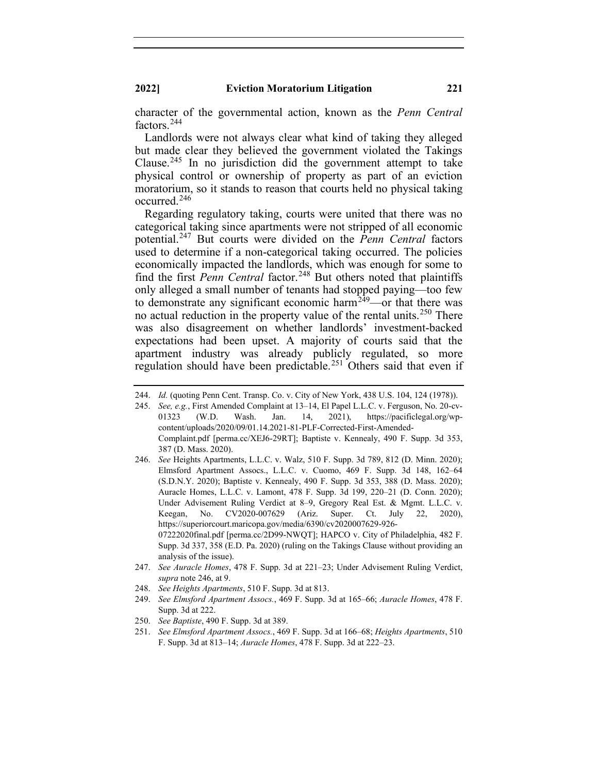character of the governmental action, known as the *Penn Central* factors. [244](#page-37-0)

Landlords were not always clear what kind of taking they alleged but made clear they believed the government violated the Takings Clause.<sup>[245](#page-37-1)</sup> In no jurisdiction did the government attempt to take physical control or ownership of property as part of an eviction moratorium, so it stands to reason that courts held no physical taking occurred. [246](#page-37-2)

Regarding regulatory taking, courts were united that there was no categorical taking since apartments were not stripped of all economic potential.[247](#page-37-3) But courts were divided on the *Penn Central* factors used to determine if a non-categorical taking occurred. The policies economically impacted the landlords, which was enough for some to find the first *Penn Central* factor.<sup>[248](#page-37-4)</sup> But others noted that plaintiffs only alleged a small number of tenants had stopped paying—too few to demonstrate any significant economic harm<sup>249</sup>—or that there was no actual reduction in the property value of the rental units.<sup>[250](#page-37-6)</sup> There was also disagreement on whether landlords' investment-backed expectations had been upset. A majority of courts said that the apartment industry was already publicly regulated, so more regulation should have been predictable.<sup>[251](#page-37-7)</sup> Others said that even if

- <span id="page-37-2"></span>246. *See* Heights Apartments, L.L.C. v. Walz, 510 F. Supp. 3d 789, 812 (D. Minn. 2020); Elmsford Apartment Assocs., L.L.C. v. Cuomo, 469 F. Supp. 3d 148, 162–64 (S.D.N.Y. 2020); Baptiste v. Kennealy, 490 F. Supp. 3d 353, 388 (D. Mass. 2020); Auracle Homes, L.L.C. v. Lamont, 478 F. Supp. 3d 199, 220–21 (D. Conn. 2020); Under Advisement Ruling Verdict at 8–9, Gregory Real Est. & Mgmt. L.L.C. v. Keegan, No. CV2020-007629 (Ariz. Super. Ct. July 22, 2020), https://superiorcourt.maricopa.gov/media/6390/cv2020007629-926- 07222020final.pdf [perma.cc/2D99-NWQT]; HAPCO v. City of Philadelphia, 482 F. Supp. 3d 337, 358 (E.D. Pa. 2020) (ruling on the Takings Clause without providing an analysis of the issue).
- <span id="page-37-3"></span>247. *See Auracle Homes*, 478 F. Supp. 3d at 221–23; Under Advisement Ruling Verdict, *supra* note 246, at 9.
- <span id="page-37-4"></span>248. *See Heights Apartments*, 510 F. Supp. 3d at 813.
- <span id="page-37-5"></span>249. *See Elmsford Apartment Assocs.*, 469 F. Supp. 3d at 165–66; *Auracle Homes*, 478 F. Supp. 3d at 222.
- <span id="page-37-7"></span><span id="page-37-6"></span>250. *See Baptiste*, 490 F. Supp. 3d at 389.
- 251. *See Elmsford Apartment Assocs.*, 469 F. Supp. 3d at 166–68; *Heights Apartments*, 510 F. Supp. 3d at 813–14; *Auracle Homes*, 478 F. Supp. 3d at 222–23.

<span id="page-37-0"></span><sup>244.</sup> *Id.* (quoting Penn Cent. Transp. Co. v. City of New York, 438 U.S. 104, 124 (1978)).

<span id="page-37-1"></span><sup>245.</sup> *See, e.g.*, First Amended Complaint at 13–14, El Papel L.L.C. v. Ferguson, No. 20-cv-01323 (W.D. Wash. Jan. 14, 2021), https://pacificlegal.org/wpcontent/uploads/2020/09/01.14.2021-81-PLF-Corrected-First-Amended-Complaint.pdf [perma.cc/XEJ6-29RT]; Baptiste v. Kennealy, 490 F. Supp. 3d 353, 387 (D. Mass. 2020).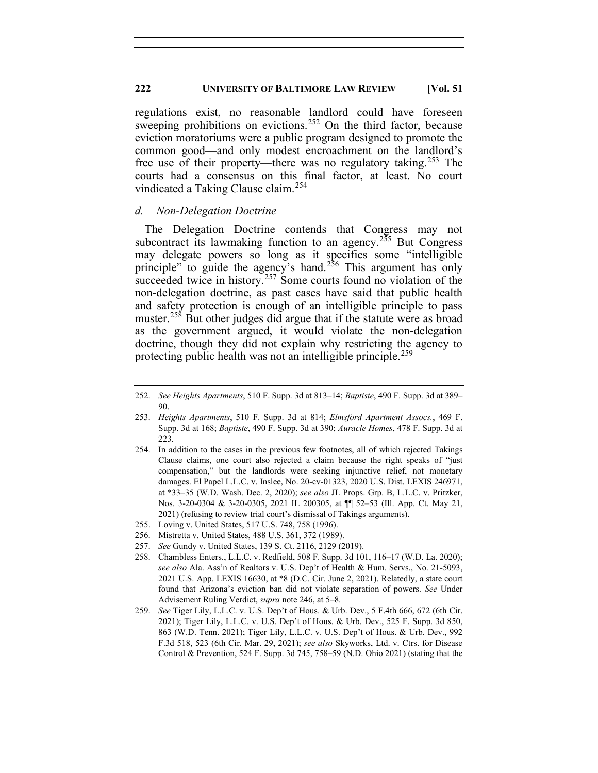regulations exist, no reasonable landlord could have foreseen sweeping prohibitions on evictions.<sup>[252](#page-38-0)</sup> On the third factor, because eviction moratoriums were a public program designed to promote the common good—and only modest encroachment on the landlord's free use of their property—there was no regulatory taking.<sup>[253](#page-38-1)</sup> The courts had a consensus on this final factor, at least. No court vindicated a Taking Clause claim.<sup>[254](#page-38-2)</sup>

#### *d. Non-Delegation Doctrine*

The Delegation Doctrine contends that Congress may not subcontract its lawmaking function to an agency.<sup>[255](#page-38-3)</sup> But Congress may delegate powers so long as it specifies some "intelligible principle" to guide the agency's hand.<sup>[256](#page-38-4)</sup> This argument has only succeeded twice in history.<sup>[257](#page-38-5)</sup> Some courts found no violation of the non-delegation doctrine, as past cases have said that public health and safety protection is enough of an intelligible principle to pass muster.<sup>[258](#page-38-6)</sup> But other judges did argue that if the statute were as broad as the government argued, it would violate the non-delegation doctrine, though they did not explain why restricting the agency to protecting public health was not an intelligible principle.<sup>[259](#page-38-7)</sup>

- <span id="page-38-2"></span>254. In addition to the cases in the previous few footnotes, all of which rejected Takings Clause claims, one court also rejected a claim because the right speaks of "just compensation," but the landlords were seeking injunctive relief, not monetary damages. El Papel L.L.C. v. Inslee, No. 20-cv-01323, 2020 U.S. Dist. LEXIS 246971, at \*33–35 (W.D. Wash. Dec. 2, 2020); *see also* JL Props. Grp. B, L.L.C. v. Pritzker, Nos. 3-20-0304 & 3-20-0305, 2021 IL 200305, at ¶¶ 52–53 (Ill. App. Ct. May 21, 2021) (refusing to review trial court's dismissal of Takings arguments).
- <span id="page-38-3"></span>255. Loving v. United States, 517 U.S. 748, 758 (1996).
- <span id="page-38-4"></span>256. Mistretta v. United States, 488 U.S. 361, 372 (1989).
- 257. *See* Gundy v. United States, 139 S. Ct. 2116, 2129 (2019).
- <span id="page-38-6"></span><span id="page-38-5"></span>258. Chambless Enters., L.L.C. v. Redfield, 508 F. Supp. 3d 101, 116–17 (W.D. La. 2020); *see also* Ala. Ass'n of Realtors v. U.S. Dep't of Health & Hum. Servs., No. 21-5093, 2021 U.S. App. LEXIS 16630, at \*8 (D.C. Cir. June 2, 2021). Relatedly, a state court found that Arizona's eviction ban did not violate separation of powers. *See* Under Advisement Ruling Verdict, *supra* note 246, at 5–8.
- <span id="page-38-7"></span>259. *See* Tiger Lily, L.L.C. v. U.S. Dep't of Hous. & Urb. Dev., 5 F.4th 666, 672 (6th Cir. 2021); Tiger Lily, L.L.C. v. U.S. Dep't of Hous. & Urb. Dev., 525 F. Supp. 3d 850, 863 (W.D. Tenn. 2021); Tiger Lily, L.L.C. v. U.S. Dep't of Hous. & Urb. Dev., 992 F.3d 518, 523 (6th Cir. Mar. 29, 2021); *see also* Skyworks, Ltd. v. Ctrs. for Disease Control & Prevention, 524 F. Supp. 3d 745, 758–59 (N.D. Ohio 2021) (stating that the

<span id="page-38-0"></span><sup>252.</sup> *See Heights Apartments*, 510 F. Supp. 3d at 813–14; *Baptiste*, 490 F. Supp. 3d at 389– 90.

<span id="page-38-1"></span><sup>253.</sup> *Heights Apartments*, 510 F. Supp. 3d at 814; *Elmsford Apartment Assocs.*, 469 F. Supp. 3d at 168; *Baptiste*, 490 F. Supp. 3d at 390; *Auracle Homes*, 478 F. Supp. 3d at 223.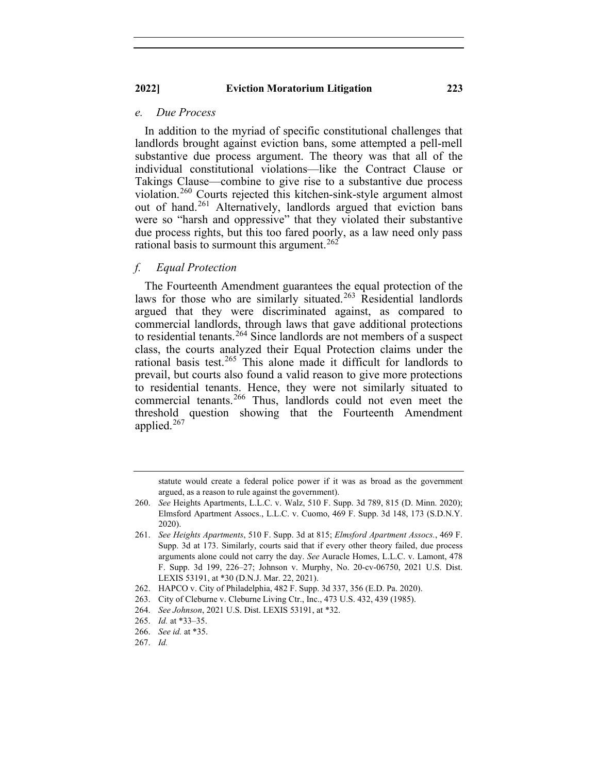#### *e. Due Process*

In addition to the myriad of specific constitutional challenges that landlords brought against eviction bans, some attempted a pell-mell substantive due process argument. The theory was that all of the individual constitutional violations—like the Contract Clause or Takings Clause—combine to give rise to a substantive due process violation.[260](#page-39-0) Courts rejected this kitchen-sink-style argument almost out of hand.<sup>[261](#page-39-1)</sup> Alternatively, landlords argued that eviction bans were so "harsh and oppressive" that they violated their substantive due process rights, but this too fared poorly, as a law need only pass rational basis to surmount this argument.<sup>[262](#page-39-2)</sup>

## *f. Equal Protection*

The Fourteenth Amendment guarantees the equal protection of the laws for those who are similarly situated.<sup>[263](#page-39-3)</sup> Residential landlords argued that they were discriminated against, as compared to commercial landlords, through laws that gave additional protections to residential tenants.<sup>[264](#page-39-4)</sup> Since landlords are not members of a suspect class, the courts analyzed their Equal Protection claims under the rational basis test.<sup>[265](#page-39-5)</sup> This alone made it difficult for landlords to prevail, but courts also found a valid reason to give more protections to residential tenants. Hence, they were not similarly situated to commercial tenants.<sup>[266](#page-39-6)</sup> Thus, landlords could not even meet the threshold question showing that the Fourteenth Amendment applied. $267$ 

statute would create a federal police power if it was as broad as the government argued, as a reason to rule against the government).

<span id="page-39-0"></span><sup>260.</sup> *See* Heights Apartments, L.L.C. v. Walz, 510 F. Supp. 3d 789, 815 (D. Minn. 2020); Elmsford Apartment Assocs., L.L.C. v. Cuomo, 469 F. Supp. 3d 148, 173 (S.D.N.Y. 2020).

<span id="page-39-1"></span><sup>261.</sup> *See Heights Apartments*, 510 F. Supp. 3d at 815; *Elmsford Apartment Assocs.*, 469 F. Supp. 3d at 173. Similarly, courts said that if every other theory failed, due process arguments alone could not carry the day. *See* Auracle Homes, L.L.C. v. Lamont, 478 F. Supp. 3d 199, 226–27; Johnson v. Murphy, No. 20-cv-06750, 2021 U.S. Dist. LEXIS 53191, at \*30 (D.N.J. Mar. 22, 2021).

<span id="page-39-2"></span><sup>262.</sup> HAPCO v. City of Philadelphia, 482 F. Supp. 3d 337, 356 (E.D. Pa. 2020).

<span id="page-39-3"></span><sup>263.</sup> City of Cleburne v. Cleburne Living Ctr., Inc., 473 U.S. 432, 439 (1985).

<sup>264.</sup> *See Johnson*, 2021 U.S. Dist. LEXIS 53191, at \*32.

<span id="page-39-5"></span><span id="page-39-4"></span><sup>265.</sup> *Id.* at \*33–35.

<span id="page-39-6"></span><sup>266.</sup> *See id.* at \*35.

<span id="page-39-7"></span><sup>267.</sup> *Id.*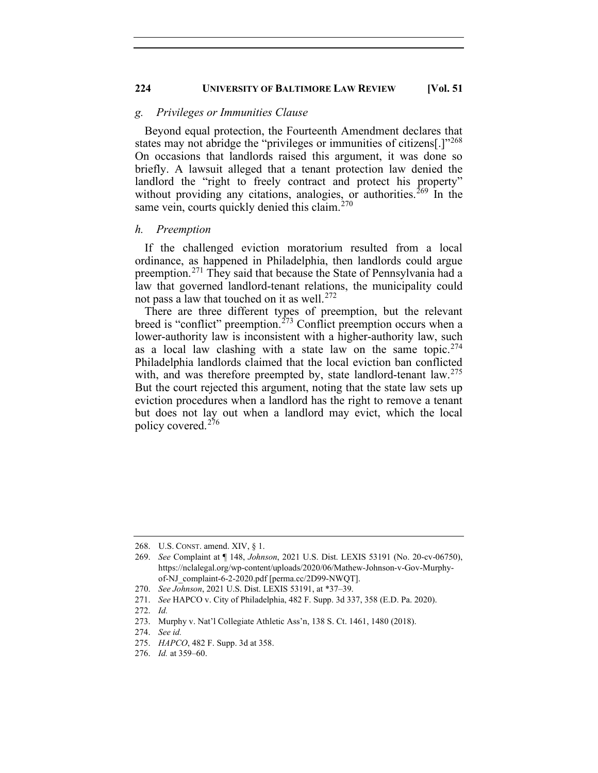## *g. Privileges or Immunities Clause*

Beyond equal protection, the Fourteenth Amendment declares that states may not abridge the "privileges or immunities of citizens<sup>[1]"[268](#page-40-0)</sup> On occasions that landlords raised this argument, it was done so briefly. A lawsuit alleged that a tenant protection law denied the landlord the "right to freely contract and protect his property" without providing any citations, analogies, or authorities.<sup>[269](#page-40-1)</sup> In the same vein, courts quickly denied this claim.<sup>[270](#page-40-2)</sup>

#### *h. Preemption*

If the challenged eviction moratorium resulted from a local ordinance, as happened in Philadelphia, then landlords could argue preemption.[271](#page-40-3) They said that because the State of Pennsylvania had a law that governed landlord-tenant relations, the municipality could not pass a law that touched on it as well. [272](#page-40-4)

There are three different types of preemption, but the relevant breed is "conflict" preemption.<sup>[273](#page-40-5)</sup> Conflict preemption occurs when a lower-authority law is inconsistent with a higher-authority law, such as a local law clashing with a state law on the same topic.<sup>[274](#page-40-6)</sup> Philadelphia landlords claimed that the local eviction ban conflicted with, and was therefore preempted by, state landlord-tenant  $law$ <sup>[275](#page-40-7)</sup> But the court rejected this argument, noting that the state law sets up eviction procedures when a landlord has the right to remove a tenant but does not lay out when a landlord may evict, which the local policy covered.[276](#page-40-8)

<sup>268.</sup> U.S. CONST. amend. XIV, § 1.

<span id="page-40-1"></span><span id="page-40-0"></span><sup>269.</sup> *See* Complaint at ¶ 148, *Johnson*, 2021 U.S. Dist. LEXIS 53191 (No. 20-cv-06750), https://nclalegal.org/wp-content/uploads/2020/06/Mathew-Johnson-v-Gov-Murphyof-NJ\_complaint-6-2-2020.pdf [perma.cc/2D99-NWQT].

<sup>270.</sup> *See Johnson*, 2021 U.S. Dist. LEXIS 53191, at \*37–39.

<span id="page-40-4"></span><span id="page-40-3"></span><span id="page-40-2"></span><sup>271.</sup> *See* HAPCO v. City of Philadelphia, 482 F. Supp. 3d 337, 358 (E.D. Pa. 2020).

<sup>272.</sup> *Id.*

<span id="page-40-6"></span><span id="page-40-5"></span><sup>273.</sup> Murphy v. Nat'l Collegiate Athletic Ass'n, 138 S. Ct. 1461, 1480 (2018).

<sup>274.</sup> *See id.*

<span id="page-40-7"></span><sup>275.</sup> *HAPCO*, 482 F. Supp. 3d at 358.

<span id="page-40-8"></span><sup>276.</sup> *Id.* at 359–60.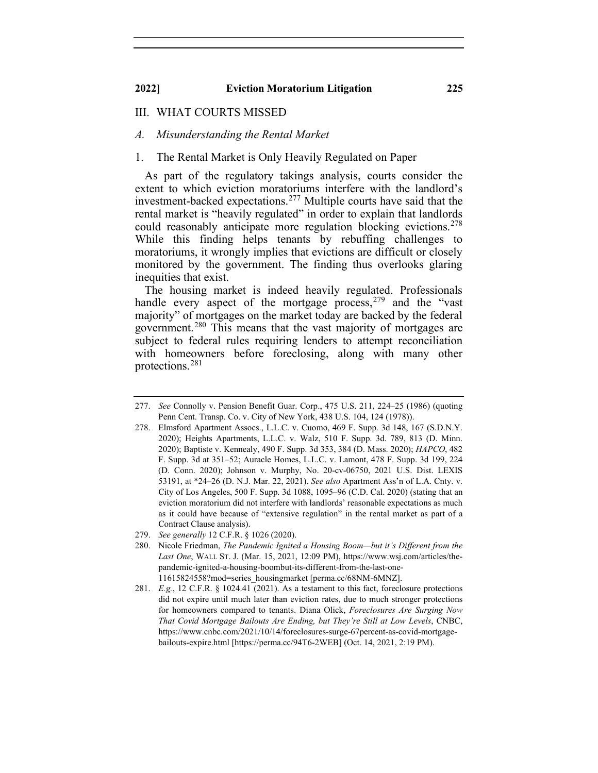## III. WHAT COURTS MISSED

## *A. Misunderstanding the Rental Market*

## 1. The Rental Market is Only Heavily Regulated on Paper

As part of the regulatory takings analysis, courts consider the extent to which eviction moratoriums interfere with the landlord's investment-backed expectations.[277](#page-41-0) Multiple courts have said that the rental market is "heavily regulated" in order to explain that landlords could reasonably anticipate more regulation blocking evictions.<sup>[278](#page-41-1)</sup> While this finding helps tenants by rebuffing challenges to moratoriums, it wrongly implies that evictions are difficult or closely monitored by the government. The finding thus overlooks glaring inequities that exist.

The housing market is indeed heavily regulated. Professionals handle every aspect of the mortgage process,  $279$  and the "vast" majority" of mortgages on the market today are backed by the federal government.[280](#page-41-3) This means that the vast majority of mortgages are subject to federal rules requiring lenders to attempt reconciliation with homeowners before foreclosing, along with many other protections. [281](#page-41-4)

<span id="page-41-0"></span><sup>277.</sup> *See* Connolly v. Pension Benefit Guar. Corp., 475 U.S. 211, 224–25 (1986) (quoting Penn Cent. Transp. Co. v. City of New York, 438 U.S. 104, 124 (1978)).

<span id="page-41-1"></span><sup>278.</sup> Elmsford Apartment Assocs., L.L.C. v. Cuomo, 469 F. Supp. 3d 148, 167 (S.D.N.Y. 2020); Heights Apartments, L.L.C. v. Walz, 510 F. Supp. 3d. 789, 813 (D. Minn. 2020); Baptiste v. Kennealy, 490 F. Supp. 3d 353, 384 (D. Mass. 2020); *HAPCO*, 482 F. Supp. 3d at 351–52; Auracle Homes, L.L.C. v. Lamont, 478 F. Supp. 3d 199, 224 (D. Conn. 2020); Johnson v. Murphy, No. 20-cv-06750, 2021 U.S. Dist. LEXIS 53191, at \*24–26 (D. N.J. Mar. 22, 2021). *See also* Apartment Ass'n of L.A. Cnty. v. City of Los Angeles, 500 F. Supp. 3d 1088, 1095–96 (C.D. Cal. 2020) (stating that an eviction moratorium did not interfere with landlords' reasonable expectations as much as it could have because of "extensive regulation" in the rental market as part of a Contract Clause analysis).

<sup>279.</sup> *See generally* 12 C.F.R. § 1026 (2020).

<span id="page-41-3"></span><span id="page-41-2"></span><sup>280.</sup> Nicole Friedman, *The Pandemic Ignited a Housing Boom—but it's Different from the Last One*, WALL ST. J. (Mar. 15, 2021, 12:09 PM), https://www.wsj.com/articles/thepandemic-ignited-a-housing-boombut-its-different-from-the-last-one-11615824558?mod=series\_housingmarket [perma.cc/68NM-6MNZ].

<span id="page-41-4"></span><sup>281.</sup> *E.g.*, 12 C.F.R. § 1024.41 (2021). As a testament to this fact, foreclosure protections did not expire until much later than eviction rates, due to much stronger protections for homeowners compared to tenants. Diana Olick, *Foreclosures Are Surging Now That Covid Mortgage Bailouts Are Ending, but They're Still at Low Levels*, CNBC, https://www.cnbc.com/2021/10/14/foreclosures-surge-67percent-as-covid-mortgagebailouts-expire.html [https://perma.cc/94T6-2WEB] (Oct. 14, 2021, 2:19 PM).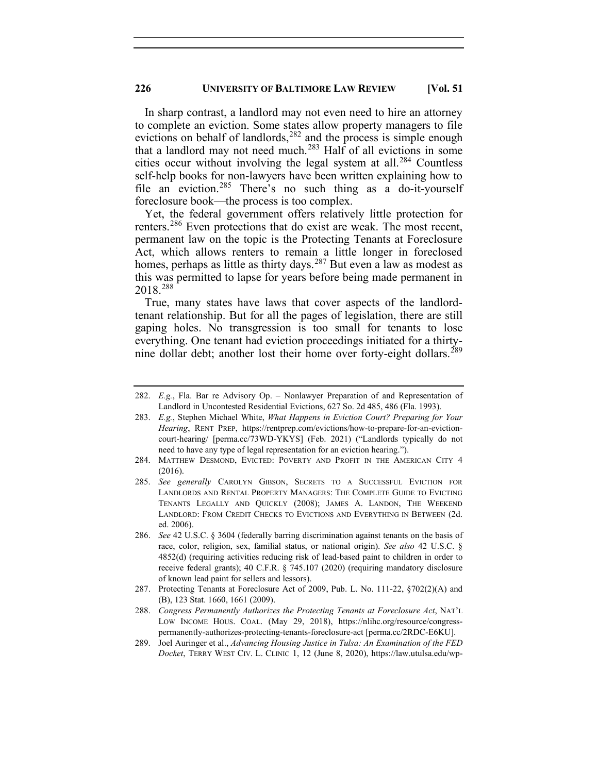In sharp contrast, a landlord may not even need to hire an attorney to complete an eviction. Some states allow property managers to file evictions on behalf of landlords,  $282$  and the process is simple enough that a landlord may not need much. [283](#page-42-1) Half of all evictions in some cities occur without involving the legal system at all.<sup>[284](#page-42-2)</sup> Countless self-help books for non-lawyers have been written explaining how to file an eviction.<sup>[285](#page-42-3)</sup> There's no such thing as a do-it-yourself foreclosure book—the process is too complex.

Yet, the federal government offers relatively little protection for renters.<sup>[286](#page-42-4)</sup> Even protections that do exist are weak. The most recent, permanent law on the topic is the Protecting Tenants at Foreclosure Act, which allows renters to remain a little longer in foreclosed homes, perhaps as little as thirty days.<sup>[287](#page-42-5)</sup> But even a law as modest as this was permitted to lapse for years before being made permanent in 2018.[288](#page-42-6)

True, many states have laws that cover aspects of the landlordtenant relationship. But for all the pages of legislation, there are still gaping holes. No transgression is too small for tenants to lose everything. One tenant had eviction proceedings initiated for a thirty-nine dollar debt; another lost their home over forty-eight dollars.<sup>[289](#page-42-7)</sup>

<span id="page-42-0"></span><sup>282.</sup> *E.g.*, Fla. Bar re Advisory Op. – Nonlawyer Preparation of and Representation of Landlord in Uncontested Residential Evictions, 627 So. 2d 485, 486 (Fla. 1993).

<span id="page-42-1"></span><sup>283.</sup> *E.g.*, Stephen Michael White, *What Happens in Eviction Court? Preparing for Your Hearing*, RENT PREP, https://rentprep.com/evictions/how-to-prepare-for-an-evictioncourt-hearing/ [perma.cc/73WD-YKYS] (Feb. 2021) ("Landlords typically do not need to have any type of legal representation for an eviction hearing.").

<span id="page-42-2"></span><sup>284.</sup> MATTHEW DESMOND, EVICTED: POVERTY AND PROFIT IN THE AMERICAN CITY 4 (2016).

<span id="page-42-3"></span><sup>285.</sup> *See generally* CAROLYN GIBSON, SECRETS TO A SUCCESSFUL EVICTION FOR LANDLORDS AND RENTAL PROPERTY MANAGERS: THE COMPLETE GUIDE TO EVICTING TENANTS LEGALLY AND QUICKLY (2008); JAMES A. LANDON, THE WEEKEND LANDLORD: FROM CREDIT CHECKS TO EVICTIONS AND EVERYTHING IN BETWEEN (2d. ed. 2006).

<span id="page-42-4"></span><sup>286.</sup> *See* 42 U.S.C. § 3604 (federally barring discrimination against tenants on the basis of race, color, religion, sex, familial status, or national origin). *See also* 42 U.S.C. § 4852(d) (requiring activities reducing risk of lead-based paint to children in order to receive federal grants); 40 C.F.R. § 745.107 (2020) (requiring mandatory disclosure of known lead paint for sellers and lessors).

<span id="page-42-5"></span><sup>287.</sup> Protecting Tenants at Foreclosure Act of 2009, Pub. L. No. 111-22, §702(2)(A) and (B), 123 Stat. 1660, 1661 (2009).

<span id="page-42-6"></span><sup>288.</sup> *Congress Permanently Authorizes the Protecting Tenants at Foreclosure Act*, NAT'L LOW INCOME HOUS. COAL. (May 29, 2018), https://nlihc.org/resource/congresspermanently-authorizes-protecting-tenants-foreclosure-act [perma.cc/2RDC-E6KU].

<span id="page-42-7"></span><sup>289.</sup> Joel Auringer et al., *Advancing Housing Justice in Tulsa: An Examination of the FED Docket*, TERRY WEST CIV. L. CLINIC 1, 12 (June 8, 2020), https://law.utulsa.edu/wp-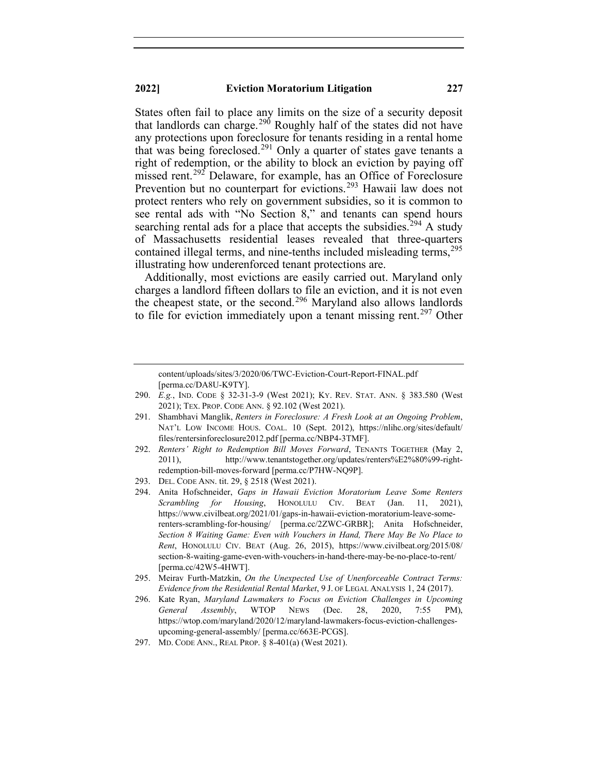States often fail to place any limits on the size of a security deposit that landlords can charge.<sup>[290](#page-43-0)</sup> Roughly half of the states did not have any protections upon foreclosure for tenants residing in a rental home that was being foreclosed.<sup>[291](#page-43-1)</sup> Only a quarter of states gave tenants a right of redemption, or the ability to block an eviction by paying off missed rent.<sup>[292](#page-43-2)</sup> Delaware, for example, has an Office of Foreclosure Prevention but no counterpart for evictions.<sup>[293](#page-43-3)</sup> Hawaii law does not protect renters who rely on government subsidies, so it is common to see rental ads with "No Section 8," and tenants can spend hours searching rental ads for a place that accepts the subsidies.<sup>[294](#page-43-4)</sup> A study of Massachusetts residential leases revealed that three-quarters contained illegal terms, and nine-tenths included misleading terms,<sup>[295](#page-43-5)</sup> illustrating how underenforced tenant protections are.

Additionally, most evictions are easily carried out. Maryland only charges a landlord fifteen dollars to file an eviction, and it is not even the cheapest state, or the second.<sup>[296](#page-43-6)</sup> Maryland also allows landlords to file for eviction immediately upon a tenant missing rent.<sup>[297](#page-43-7)</sup> Other

content/uploads/sites/3/2020/06/TWC-Eviction-Court-Report-FINAL.pdf [perma.cc/DA8U-K9TY].

- <span id="page-43-0"></span>290. *E.g.*, IND. CODE § 32-31-3-9 (West 2021); KY. REV. STAT. ANN. § 383.580 (West 2021); TEX. PROP. CODE ANN. § 92.102 (West 2021).
- <span id="page-43-1"></span>291. Shambhavi Manglik, *Renters in Foreclosure: A Fresh Look at an Ongoing Problem*, NAT'L LOW INCOME HOUS. COAL. 10 (Sept. 2012), https://nlihc.org/sites/default/ files/rentersinforeclosure2012.pdf [perma.cc/NBP4-3TMF].
- <span id="page-43-2"></span>292. *Renters' Right to Redemption Bill Moves Forward*, TENANTS TOGETHER (May 2, 2011), http://www.tenantstogether.org/updates/renters%E2%80%99-rightredemption-bill-moves-forward [perma.cc/P7HW-NQ9P].
- <span id="page-43-3"></span>293. DEL. CODE ANN. tit. 29, § 2518 (West 2021).
- <span id="page-43-4"></span>294. Anita Hofschneider, *Gaps in Hawaii Eviction Moratorium Leave Some Renters Scrambling for Housing*, HONOLULU CIV. BEAT (Jan. 11, 2021), https://www.civilbeat.org/2021/01/gaps-in-hawaii-eviction-moratorium-leave-somerenters-scrambling-for-housing/ [perma.cc/2ZWC-GRBR]; Anita Hofschneider, *Section 8 Waiting Game: Even with Vouchers in Hand, There May Be No Place to Rent*, HONOLULU CIV. BEAT (Aug. 26, 2015), https://www.civilbeat.org/2015/08/ section-8-waiting-game-even-with-vouchers-in-hand-there-may-be-no-place-to-rent/ [perma.cc/42W5-4HWT].
- <span id="page-43-5"></span>295. Meirav Furth-Matzkin, *On the Unexpected Use of Unenforceable Contract Terms: Evidence from the Residential Rental Market*, 9 J. OF LEGAL ANALYSIS 1, 24 (2017).
- <span id="page-43-6"></span>296. Kate Ryan, *Maryland Lawmakers to Focus on Eviction Challenges in Upcoming General Assembly*, WTOP NEWS (Dec. 28, 2020, 7:55 PM), https://wtop.com/maryland/2020/12/maryland-lawmakers-focus-eviction-challengesupcoming-general-assembly/ [perma.cc/663E-PCGS].
- <span id="page-43-7"></span>297. MD. CODE ANN., REAL PROP. § 8-401(a) (West 2021).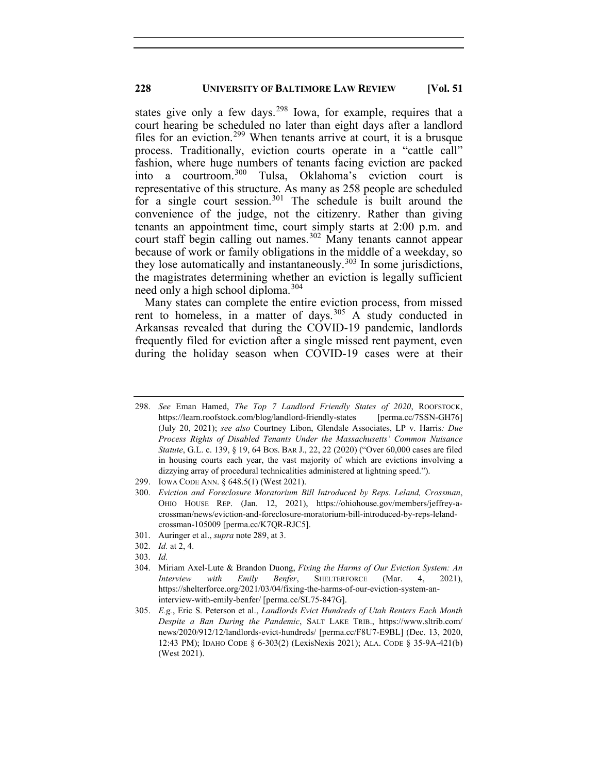states give only a few days.<sup>[298](#page-44-0)</sup> Iowa, for example, requires that a court hearing be scheduled no later than eight days after a landlord files for an eviction.<sup>[299](#page-44-1)</sup> When tenants arrive at court, it is a brusque process. Traditionally, eviction courts operate in a "cattle call" fashion, where huge numbers of tenants facing eviction are packed into a courtroom.[300](#page-44-2) Tulsa, Oklahoma's eviction court is representative of this structure. As many as 258 people are scheduled for a single court session. [301](#page-44-3) The schedule is built around the convenience of the judge, not the citizenry. Rather than giving tenants an appointment time, court simply starts at 2:00 p.m. and court staff begin calling out names.<sup>[302](#page-44-4)</sup> Many tenants cannot appear because of work or family obligations in the middle of a weekday, so they lose automatically and instantaneously. $303$  In some jurisdictions, the magistrates determining whether an eviction is legally sufficient need only a high school diploma.<sup>[304](#page-44-6)</sup>

Many states can complete the entire eviction process, from missed rent to homeless, in a matter of days.<sup>[305](#page-44-7)</sup> A study conducted in Arkansas revealed that during the COVID-19 pandemic, landlords frequently filed for eviction after a single missed rent payment, even during the holiday season when COVID-19 cases were at their

- <span id="page-44-2"></span><span id="page-44-1"></span>300. *Eviction and Foreclosure Moratorium Bill Introduced by Reps. Leland, Crossman*, OHIO HOUSE REP. (Jan. 12, 2021), https://ohiohouse.gov/members/jeffrey-acrossman/news/eviction-and-foreclosure-moratorium-bill-introduced-by-reps-lelandcrossman-105009 [perma.cc/K7QR-RJC5].
- <span id="page-44-3"></span>301. Auringer et al., *supra* note 289, at 3.
- <span id="page-44-4"></span>302. *Id.* at 2, 4.
- <span id="page-44-5"></span>303. *Id.*
- <span id="page-44-6"></span>304. Miriam Axel-Lute & Brandon Duong, *Fixing the Harms of Our Eviction System: An Interview with Emily Benfer*, SHELTERFORCE (Mar. 4, 2021), https://shelterforce.org/2021/03/04/fixing-the-harms-of-our-eviction-system-aninterview-with-emily-benfer/ [perma.cc/SL75-847G].

<span id="page-44-0"></span><sup>298.</sup> *See* Eman Hamed, *The Top 7 Landlord Friendly States of 2020*, ROOFSTOCK, https://learn.roofstock.com/blog/landlord-friendly-states [perma.cc/7SSN-GH76] (July 20, 2021); *see also* Courtney Libon, Glendale Associates, LP v. Harris*: Due Process Rights of Disabled Tenants Under the Massachusetts' Common Nuisance Statute*, G.L. c. 139, § 19, 64 BOS. BAR J., 22, 22 (2020) ("Over 60,000 cases are filed in housing courts each year, the vast majority of which are evictions involving a dizzying array of procedural technicalities administered at lightning speed.").

<sup>299.</sup> IOWA CODE ANN. § 648.5(1) (West 2021).

<span id="page-44-7"></span><sup>305.</sup> *E.g.*, Eric S. Peterson et al., *Landlords Evict Hundreds of Utah Renters Each Month Despite a Ban During the Pandemic*, SALT LAKE TRIB., https://www.sltrib.com/ news/2020/912/12/landlords-evict-hundreds/ [perma.cc/F8U7-E9BL] (Dec. 13, 2020, 12:43 PM); IDAHO CODE § 6-303(2) (LexisNexis 2021); ALA. CODE § 35-9A-421(b) (West 2021).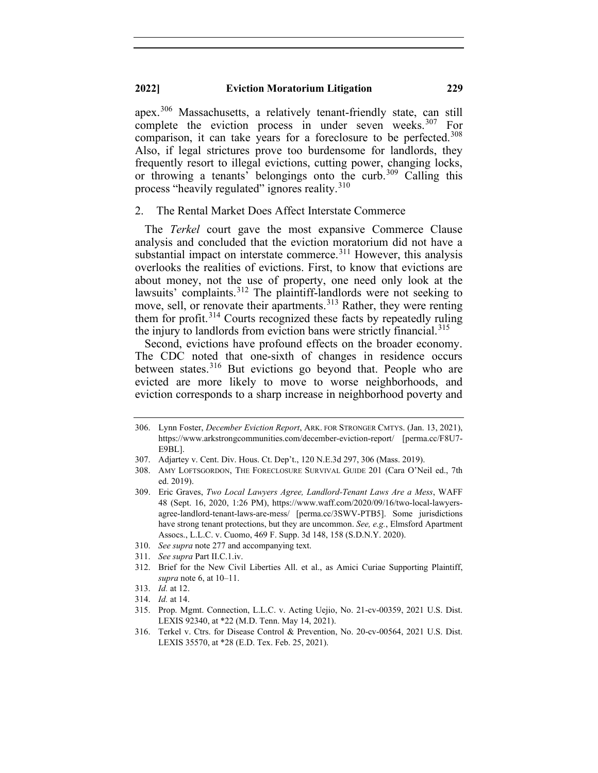apex.[306](#page-45-0) Massachusetts, a relatively tenant-friendly state, can still complete the eviction process in under seven weeks.  $307$  For comparison, it can take years for a foreclosure to be perfected.<sup>[308](#page-45-2)</sup> Also, if legal strictures prove too burdensome for landlords, they frequently resort to illegal evictions, cutting power, changing locks, or throwing a tenants' belongings onto the curb.<sup>[309](#page-45-3)</sup> Calling this process "heavily regulated" ignores reality.<sup>[310](#page-45-4)</sup>

#### 2. The Rental Market Does Affect Interstate Commerce

The *Terkel* court gave the most expansive Commerce Clause analysis and concluded that the eviction moratorium did not have a substantial impact on interstate commerce.<sup>[311](#page-45-5)</sup> However, this analysis overlooks the realities of evictions. First, to know that evictions are about money, not the use of property, one need only look at the lawsuits' complaints.<sup>[312](#page-45-6)</sup> The plaintiff-landlords were not seeking to move, sell, or renovate their apartments.<sup>[313](#page-45-7)</sup> Rather, they were renting them for profit.<sup>[314](#page-45-8)</sup> Courts recognized these facts by repeatedly ruling the injury to landlords from eviction bans were strictly financial.<sup>[315](#page-45-9)</sup>

Second, evictions have profound effects on the broader economy. The CDC noted that one-sixth of changes in residence occurs between states.<sup>[316](#page-45-10)</sup> But evictions go beyond that. People who are evicted are more likely to move to worse neighborhoods, and eviction corresponds to a sharp increase in neighborhood poverty and

- <span id="page-45-4"></span>310. *See supra* note 277 and accompanying text.
- 311. *See supra* Part II.C.1.iv.
- <span id="page-45-6"></span><span id="page-45-5"></span>312. Brief for the New Civil Liberties All. et al., as Amici Curiae Supporting Plaintiff, *supra* note 6, at 10–11.
- 313. *Id.* at 12.
- <span id="page-45-9"></span><span id="page-45-8"></span><span id="page-45-7"></span>314. *Id.* at 14.

<span id="page-45-10"></span>316. Terkel v. Ctrs. for Disease Control & Prevention, No. 20-cv-00564, 2021 U.S. Dist. LEXIS 35570, at \*28 (E.D. Tex. Feb. 25, 2021).

<span id="page-45-0"></span><sup>306.</sup> Lynn Foster, *December Eviction Report*, ARK. FOR STRONGER CMTYS. (Jan. 13, 2021), https://www.arkstrongcommunities.com/december-eviction-report/ [perma.cc/F8U7- E9BL].

<span id="page-45-2"></span><span id="page-45-1"></span><sup>307.</sup> Adjartey v. Cent. Div. Hous. Ct. Dep't., 120 N.E.3d 297, 306 (Mass. 2019).

<sup>308.</sup> AMY LOFTSGORDON, THE FORECLOSURE SURVIVAL GUIDE 201 (Cara O'Neil ed., 7th ed. 2019).

<span id="page-45-3"></span><sup>309.</sup> Eric Graves, *Two Local Lawyers Agree, Landlord-Tenant Laws Are a Mess*, WAFF 48 (Sept. 16, 2020, 1:26 PM), https://www.waff.com/2020/09/16/two-local-lawyersagree-landlord-tenant-laws-are-mess/ [perma.cc/3SWV-PTB5]. Some jurisdictions have strong tenant protections, but they are uncommon. *See, e.g.*, Elmsford Apartment Assocs., L.L.C. v. Cuomo, 469 F. Supp. 3d 148, 158 (S.D.N.Y. 2020).

<sup>315.</sup> Prop. Mgmt. Connection, L.L.C. v. Acting Uejio, No. 21-cv-00359, 2021 U.S. Dist. LEXIS 92340, at \*22 (M.D. Tenn. May 14, 2021).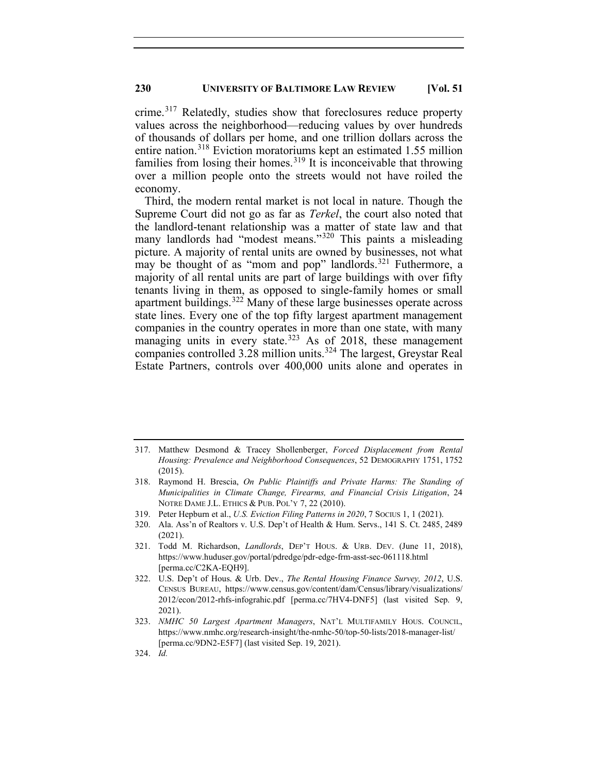crime.<sup>[317](#page-46-0)</sup> Relatedly, studies show that foreclosures reduce property values across the neighborhood—reducing values by over hundreds of thousands of dollars per home, and one trillion dollars across the entire nation.<sup>[318](#page-46-1)</sup> Eviction moratoriums kept an estimated 1.55 million families from losing their homes.<sup>[319](#page-46-2)</sup> It is inconceivable that throwing over a million people onto the streets would not have roiled the economy.

Third, the modern rental market is not local in nature. Though the Supreme Court did not go as far as *Terkel*, the court also noted that the landlord-tenant relationship was a matter of state law and that many landlords had "modest means."<sup>[320](#page-46-3)</sup> This paints a misleading picture. A majority of rental units are owned by businesses, not what may be thought of as "mom and pop" landlords.<sup>[321](#page-46-4)</sup> Futhermore, a majority of all rental units are part of large buildings with over fifty tenants living in them, as opposed to single-family homes or small apartment buildings.<sup>[322](#page-46-5)</sup> Many of these large businesses operate across state lines. Every one of the top fifty largest apartment management companies in the country operates in more than one state, with many managing units in every state.<sup>[323](#page-46-6)</sup> As of 2018, these management companies controlled 3.28 million units. [324](#page-46-7) The largest, Greystar Real Estate Partners, controls over 400,000 units alone and operates in

<span id="page-46-0"></span><sup>317.</sup> Matthew Desmond & Tracey Shollenberger, *Forced Displacement from Rental Housing: Prevalence and Neighborhood Consequences*, 52 DEMOGRAPHY 1751, 1752 (2015).

<span id="page-46-1"></span><sup>318.</sup> Raymond H. Brescia, *On Public Plaintiffs and Private Harms: The Standing of Municipalities in Climate Change, Firearms, and Financial Crisis Litigation*, 24 NOTRE DAME J.L. ETHICS & PUB. POL'Y 7, 22 (2010).

<span id="page-46-2"></span><sup>319.</sup> Peter Hepburn et al., *U.S. Eviction Filing Patterns in 2020*, 7 SOCIUS 1, 1 (2021).

<span id="page-46-3"></span><sup>320.</sup> Ala. Ass'n of Realtors v. U.S. Dep't of Health & Hum. Servs., 141 S. Ct. 2485, 2489 (2021).

<span id="page-46-4"></span><sup>321.</sup> Todd M. Richardson, *Landlords*, DEP'T HOUS. & URB. DEV. (June 11, 2018), https://www.huduser.gov/portal/pdredge/pdr-edge-frm-asst-sec-061118.html [perma.cc/C2KA-EQH9].

<span id="page-46-5"></span><sup>322.</sup> U.S. Dep't of Hous. & Urb. Dev., *The Rental Housing Finance Survey, 2012*, U.S. CENSUS BUREAU, https://www.census.gov/content/dam/Census/library/visualizations/ 2012/econ/2012-rhfs-infograhic.pdf [perma.cc/7HV4-DNF5] (last visited Sep. 9, 2021).

<span id="page-46-6"></span><sup>323.</sup> *NMHC 50 Largest Apartment Managers*, NAT'L MULTIFAMILY HOUS. COUNCIL, https://www.nmhc.org/research-insight/the-nmhc-50/top-50-lists/2018-manager-list/ [perma.cc/9DN2-E5F7] (last visited Sep. 19, 2021).

<span id="page-46-7"></span><sup>324.</sup> *Id.*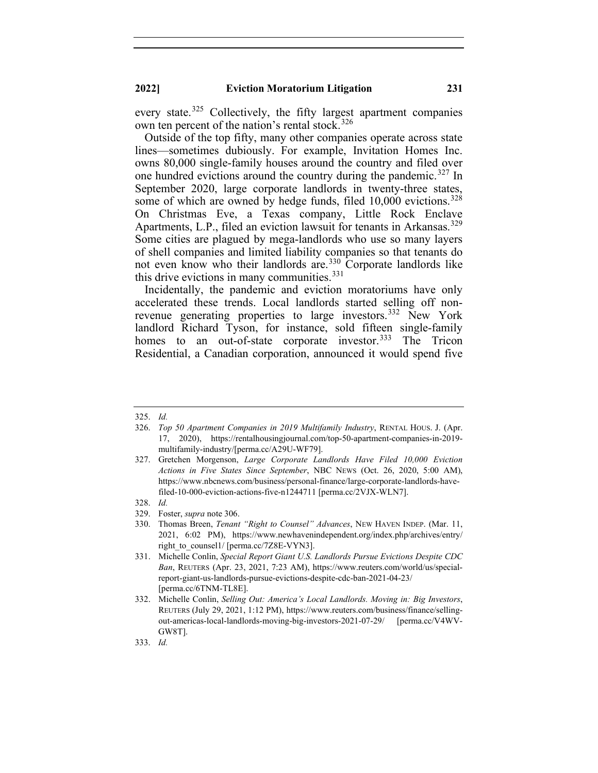every state.<sup>[325](#page-47-0)</sup> Collectively, the fifty largest apartment companies own ten percent of the nation's rental stock.<sup>[326](#page-47-1)</sup>

Outside of the top fifty, many other companies operate across state lines—sometimes dubiously. For example, Invitation Homes Inc. owns 80,000 single-family houses around the country and filed over one hundred evictions around the country during the pandemic.<sup>[327](#page-47-2)</sup> In September 2020, large corporate landlords in twenty-three states, some of which are owned by hedge funds, filed 10,000 evictions.<sup>[328](#page-47-3)</sup> On Christmas Eve, a Texas company, Little Rock Enclave Apartments, L.P., filed an eviction lawsuit for tenants in Arkansas.<sup>[329](#page-47-4)</sup> Some cities are plagued by mega-landlords who use so many layers of shell companies and limited liability companies so that tenants do not even know who their landlords are. [330](#page-47-5) Corporate landlords like this drive evictions in many communities. $331$ 

Incidentally, the pandemic and eviction moratoriums have only accelerated these trends. Local landlords started selling off non-revenue generating properties to large investors.<sup>[332](#page-47-7)</sup> New York landlord Richard Tyson, for instance, sold fifteen single-family homes to an out-of-state corporate investor.<sup>[333](#page-47-8)</sup> The Tricon Residential, a Canadian corporation, announced it would spend five

<span id="page-47-0"></span><sup>325.</sup> *Id.*

<span id="page-47-1"></span><sup>326.</sup> *Top 50 Apartment Companies in 2019 Multifamily Industry*, RENTAL HOUS. J. (Apr. 17, 2020), https://rentalhousingjournal.com/top-50-apartment-companies-in-2019 multifamily-industry/[perma.cc/A29U-WF79].

<span id="page-47-2"></span><sup>327.</sup> Gretchen Morgenson, *Large Corporate Landlords Have Filed 10,000 Eviction Actions in Five States Since September*, NBC NEWS (Oct. 26, 2020, 5:00 AM), https://www.nbcnews.com/business/personal-finance/large-corporate-landlords-havefiled-10-000-eviction-actions-five-n1244711 [perma.cc/2VJX-WLN7].

<sup>328.</sup> *Id.*

<span id="page-47-5"></span><span id="page-47-4"></span><span id="page-47-3"></span><sup>329.</sup> Foster, *supra* note 306.

<sup>330.</sup> Thomas Breen, *Tenant "Right to Counsel" Advances*, NEW HAVEN INDEP. (Mar. 11, 2021, 6:02 PM), https://www.newhavenindependent.org/index.php/archives/entry/ right to counsel1/ [perma.cc/7Z8E-VYN3].

<span id="page-47-6"></span><sup>331.</sup> Michelle Conlin, *Special Report Giant U.S. Landlords Pursue Evictions Despite CDC Ban*, REUTERS (Apr. 23, 2021, 7:23 AM), https://www.reuters.com/world/us/specialreport-giant-us-landlords-pursue-evictions-despite-cdc-ban-2021-04-23/ [perma.cc/6TNM-TL8E].

<span id="page-47-7"></span><sup>332.</sup> Michelle Conlin, *Selling Out: America's Local Landlords. Moving in: Big Investors*, REUTERS (July 29, 2021, 1:12 PM), https://www.reuters.com/business/finance/sellingout-americas-local-landlords-moving-big-investors-2021-07-29/ [perma.cc/V4WV-GW8T].

<span id="page-47-8"></span><sup>333.</sup> *Id.*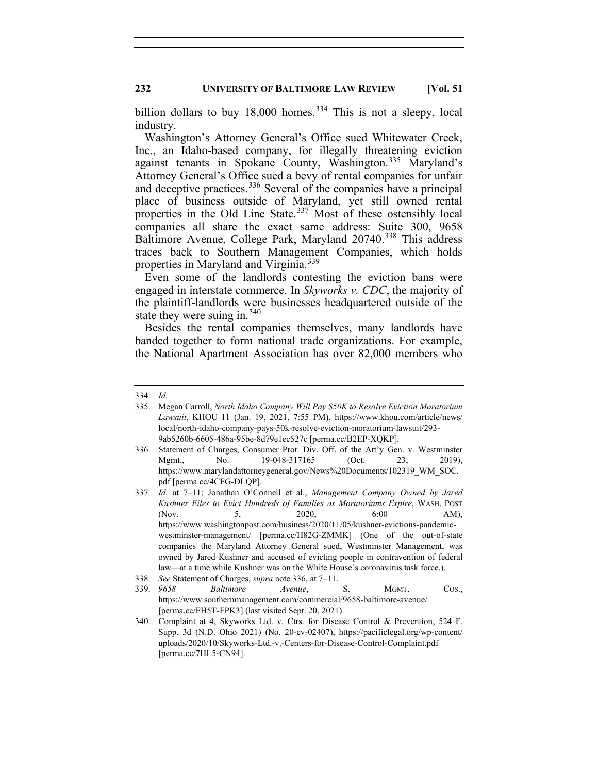billion dollars to buy  $18,000$  homes.<sup>[334](#page-48-0)</sup> This is not a sleepy, local industry.

Washington's Attorney General's Office sued Whitewater Creek, Inc., an Idaho-based company, for illegally threatening eviction against tenants in Spokane County, Washington. [335](#page-48-1) Maryland's Attorney General's Office sued a bevy of rental companies for unfair and deceptive practices.<sup>[336](#page-48-2)</sup> Several of the companies have a principal place of business outside of Maryland, yet still owned rental properties in the Old Line State.<sup>[337](#page-48-3)</sup> Most of these ostensibly local companies all share the exact same address: Suite 300, 9658 Baltimore Avenue, College Park, Maryland 20740.<sup>[338](#page-48-4)</sup> This address traces back to Southern Management Companies, which holds properties in Maryland and Virginia.<sup>[339](#page-48-5)</sup>

Even some of the landlords contesting the eviction bans were engaged in interstate commerce. In *Skyworks v. CDC*, the majority of the plaintiff-landlords were businesses headquartered outside of the state they were suing in.  $340$ 

Besides the rental companies themselves, many landlords have banded together to form national trade organizations. For example, the National Apartment Association has over 82,000 members who

<span id="page-48-2"></span>336. Statement of Charges, Consumer Prot. Div. Off. of the Att'y Gen. v. Westminster Mgmt., No. 19-048-317165 (Oct. 23, 2019), https://www.marylandattorneygeneral.gov/News%20Documents/102319\_WM\_SOC. pdf [perma.cc/4CFG-DLQP].

<sup>334.</sup> *Id.*

<span id="page-48-1"></span><span id="page-48-0"></span><sup>335.</sup> Megan Carroll, *North Idaho Company Will Pay \$50K to Resolve Eviction Moratorium Lawsuit*, KHOU 11 (Jan. 19, 2021, 7:55 PM), https://www.khou.com/article/news/ local/north-idaho-company-pays-50k-resolve-eviction-moratorium-lawsuit/293- 9ab5260b-6605-486a-95be-8d79e1ec527c [perma.cc/B2EP-XQKP].

<span id="page-48-3"></span><sup>337</sup>*. Id.* at 7–11; Jonathan O'Connell et al., *Management Company Owned by Jared Kushner Files to Evict Hundreds of Families as Moratoriums Expire*, WASH. POST (Nov. 5, 2020, 6:00 AM), https://www.washingtonpost.com/business/2020/11/05/kushner-evictions-pandemicwestminster-management/ [perma.cc/H82G-ZMMK] (One of the out-of-state companies the Maryland Attorney General sued, Westminster Management, was owned by Jared Kushner and accused of evicting people in contravention of federal law—at a time while Kushner was on the White House's coronavirus task force.). 338. *See* Statement of Charges, *supra* note 336, at 7–11.

<span id="page-48-5"></span><span id="page-48-4"></span><sup>339.</sup> *9658 Baltimore Avenue*, S. MGMT. COS., https://www.southernmanagement.com/commercial/9658-baltimore-avenue/ [perma.cc/FH5T-FPK3] (last visited Sept. 20, 2021).

<span id="page-48-6"></span><sup>340.</sup> Complaint at 4, Skyworks Ltd. v. Ctrs. for Disease Control & Prevention, 524 F. Supp. 3d (N.D. Ohio 2021) (No. 20-cv-02407), https://pacificlegal.org/wp-content/ uploads/2020/10/Skyworks-Ltd.-v.-Centers-for-Disease-Control-Complaint.pdf [perma.cc/7HL5-CN94].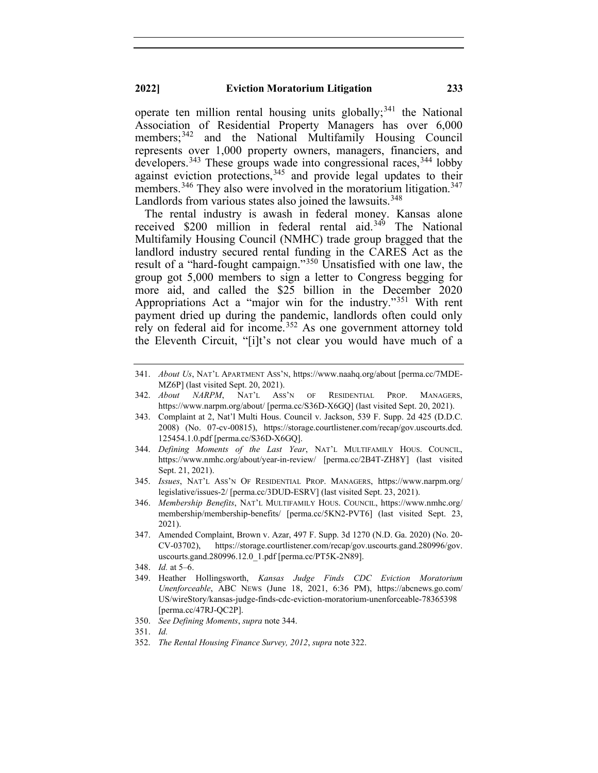operate ten million rental housing units globally;<sup>[341](#page-49-0)</sup> the National Association of Residential Property Managers has over 6,000 members;<sup>[342](#page-49-1)</sup> and the National Multifamily Housing Council represents over 1,000 property owners, managers, financiers, and developers.<sup>[343](#page-49-2)</sup> These groups wade into congressional races,  $344$  lobby against eviction protections,  $345$  and provide legal updates to their members.<sup>[346](#page-49-5)</sup> They also were involved in the moratorium litigation.<sup>[347](#page-49-6)</sup> Landlords from various states also joined the lawsuits.<sup>[348](#page-49-7)</sup>

The rental industry is awash in federal money. Kansas alone received \$200 million in federal rental aid.<sup>[349](#page-49-8)</sup> The National Multifamily Housing Council (NMHC) trade group bragged that the landlord industry secured rental funding in the CARES Act as the result of a "hard-fought campaign."[350](#page-49-9) Unsatisfied with one law, the group got 5,000 members to sign a letter to Congress begging for more aid, and called the \$25 billion in the December 2020 Appropriations Act a "major win for the industry."[351](#page-49-10) With rent payment dried up during the pandemic, landlords often could only rely on federal aid for income.<sup>[352](#page-49-11)</sup> As one government attorney told the Eleventh Circuit, "[i]t's not clear you would have much of a

- <span id="page-49-4"></span>345. *Issues*, NAT'L ASS'N OF RESIDENTIAL PROP. MANAGERS, https://www.narpm.org/ legislative/issues-2/ [perma.cc/3DUD-ESRV] (last visited Sept. 23, 2021).
- <span id="page-49-5"></span>346. *Membership Benefits*, NAT'L MULTIFAMILY HOUS. COUNCIL, https://www.nmhc.org/ membership/membership-benefits/ [perma.cc/5KN2-PVT6] (last visited Sept. 23, 2021).
- <span id="page-49-6"></span>347. Amended Complaint, Brown v. Azar, 497 F. Supp. 3d 1270 (N.D. Ga. 2020) (No. 20- CV-03702), https://storage.courtlistener.com/recap/gov.uscourts.gand.280996/gov. uscourts.gand.280996.12.0\_1.pdf [perma.cc/PT5K-2N89].

- <span id="page-49-8"></span>349. Heather Hollingsworth, *Kansas Judge Finds CDC Eviction Moratorium Unenforceable*, ABC NEWS (June 18, 2021, 6:36 PM), https://abcnews.go.com/ US/wireStory/kansas-judge-finds-cdc-eviction-moratorium-unenforceable-78365398 [perma.cc/47RJ-QC2P].
- 350. *See Defining Moments*, *supra* note 344.
- <span id="page-49-10"></span><span id="page-49-9"></span>351. *Id.*
- <span id="page-49-11"></span>352. *The Rental Housing Finance Survey, 2012*, *supra* note 322.

<span id="page-49-0"></span><sup>341.</sup> *About Us*, NAT'L APARTMENT ASS'N, https://www.naahq.org/about [perma.cc/7MDE-MZ6P] (last visited Sept. 20, 2021).

<span id="page-49-1"></span><sup>342.</sup> *About NARPM*, NAT'L ASS'N OF RESIDENTIAL PROP. MANAGERS, https://www.narpm.org/about/ [perma.cc/S36D-X6GQ] (last visited Sept. 20, 2021).

<span id="page-49-2"></span><sup>343.</sup> Complaint at 2, Nat'l Multi Hous. Council v. Jackson, 539 F. Supp. 2d 425 (D.D.C. 2008) (No. 07-cv-00815), https://storage.courtlistener.com/recap/gov.uscourts.dcd. 125454.1.0.pdf [perma.cc/S36D-X6GQ].

<span id="page-49-3"></span><sup>344.</sup> *Defining Moments of the Last Year*, NAT'L MULTIFAMILY HOUS. COUNCIL, https://www.nmhc.org/about/year-in-review/ [perma.cc/2B4T-ZH8Y] (last visited Sept. 21, 2021).

<span id="page-49-7"></span><sup>348.</sup> *Id.* at 5–6.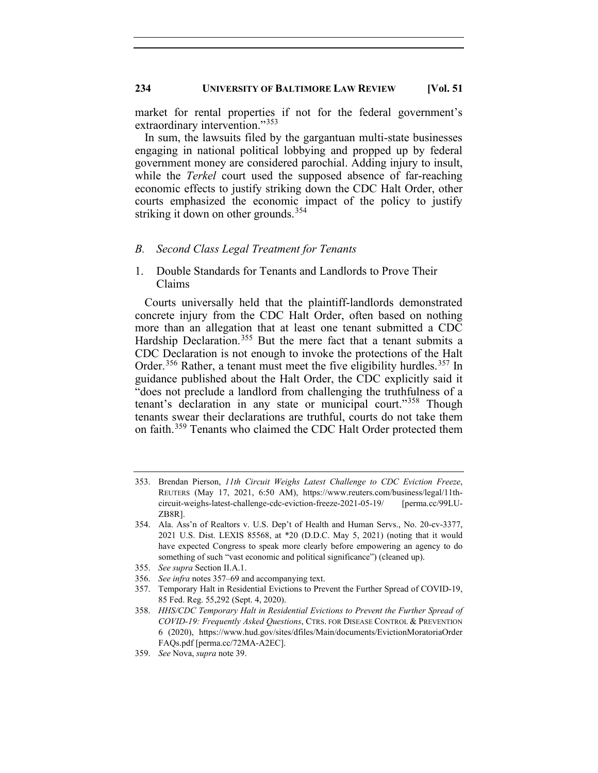market for rental properties if not for the federal government's extraordinary intervention."[353](#page-50-0)

In sum, the lawsuits filed by the gargantuan multi-state businesses engaging in national political lobbying and propped up by federal government money are considered parochial. Adding injury to insult, while the *Terkel* court used the supposed absence of far-reaching economic effects to justify striking down the CDC Halt Order, other courts emphasized the economic impact of the policy to justify striking it down on other grounds.<sup>[354](#page-50-1)</sup>

#### *B. Second Class Legal Treatment for Tenants*

1. Double Standards for Tenants and Landlords to Prove Their Claims

Courts universally held that the plaintiff-landlords demonstrated concrete injury from the CDC Halt Order, often based on nothing more than an allegation that at least one tenant submitted a CDC Hardship Declaration.<sup>[355](#page-50-2)</sup> But the mere fact that a tenant submits a CDC Declaration is not enough to invoke the protections of the Halt Order.<sup>[356](#page-50-3)</sup> Rather, a tenant must meet the five eligibility hurdles.<sup>[357](#page-50-4)</sup> In guidance published about the Halt Order, the CDC explicitly said it "does not preclude a landlord from challenging the truthfulness of a tenant's declaration in any state or municipal court."<sup>[358](#page-50-5)</sup> Though tenants swear their declarations are truthful, courts do not take them on faith.<sup>[359](#page-50-6)</sup> Tenants who claimed the CDC Halt Order protected them

357. Temporary Halt in Residential Evictions to Prevent the Further Spread of COVID-19, 85 Fed. Reg. 55,292 (Sept. 4, 2020).

<span id="page-50-0"></span><sup>353.</sup> Brendan Pierson, *11th Circuit Weighs Latest Challenge to CDC Eviction Freeze*, REUTERS (May 17, 2021, 6:50 AM), https://www.reuters.com/business/legal/11thcircuit-weighs-latest-challenge-cdc-eviction-freeze-2021-05-19/ [perma.cc/99LU-ZB8R].

<span id="page-50-1"></span><sup>354.</sup> Ala. Ass'n of Realtors v. U.S. Dep't of Health and Human Servs., No. 20-cv-3377, 2021 U.S. Dist. LEXIS 85568, at \*20 (D.D.C. May 5, 2021) (noting that it would have expected Congress to speak more clearly before empowering an agency to do something of such "vast economic and political significance") (cleaned up).

<sup>355.</sup> *See supra* Section II.A.1.

<span id="page-50-4"></span><span id="page-50-3"></span><span id="page-50-2"></span><sup>356.</sup> *See infra* notes 357–69 and accompanying text.

<span id="page-50-5"></span><sup>358.</sup> *HHS/CDC Temporary Halt in Residential Evictions to Prevent the Further Spread of COVID-19: Frequently Asked Questions*, CTRS. FOR DISEASE CONTROL & PREVENTION 6 (2020), https://www.hud.gov/sites/dfiles/Main/documents/EvictionMoratoriaOrder FAQs.pdf [perma.cc/72MA-A2EC].

<span id="page-50-6"></span><sup>359.</sup> *See* Nova, *supra* note 39.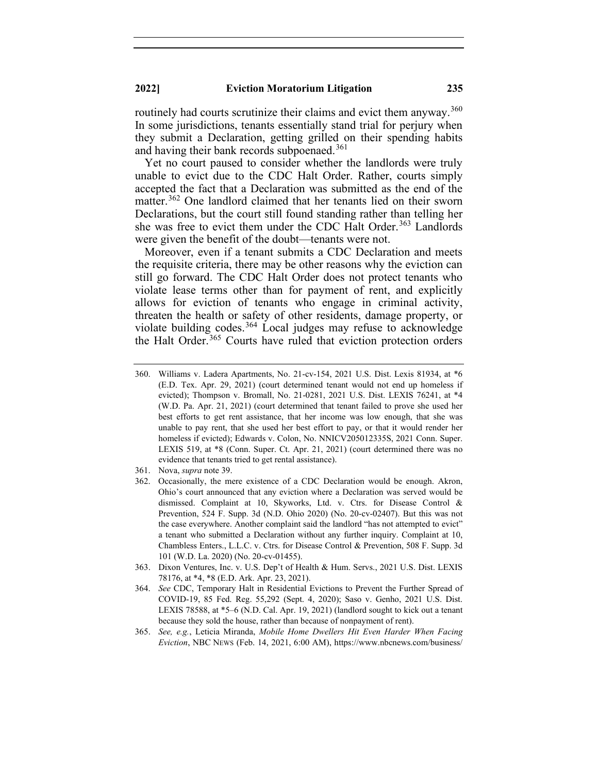routinely had courts scrutinize their claims and evict them anyway.<sup>[360](#page-51-0)</sup> In some jurisdictions, tenants essentially stand trial for perjury when they submit a Declaration, getting grilled on their spending habits and having their bank records subpoenaed.<sup>[361](#page-51-1)</sup>

Yet no court paused to consider whether the landlords were truly unable to evict due to the CDC Halt Order. Rather, courts simply accepted the fact that a Declaration was submitted as the end of the matter.<sup>[362](#page-51-2)</sup> One landlord claimed that her tenants lied on their sworn Declarations, but the court still found standing rather than telling her she was free to evict them under the CDC Halt Order.<sup>[363](#page-51-3)</sup> Landlords were given the benefit of the doubt—tenants were not.

Moreover, even if a tenant submits a CDC Declaration and meets the requisite criteria, there may be other reasons why the eviction can still go forward. The CDC Halt Order does not protect tenants who violate lease terms other than for payment of rent, and explicitly allows for eviction of tenants who engage in criminal activity, threaten the health or safety of other residents, damage property, or violate building codes.<sup>[364](#page-51-4)</sup> Local judges may refuse to acknowledge the Halt Order.<sup>[365](#page-51-5)</sup> Courts have ruled that eviction protection orders

- <span id="page-51-1"></span>361. Nova, *supra* note 39.
- <span id="page-51-2"></span>362. Occasionally, the mere existence of a CDC Declaration would be enough. Akron, Ohio's court announced that any eviction where a Declaration was served would be dismissed. Complaint at 10, Skyworks, Ltd. v. Ctrs. for Disease Control & Prevention, 524 F. Supp. 3d (N.D. Ohio 2020) (No. 20-cv-02407). But this was not the case everywhere. Another complaint said the landlord "has not attempted to evict" a tenant who submitted a Declaration without any further inquiry. Complaint at 10, Chambless Enters., L.L.C. v. Ctrs. for Disease Control & Prevention, 508 F. Supp. 3d 101 (W.D. La. 2020) (No. 20-cv-01455).
- <span id="page-51-3"></span>363. Dixon Ventures, Inc. v. U.S. Dep't of Health & Hum. Servs., 2021 U.S. Dist. LEXIS 78176, at \*4, \*8 (E.D. Ark. Apr. 23, 2021).
- <span id="page-51-4"></span>364. *See* CDC, Temporary Halt in Residential Evictions to Prevent the Further Spread of COVID-19, 85 Fed. Reg. 55,292 (Sept. 4, 2020); Saso v. Genho, 2021 U.S. Dist. LEXIS 78588, at \*5–6 (N.D. Cal. Apr. 19, 2021) (landlord sought to kick out a tenant because they sold the house, rather than because of nonpayment of rent).
- <span id="page-51-5"></span>365. *See, e.g.*, Leticia Miranda, *Mobile Home Dwellers Hit Even Harder When Facing Eviction*, NBC NEWS (Feb. 14, 2021, 6:00 AM), https://www.nbcnews.com/business/

<span id="page-51-0"></span><sup>360.</sup> Williams v. Ladera Apartments, No. 21-cv-154, 2021 U.S. Dist. Lexis 81934, at \*6 (E.D. Tex. Apr. 29, 2021) (court determined tenant would not end up homeless if evicted); Thompson v. Bromall, No. 21-0281, 2021 U.S. Dist. LEXIS 76241, at \*4 (W.D. Pa. Apr. 21, 2021) (court determined that tenant failed to prove she used her best efforts to get rent assistance, that her income was low enough, that she was unable to pay rent, that she used her best effort to pay, or that it would render her homeless if evicted); Edwards v. Colon, No. NNICV205012335S, 2021 Conn. Super. LEXIS 519, at \*8 (Conn. Super. Ct. Apr. 21, 2021) (court determined there was no evidence that tenants tried to get rental assistance).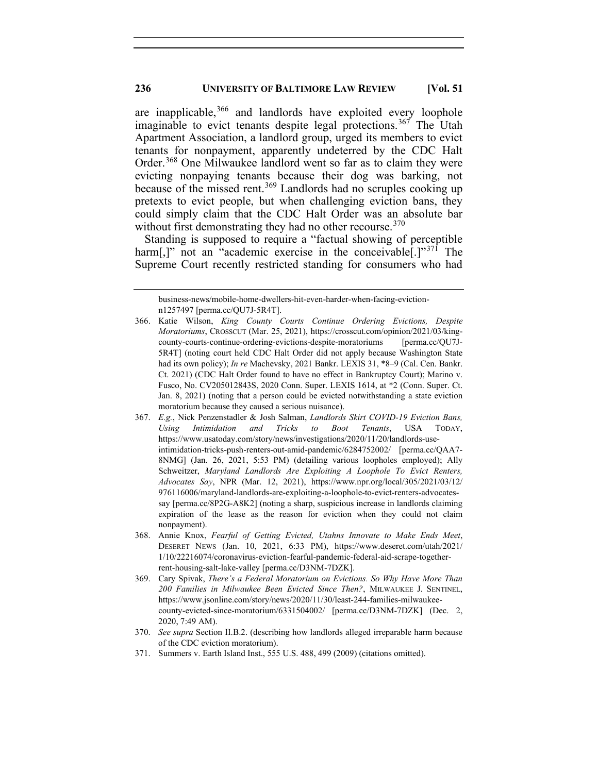are inapplicable,  $366$  and landlords have exploited every loophole imaginable to evict tenants despite legal protections.<sup>[367](#page-52-1)</sup> The Utah Apartment Association, a landlord group, urged its members to evict tenants for nonpayment, apparently undeterred by the CDC Halt Order.<sup>[368](#page-52-2)</sup> One Milwaukee landlord went so far as to claim they were evicting nonpaying tenants because their dog was barking, not because of the missed rent.<sup>[369](#page-52-3)</sup> Landlords had no scruples cooking up pretexts to evict people, but when challenging eviction bans, they could simply claim that the CDC Halt Order was an absolute bar without first demonstrating they had no other recourse.<sup>[370](#page-52-4)</sup>

Standing is supposed to require a "factual showing of perceptible harm[,]" not an "academic exercise in the conceivable[.]" $371$  The Supreme Court recently restricted standing for consumers who had

- <span id="page-52-2"></span>368. Annie Knox, *Fearful of Getting Evicted, Utahns Innovate to Make Ends Meet*, DESERET NEWS (Jan. 10, 2021, 6:33 PM), https://www.deseret.com/utah/2021/ 1/10/22216074/coronavirus-eviction-fearful-pandemic-federal-aid-scrape-togetherrent-housing-salt-lake-valley [perma.cc/D3NM-7DZK].
- <span id="page-52-3"></span>369. Cary Spivak, *There's a Federal Moratorium on Evictions. So Why Have More Than 200 Families in Milwaukee Been Evicted Since Then?*, MILWAUKEE J. SENTINEL, https://www.jsonline.com/story/news/2020/11/30/least-244-families-milwaukeecounty-evicted-since-moratorium/6331504002/ [perma.cc/D3NM-7DZK] (Dec. 2, 2020, 7:49 AM).
- <span id="page-52-4"></span>370. *See supra* Section II.B.2. (describing how landlords alleged irreparable harm because of the CDC eviction moratorium).
- <span id="page-52-5"></span>371. Summers v. Earth Island Inst., 555 U.S. 488, 499 (2009) (citations omitted).

business-news/mobile-home-dwellers-hit-even-harder-when-facing-evictionn1257497 [perma.cc/QU7J-5R4T].

<span id="page-52-0"></span><sup>366.</sup> Katie Wilson, *King County Courts Continue Ordering Evictions, Despite Moratoriums*, CROSSCUT (Mar. 25, 2021), https://crosscut.com/opinion/2021/03/kingcounty-courts-continue-ordering-evictions-despite-moratoriums [perma.cc/QU7J-5R4T] (noting court held CDC Halt Order did not apply because Washington State had its own policy); *In re* Machevsky, 2021 Bankr. LEXIS 31, \*8–9 (Cal. Cen. Bankr. Ct. 2021) (CDC Halt Order found to have no effect in Bankruptcy Court); Marino v. Fusco, No. CV205012843S, 2020 Conn. Super. LEXIS 1614, at \*2 (Conn. Super. Ct. Jan. 8, 2021) (noting that a person could be evicted notwithstanding a state eviction moratorium because they caused a serious nuisance).

<span id="page-52-1"></span><sup>367.</sup> *E.g.*, Nick Penzenstadler & Josh Salman, *Landlords Skirt COVID-19 Eviction Bans, Using Intimidation and Tricks to Boot Tenants*, USA TODAY, https://www.usatoday.com/story/news/investigations/2020/11/20/landlords-useintimidation-tricks-push-renters-out-amid-pandemic/6284752002/ [perma.cc/QAA7- 8NMG] (Jan. 26, 2021, 5:53 PM) (detailing various loopholes employed); Ally Schweitzer, *Maryland Landlords Are Exploiting A Loophole To Evict Renters, Advocates Say*, NPR (Mar. 12, 2021), https://www.npr.org/local/305/2021/03/12/ 976116006/maryland-landlords-are-exploiting-a-loophole-to-evict-renters-advocatessay [perma.cc/8P2G-A8K2] (noting a sharp, suspicious increase in landlords claiming expiration of the lease as the reason for eviction when they could not claim nonpayment).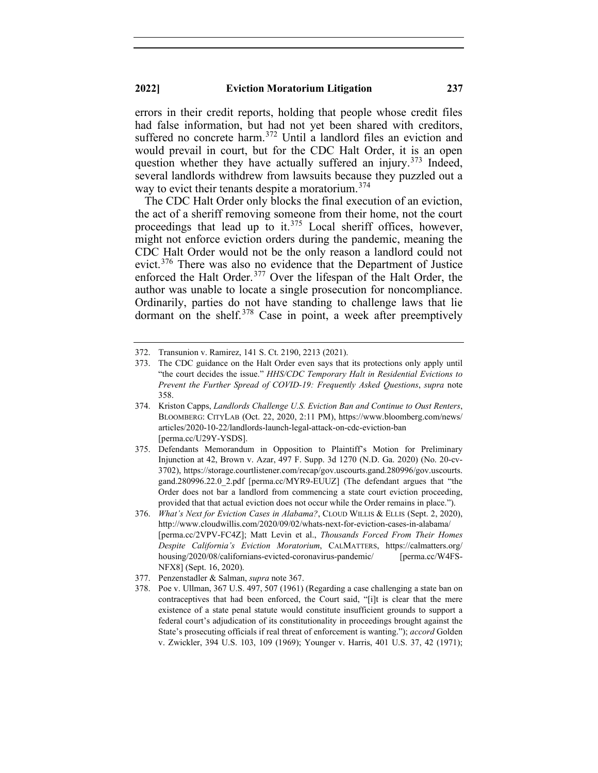errors in their credit reports, holding that people whose credit files had false information, but had not yet been shared with creditors, suffered no concrete harm.<sup>[372](#page-53-0)</sup> Until a landlord files an eviction and would prevail in court, but for the CDC Halt Order, it is an open question whether they have actually suffered an injury.<sup>[373](#page-53-1)</sup> Indeed, several landlords withdrew from lawsuits because they puzzled out a way to evict their tenants despite a moratorium.<sup>[374](#page-53-2)</sup>

The CDC Halt Order only blocks the final execution of an eviction, the act of a sheriff removing someone from their home, not the court proceedings that lead up to it.<sup>[375](#page-53-3)</sup> Local sheriff offices, however, might not enforce eviction orders during the pandemic, meaning the CDC Halt Order would not be the only reason a landlord could not evict.<sup>[376](#page-53-4)</sup> There was also no evidence that the Department of Justice enforced the Halt Order.<sup>[377](#page-53-5)</sup> Over the lifespan of the Halt Order, the author was unable to locate a single prosecution for noncompliance. Ordinarily, parties do not have standing to challenge laws that lie dormant on the shelf.<sup>[378](#page-53-6)</sup> Case in point, a week after preemptively

<span id="page-53-0"></span><sup>372.</sup> Transunion v. Ramirez, 141 S. Ct. 2190, 2213 (2021).

<span id="page-53-1"></span><sup>373.</sup> The CDC guidance on the Halt Order even says that its protections only apply until "the court decides the issue." *HHS/CDC Temporary Halt in Residential Evictions to Prevent the Further Spread of COVID-19: Frequently Asked Questions*, *supra* note 358.

<span id="page-53-2"></span><sup>374.</sup> Kriston Capps, *Landlords Challenge U.S. Eviction Ban and Continue to Oust Renters*, BLOOMBERG: CITYLAB (Oct. 22, 2020, 2:11 PM), https://www.bloomberg.com/news/ articles/2020-10-22/landlords-launch-legal-attack-on-cdc-eviction-ban [perma.cc/U29Y-YSDS].

<span id="page-53-3"></span><sup>375.</sup> Defendants Memorandum in Opposition to Plaintiff's Motion for Preliminary Injunction at 42, Brown v. Azar, 497 F. Supp. 3d 1270 (N.D. Ga. 2020) (No. 20-cv-3702), https://storage.courtlistener.com/recap/gov.uscourts.gand.280996/gov.uscourts. gand.280996.22.0\_2.pdf [perma.cc/MYR9-EUUZ] (The defendant argues that "the Order does not bar a landlord from commencing a state court eviction proceeding, provided that that actual eviction does not occur while the Order remains in place.").

<span id="page-53-4"></span><sup>376.</sup> *What's Next for Eviction Cases in Alabama?*, CLOUD WILLIS & ELLIS (Sept. 2, 2020), http://www.cloudwillis.com/2020/09/02/whats-next-for-eviction-cases-in-alabama/ [perma.cc/2VPV-FC4Z]; Matt Levin et al., *Thousands Forced From Their Homes Despite California's Eviction Moratorium*, CALMATTERS, https://calmatters.org/ housing/2020/08/californians-evicted-coronavirus-pandemic/ [perma.cc/W4FS-NFX8] (Sept. 16, 2020).

<span id="page-53-5"></span><sup>377.</sup> Penzenstadler & Salman, *supra* note 367.

<span id="page-53-6"></span><sup>378.</sup> Poe v. Ullman, 367 U.S. 497, 507 (1961) (Regarding a case challenging a state ban on contraceptives that had been enforced, the Court said, "[i]t is clear that the mere existence of a state penal statute would constitute insufficient grounds to support a federal court's adjudication of its constitutionality in proceedings brought against the State's prosecuting officials if real threat of enforcement is wanting."); *accord* Golden v. Zwickler, 394 U.S. 103, 109 (1969); Younger v. Harris, 401 U.S. 37, 42 (1971);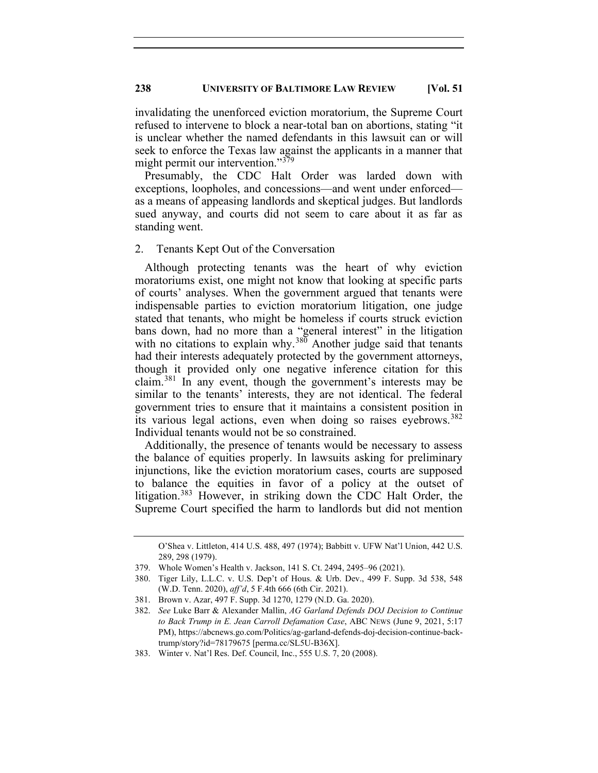invalidating the unenforced eviction moratorium, the Supreme Court refused to intervene to block a near-total ban on abortions, stating "it is unclear whether the named defendants in this lawsuit can or will seek to enforce the Texas law against the applicants in a manner that might permit our intervention."<sup>[379](#page-54-0)</sup>

Presumably, the CDC Halt Order was larded down with exceptions, loopholes, and concessions—and went under enforced as a means of appeasing landlords and skeptical judges. But landlords sued anyway, and courts did not seem to care about it as far as standing went.

#### 2. Tenants Kept Out of the Conversation

Although protecting tenants was the heart of why eviction moratoriums exist, one might not know that looking at specific parts of courts' analyses. When the government argued that tenants were indispensable parties to eviction moratorium litigation, one judge stated that tenants, who might be homeless if courts struck eviction bans down, had no more than a "general interest" in the litigation with no citations to explain why.<sup>[380](#page-54-1)</sup> Another judge said that tenants had their interests adequately protected by the government attorneys, though it provided only one negative inference citation for this claim.[381](#page-54-2) In any event, though the government's interests may be similar to the tenants' interests, they are not identical. The federal government tries to ensure that it maintains a consistent position in its various legal actions, even when doing so raises eyebrows.<sup>[382](#page-54-3)</sup> Individual tenants would not be so constrained.

Additionally, the presence of tenants would be necessary to assess the balance of equities properly. In lawsuits asking for preliminary injunctions, like the eviction moratorium cases, courts are supposed to balance the equities in favor of a policy at the outset of litigation.[383](#page-54-4) However, in striking down the CDC Halt Order, the Supreme Court specified the harm to landlords but did not mention

O'Shea v. Littleton, 414 U.S. 488, 497 (1974); Babbitt v. UFW Nat'l Union, 442 U.S. 289, 298 (1979).

<span id="page-54-0"></span><sup>379.</sup> Whole Women's Health v. Jackson, 141 S. Ct. 2494, 2495–96 (2021).

<span id="page-54-1"></span><sup>380.</sup> Tiger Lily, L.L.C. v. U.S. Dep't of Hous. & Urb. Dev., 499 F. Supp. 3d 538, 548 (W.D. Tenn. 2020), *aff'd*, 5 F.4th 666 (6th Cir. 2021).

<span id="page-54-2"></span><sup>381.</sup> Brown v. Azar, 497 F. Supp. 3d 1270, 1279 (N.D. Ga. 2020).

<span id="page-54-3"></span><sup>382.</sup> *See* Luke Barr & Alexander Mallin, *AG Garland Defends DOJ Decision to Continue to Back Trump in E. Jean Carroll Defamation Case*, ABC NEWS (June 9, 2021, 5:17 PM), https://abcnews.go.com/Politics/ag-garland-defends-doj-decision-continue-backtrump/story?id=78179675 [perma.cc/SL5U-B36X].

<span id="page-54-4"></span><sup>383.</sup> Winter v. Nat'l Res. Def. Council, Inc., 555 U.S. 7, 20 (2008).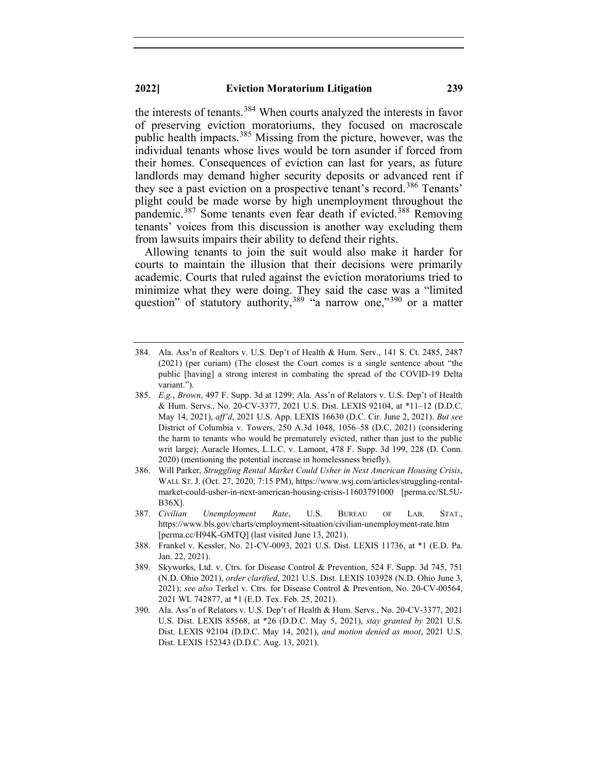the interests of tenants.<sup>[384](#page-55-0)</sup> When courts analyzed the interests in favor of preserving eviction moratoriums, they focused on macroscale public health impacts.[385](#page-55-1) Missing from the picture, however, was the individual tenants whose lives would be torn asunder if forced from their homes. Consequences of eviction can last for years, as future landlords may demand higher security deposits or advanced rent if they see a past eviction on a prospective tenant's record. [386](#page-55-2) Tenants' plight could be made worse by high unemployment throughout the pandemic.<sup>[387](#page-55-3)</sup> Some tenants even fear death if evicted.<sup>[388](#page-55-4)</sup> Removing tenants' voices from this discussion is another way excluding them from lawsuits impairs their ability to defend their rights.

Allowing tenants to join the suit would also make it harder for courts to maintain the illusion that their decisions were primarily academic. Courts that ruled against the eviction moratoriums tried to minimize what they were doing. They said the case was a "limited question" of statutory authority,  $389$  "a narrow one,"  $390$  or a matter

- <span id="page-55-1"></span>385. *E.g.*, *Brown*, 497 F. Supp. 3d at 1299; Ala. Ass'n of Relators v. U.S. Dep't of Health & Hum. Servs., No. 20-CV-3377, 2021 U.S. Dist. LEXIS 92104, at \*11–12 (D.D.C. May 14, 2021), *aff'd*, 2021 U.S. App. LEXIS 16630 (D.C. Cir. June 2, 2021). *But see* District of Columbia v. Towers, 250 A.3d 1048, 1056–58 (D.C. 2021) (considering the harm to tenants who would be prematurely evicted, rather than just to the public writ large); Auracle Homes, L.L.C. v. Lamont, 478 F. Supp. 3d 199, 228 (D. Conn. 2020) (mentioning the potential increase in homelessness briefly).
- <span id="page-55-2"></span>386. Will Parker, *Struggling Rental Market Could Usher in Next American Housing Crisis*, WALL ST. J. (Oct. 27, 2020, 7:15 PM), https://www.wsj.com/articles/struggling-rentalmarket-could-usher-in-next-american-housing-crisis-11603791000 [perma.cc/SL5U-B36X].
- <span id="page-55-3"></span>387. *Civilian Unemployment Rate*, U.S. BUREAU OF LAB. STAT., https://www.bls.gov/charts/employment-situation/civilian-unemployment-rate.htm [perma.cc/H94K-GMTQ] (last visited June 13, 2021).
- <span id="page-55-4"></span>388. Frankel v. Kessler, No. 21-CV-0093, 2021 U.S. Dist. LEXIS 11736, at \*1 (E.D. Pa. Jan. 22, 2021).
- <span id="page-55-5"></span>389. Skyworks, Ltd. v. Ctrs. for Disease Control & Prevention, 524 F. Supp. 3d 745, 751 (N.D. Ohio 2021), *order clarified*, 2021 U.S. Dist. LEXIS 103928 (N.D. Ohio June 3, 2021); *see also* Terkel v. Ctrs. for Disease Control & Prevention, No. 20-CV-00564, 2021 WL 742877, at \*1 (E.D. Tex. Feb. 25, 2021).
- <span id="page-55-6"></span>390. Ala. Ass'n of Relators v. U.S. Dep't of Health & Hum. Servs., No. 20-CV-3377, 2021 U.S. Dist. LEXIS 85568, at \*26 (D.D.C. May 5, 2021), *stay granted by* 2021 U.S. Dist. LEXIS 92104 (D.D.C. May 14, 2021), *and motion denied as moot*, 2021 U.S. Dist. LEXIS 152343 (D.D.C. Aug. 13, 2021).

<span id="page-55-0"></span><sup>384.</sup> Ala. Ass'n of Realtors v. U.S. Dep't of Health & Hum. Serv., 141 S. Ct. 2485, 2487 (2021) (per curiam) (The closest the Court comes is a single sentence about "the public [having] a strong interest in combating the spread of the COVID-19 Delta variant.").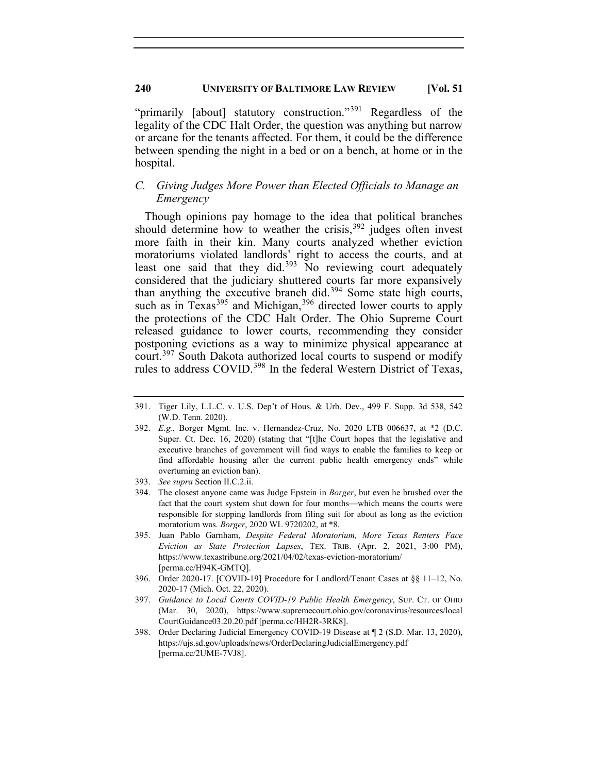"primarily [about] statutory construction."<sup>[391](#page-56-0)</sup> Regardless of the legality of the CDC Halt Order, the question was anything but narrow or arcane for the tenants affected. For them, it could be the difference between spending the night in a bed or on a bench, at home or in the hospital.

## *C. Giving Judges More Power than Elected Officials to Manage an Emergency*

Though opinions pay homage to the idea that political branches should determine how to weather the crisis,  $392$  judges often invest more faith in their kin. Many courts analyzed whether eviction moratoriums violated landlords' right to access the courts, and at least one said that they did.<sup>[393](#page-56-2)</sup> No reviewing court adequately considered that the judiciary shuttered courts far more expansively than anything the executive branch did.[394](#page-56-3) Some state high courts, such as in Texas<sup>[395](#page-56-4)</sup> and Michigan,<sup>[396](#page-56-5)</sup> directed lower courts to apply the protections of the CDC Halt Order. The Ohio Supreme Court released guidance to lower courts, recommending they consider postponing evictions as a way to minimize physical appearance at court.<sup>[397](#page-56-6)</sup> South Dakota authorized local courts to suspend or modify rules to address COVID.<sup>[398](#page-56-7)</sup> In the federal Western District of Texas,

<span id="page-56-0"></span><sup>391.</sup> Tiger Lily, L.L.C. v. U.S. Dep't of Hous. & Urb. Dev., 499 F. Supp. 3d 538, 542 (W.D. Tenn. 2020).

<span id="page-56-1"></span><sup>392.</sup> *E.g.*, Borger Mgmt. Inc. v. Hernandez-Cruz, No. 2020 LTB 006637, at \*2 (D.C. Super. Ct. Dec. 16, 2020) (stating that "[t]he Court hopes that the legislative and executive branches of government will find ways to enable the families to keep or find affordable housing after the current public health emergency ends" while overturning an eviction ban).

<span id="page-56-2"></span><sup>393.</sup> *See supra* Section II.C.2.ii.

<span id="page-56-3"></span><sup>394.</sup> The closest anyone came was Judge Epstein in *Borger*, but even he brushed over the fact that the court system shut down for four months—which means the courts were responsible for stopping landlords from filing suit for about as long as the eviction moratorium was. *Borger*, 2020 WL 9720202, at \*8.

<span id="page-56-4"></span><sup>395.</sup> Juan Pablo Garnham, *Despite Federal Moratorium, More Texas Renters Face Eviction as State Protection Lapses*, TEX. TRIB. (Apr. 2, 2021, 3:00 PM), https://www.texastribune.org/2021/04/02/texas-eviction-moratorium/ [perma.cc/H94K-GMTQ].

<span id="page-56-5"></span><sup>396.</sup> Order 2020-17. [COVID-19] Procedure for Landlord/Tenant Cases at §§ 11–12, No. 2020-17 (Mich. Oct. 22, 2020).

<span id="page-56-6"></span><sup>397.</sup> *Guidance to Local Courts COVID-19 Public Health Emergency*, SUP. CT. OF OHIO (Mar. 30, 2020), https://www.supremecourt.ohio.gov/coronavirus/resources/local CourtGuidance03.20.20.pdf [perma.cc/HH2R-3RK8].

<span id="page-56-7"></span><sup>398.</sup> Order Declaring Judicial Emergency COVID-19 Disease at ¶ 2 (S.D. Mar. 13, 2020), https://ujs.sd.gov/uploads/news/OrderDeclaringJudicialEmergency.pdf [perma.cc/2UME-7VJ8].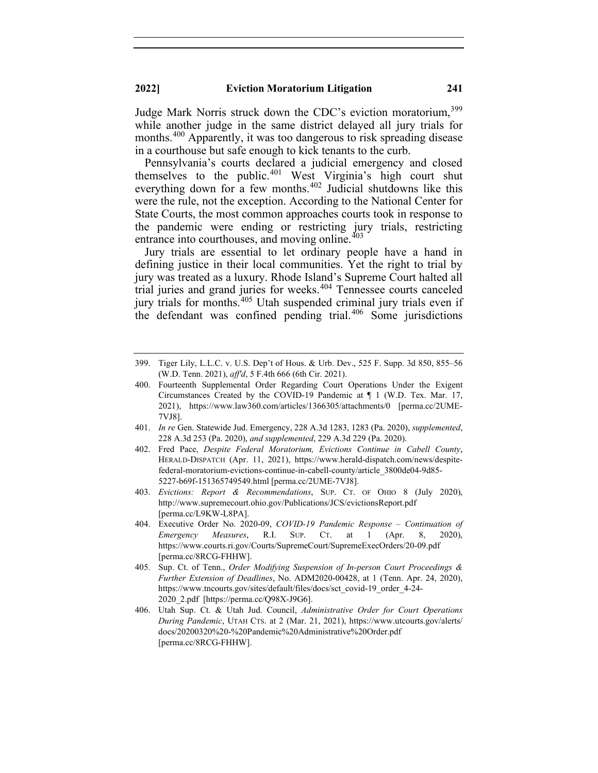Judge Mark Norris struck down the CDC's eviction moratorium, [399](#page-57-0) while another judge in the same district delayed all jury trials for months.<sup>[400](#page-57-1)</sup> Apparently, it was too dangerous to risk spreading disease in a courthouse but safe enough to kick tenants to the curb.

Pennsylvania's courts declared a judicial emergency and closed themselves to the public.<sup>[401](#page-57-2)</sup> West Virginia's high court shut everything down for a few months.<sup>[402](#page-57-3)</sup> Judicial shutdowns like this were the rule, not the exception. According to the National Center for State Courts, the most common approaches courts took in response to the pandemic were ending or restricting jury trials, restricting entrance into courthouses, and moving online.<sup>[403](#page-57-4)</sup>

Jury trials are essential to let ordinary people have a hand in defining justice in their local communities. Yet the right to trial by jury was treated as a luxury. Rhode Island's Supreme Court halted all trial juries and grand juries for weeks.<sup>[404](#page-57-5)</sup> Tennessee courts canceled jury trials for months.<sup>[405](#page-57-6)</sup> Utah suspended criminal jury trials even if the defendant was confined pending trial. $406$  Some jurisdictions

- <span id="page-57-2"></span>401. *In re* Gen. Statewide Jud. Emergency, 228 A.3d 1283, 1283 (Pa. 2020), *supplemented*, 228 A.3d 253 (Pa. 2020), *and supplemented*, 229 A.3d 229 (Pa. 2020).
- <span id="page-57-3"></span>402. Fred Pace, *Despite Federal Moratorium, Evictions Continue in Cabell County*, HERALD-DISPATCH (Apr. 11, 2021), https://www.herald-dispatch.com/news/despitefederal-moratorium-evictions-continue-in-cabell-county/article\_3800de04-9d85- 5227-b69f-151365749549.html [perma.cc/2UME-7VJ8].
- <span id="page-57-4"></span>403. *Evictions: Report & Recommendations*, SUP. CT. OF OHIO 8 (July 2020), http://www.supremecourt.ohio.gov/Publications/JCS/evictionsReport.pdf [perma.cc/L9KW-L8PA].
- <span id="page-57-5"></span>404. Executive Order No. 2020-09, *COVID-19 Pandemic Response – Continuation of Emergency Measures*, R.I. SUP. CT. at 1 (Apr. 8, 2020), https://www.courts.ri.gov/Courts/SupremeCourt/SupremeExecOrders/20-09.pdf [perma.cc/8RCG-FHHW].
- <span id="page-57-6"></span>405. Sup. Ct. of Tenn., *Order Modifying Suspension of In-person Court Proceedings & Further Extension of Deadlines*, No. ADM2020-00428, at 1 (Tenn. Apr. 24, 2020), https://www.tncourts.gov/sites/default/files/docs/sct\_covid-19\_order\_4-24- 2020\_2.pdf [https://perma.cc/Q98X-J9G6].
- <span id="page-57-7"></span>406. Utah Sup. Ct. & Utah Jud. Council, *Administrative Order for Court Operations During Pandemic*, UTAH CTS. at 2 (Mar. 21, 2021), https://www.utcourts.gov/alerts/ docs/20200320%20-%20Pandemic%20Administrative%20Order.pdf [perma.cc/8RCG-FHHW].

<span id="page-57-0"></span><sup>399.</sup> Tiger Lily, L.L.C. v. U.S. Dep't of Hous. & Urb. Dev., 525 F. Supp. 3d 850, 855–56 (W.D. Tenn. 2021), *aff'd*, 5 F.4th 666 (6th Cir. 2021).

<span id="page-57-1"></span><sup>400.</sup> Fourteenth Supplemental Order Regarding Court Operations Under the Exigent Circumstances Created by the COVID-19 Pandemic at ¶ 1 (W.D. Tex. Mar. 17, 2021), https://www.law360.com/articles/1366305/attachments/0 [perma.cc/2UME-7VJ8].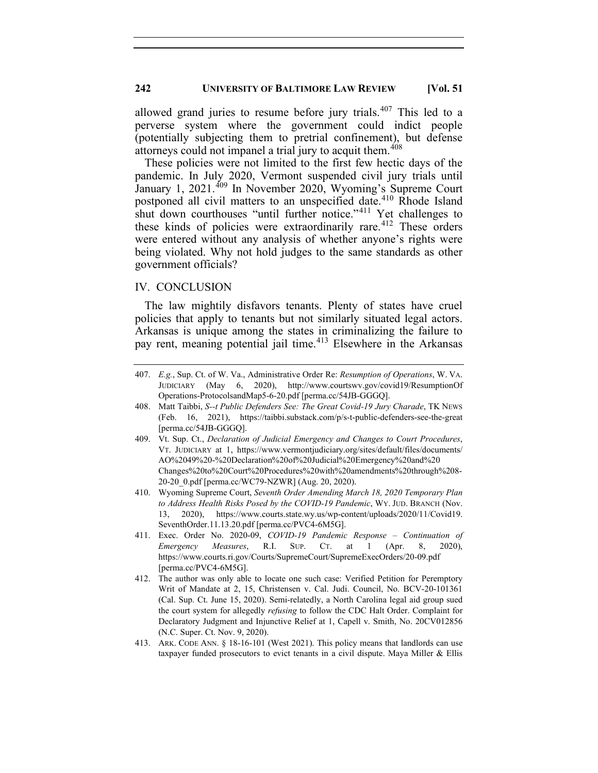allowed grand juries to resume before jury trials. $407$  This led to a perverse system where the government could indict people (potentially subjecting them to pretrial confinement), but defense attorneys could not impanel a trial jury to acquit them.<sup>[408](#page-58-1)</sup>

These policies were not limited to the first few hectic days of the pandemic. In July 2020, Vermont suspended civil jury trials until January 1, 2021.<sup>[409](#page-58-2)</sup> In November 2020, Wyoming's Supreme Court postponed all civil matters to an unspecified date.[410](#page-58-3) Rhode Island shut down courthouses "until further notice."<sup>[411](#page-58-4)</sup> Yet challenges to these kinds of policies were extraordinarily rare.<sup>[412](#page-58-5)</sup> These orders were entered without any analysis of whether anyone's rights were being violated. Why not hold judges to the same standards as other government officials?

## IV. CONCLUSION

The law mightily disfavors tenants. Plenty of states have cruel policies that apply to tenants but not similarly situated legal actors. Arkansas is unique among the states in criminalizing the failure to pay rent, meaning potential jail time.<sup>[413](#page-58-6)</sup> Elsewhere in the Arkansas

- <span id="page-58-3"></span>410. Wyoming Supreme Court, *Seventh Order Amending March 18, 2020 Temporary Plan to Address Health Risks Posed by the COVID-19 Pandemic*, WY. JUD. BRANCH (Nov. 13, 2020), https://www.courts.state.wy.us/wp-content/uploads/2020/11/Covid19. SeventhOrder.11.13.20.pdf [perma.cc/PVC4-6M5G].
- <span id="page-58-4"></span>411. Exec. Order No. 2020-09, *COVID-19 Pandemic Response – Continuation of Emergency Measures*, R.I. SUP. CT. at 1 (Apr. 8, 2020), https://www.courts.ri.gov/Courts/SupremeCourt/SupremeExecOrders/20-09.pdf [perma.cc/PVC4-6M5G].
- <span id="page-58-5"></span>412. The author was only able to locate one such case: Verified Petition for Peremptory Writ of Mandate at 2, 15, Christensen v. Cal. Judi. Council, No. BCV-20-101361 (Cal. Sup. Ct. June 15, 2020). Semi-relatedly, a North Carolina legal aid group sued the court system for allegedly *refusing* to follow the CDC Halt Order. Complaint for Declaratory Judgment and Injunctive Relief at 1, Capell v. Smith, No. 20CV012856 (N.C. Super. Ct. Nov. 9, 2020).
- <span id="page-58-6"></span>413. ARK. CODE ANN. § 18-16-101 (West 2021). This policy means that landlords can use taxpayer funded prosecutors to evict tenants in a civil dispute. Maya Miller & Ellis

<span id="page-58-0"></span><sup>407.</sup> *E.g.*, Sup. Ct. of W. Va., Administrative Order Re: *Resumption of Operations*, W. VA. JUDICIARY (May 6, 2020), http://www.courtswv.gov/covid19/ResumptionOf Operations-ProtocolsandMap5-6-20.pdf [perma.cc/54JB-GGGQ].

<span id="page-58-1"></span><sup>408.</sup> Matt Taibbi, *S--t Public Defenders See: The Great Covid-19 Jury Charade*, TK NEWS (Feb. 16, 2021), https://taibbi.substack.com/p/s-t-public-defenders-see-the-great [perma.cc/54JB-GGGQ].

<span id="page-58-2"></span><sup>409.</sup> Vt. Sup. Ct., *Declaration of Judicial Emergency and Changes to Court Procedures*, VT. JUDICIARY at 1, https://www.vermontjudiciary.org/sites/default/files/documents/ AO%2049%20-%20Declaration%20of%20Judicial%20Emergency%20and%20 Changes%20to%20Court%20Procedures%20with%20amendments%20through%208- 20-20\_0.pdf [perma.cc/WC79-NZWR] (Aug. 20, 2020).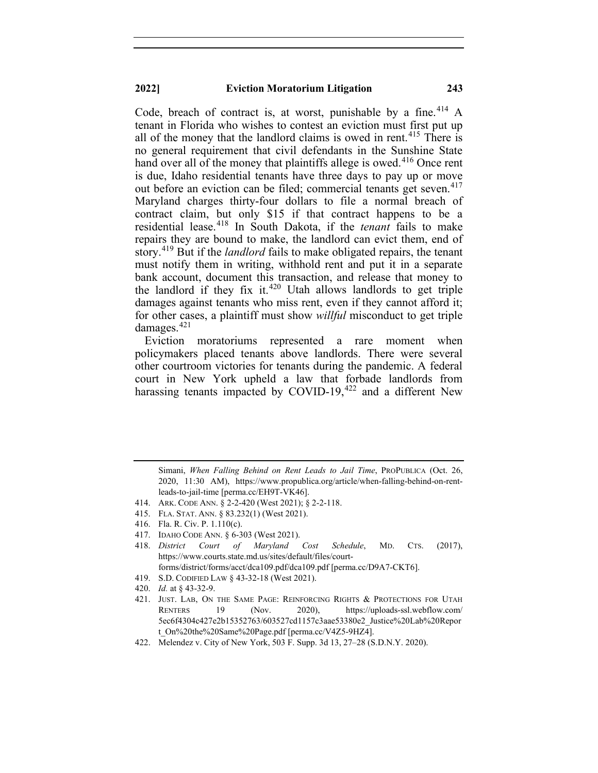Code, breach of contract is, at worst, punishable by a fine.<sup>[414](#page-59-0)</sup> A tenant in Florida who wishes to contest an eviction must first put up all of the money that the landlord claims is owed in rent. [415](#page-59-1) There is no general requirement that civil defendants in the Sunshine State hand over all of the money that plaintiffs allege is owed. [416](#page-59-2) Once rent is due, Idaho residential tenants have three days to pay up or move out before an eviction can be filed; commercial tenants get seven. [417](#page-59-3) Maryland charges thirty-four dollars to file a normal breach of contract claim, but only \$15 if that contract happens to be a residential lease.[418](#page-59-4) In South Dakota, if the *tenant* fails to make repairs they are bound to make, the landlord can evict them, end of story.[419](#page-59-5) But if the *landlord* fails to make obligated repairs, the tenant must notify them in writing, withhold rent and put it in a separate bank account, document this transaction, and release that money to the landlord if they fix it.<sup>[420](#page-59-6)</sup> Utah allows landlords to get triple damages against tenants who miss rent, even if they cannot afford it; for other cases, a plaintiff must show *willful* misconduct to get triple damages.<sup>[421](#page-59-7)</sup>

Eviction moratoriums represented a rare moment when policymakers placed tenants above landlords. There were several other courtroom victories for tenants during the pandemic. A federal court in New York upheld a law that forbade landlords from harassing tenants impacted by COVID-19,<sup>[422](#page-59-8)</sup> and a different New

<span id="page-59-1"></span>415. FLA. STAT. ANN. § 83.232(1) (West 2021).

Simani, *When Falling Behind on Rent Leads to Jail Time*, PROPUBLICA (Oct. 26, 2020, 11:30 AM), https://www.propublica.org/article/when-falling-behind-on-rentleads-to-jail-time [perma.cc/EH9T-VK46].

<span id="page-59-0"></span><sup>414.</sup> ARK. CODE ANN. § 2-2-420 (West 2021); § 2-2-118.

<span id="page-59-2"></span><sup>416.</sup> Fla. R. Civ. P. 1.110(c).

<sup>417.</sup> IDAHO CODE ANN. § 6-303 (West 2021).

<span id="page-59-4"></span><span id="page-59-3"></span><sup>418.</sup> *District Court of Maryland Cost Schedule*, MD. CTS. (2017), https://www.courts.state.md.us/sites/default/files/courtforms/district/forms/acct/dca109.pdf/dca109.pdf [perma.cc/D9A7-CKT6].

<span id="page-59-5"></span><sup>419.</sup> S.D. CODIFIED LAW § 43-32-18 (West 2021).

<sup>420.</sup> *Id.* at § 43-32-9.

<span id="page-59-7"></span><span id="page-59-6"></span><sup>421.</sup> JUST. LAB, ON THE SAME PAGE: REINFORCING RIGHTS & PROTECTIONS FOR UTAH RENTERS 19 (Nov. 2020), https://uploads-ssl.webflow.com/ 5ec6f4304c427e2b15352763/603527cd1157c3aae53380e2\_Justice%20Lab%20Repor t\_On%20the%20Same%20Page.pdf [perma.cc/V4Z5-9HZ4].

<span id="page-59-8"></span><sup>422.</sup> Melendez v. City of New York, 503 F. Supp. 3d 13, 27–28 (S.D.N.Y. 2020).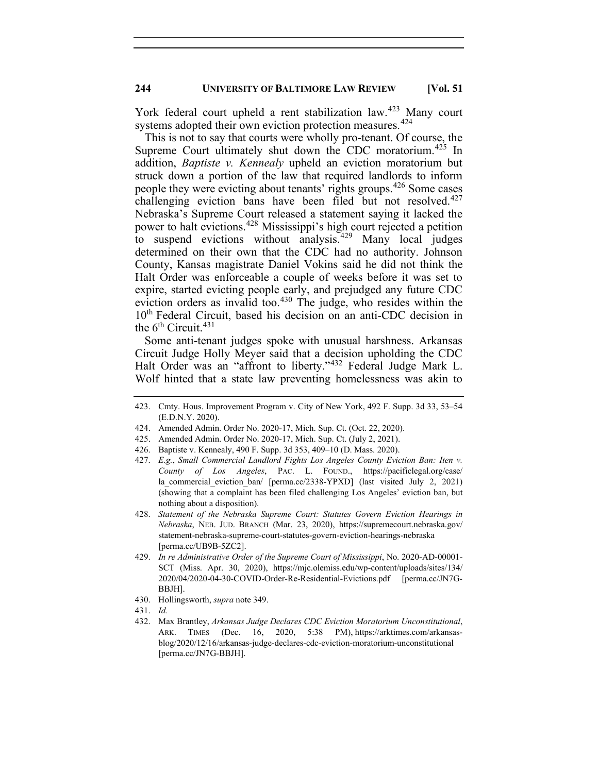York federal court upheld a rent stabilization law.<sup>[423](#page-60-0)</sup> Many court systems adopted their own eviction protection measures.<sup>[424](#page-60-1)</sup>

This is not to say that courts were wholly pro-tenant. Of course, the Supreme Court ultimately shut down the CDC moratorium.<sup>[425](#page-60-2)</sup> In addition, *Baptiste v. Kennealy* upheld an eviction moratorium but struck down a portion of the law that required landlords to inform people they were evicting about tenants' rights groups.<sup>[426](#page-60-3)</sup> Some cases challenging eviction bans have been filed but not resolved.<sup>[427](#page-60-4)</sup> Nebraska's Supreme Court released a statement saying it lacked the power to halt evictions.[428](#page-60-5) Mississippi's high court rejected a petition to suspend evictions without analysis.[429](#page-60-6) Many local judges determined on their own that the CDC had no authority. Johnson County, Kansas magistrate Daniel Vokins said he did not think the Halt Order was enforceable a couple of weeks before it was set to expire, started evicting people early, and prejudged any future CDC eviction orders as invalid too.<sup>[430](#page-60-7)</sup> The judge, who resides within the 10<sup>th</sup> Federal Circuit, based his decision on an anti-CDC decision in the  $6<sup>th</sup>$  Circuit.<sup>[431](#page-60-8)</sup>

Some anti-tenant judges spoke with unusual harshness. Arkansas Circuit Judge Holly Meyer said that a decision upholding the CDC Halt Order was an "affront to liberty."[432](#page-60-9) Federal Judge Mark L. Wolf hinted that a state law preventing homelessness was akin to

- <span id="page-60-3"></span>426. Baptiste v. Kennealy, 490 F. Supp. 3d 353, 409–10 (D. Mass. 2020).
- <span id="page-60-4"></span>427. *E.g.*, *Small Commercial Landlord Fights Los Angeles County Eviction Ban: Iten v. County of Los Angeles*, PAC. L. FOUND., https://pacificlegal.org/case/ la commercial eviction ban/ [perma.cc/2338-YPXD] (last visited July 2, 2021) (showing that a complaint has been filed challenging Los Angeles' eviction ban, but nothing about a disposition).
- <span id="page-60-5"></span>428. *Statement of the Nebraska Supreme Court: Statutes Govern Eviction Hearings in Nebraska*, NEB. JUD. BRANCH (Mar. 23, 2020), https://supremecourt.nebraska.gov/ statement-nebraska-supreme-court-statutes-govern-eviction-hearings-nebraska [perma.cc/UB9B-5ZC2].
- <span id="page-60-6"></span>429. *In re Administrative Order of the Supreme Court of Mississippi*, No. 2020-AD-00001- SCT (Miss. Apr. 30, 2020), https://mjc.olemiss.edu/wp-content/uploads/sites/134/ 2020/04/2020-04-30-COVID-Order-Re-Residential-Evictions.pdf [perma.cc/JN7G-BBJH].
- 430. Hollingsworth, *supra* note 349.
- <span id="page-60-9"></span><span id="page-60-8"></span><span id="page-60-7"></span>431. *Id.*

<span id="page-60-0"></span><sup>423.</sup> Cmty. Hous. Improvement Program v. City of New York, 492 F. Supp. 3d 33, 53–54 (E.D.N.Y. 2020).

<span id="page-60-1"></span><sup>424.</sup> Amended Admin. Order No. 2020-17, Mich. Sup. Ct. (Oct. 22, 2020).

<span id="page-60-2"></span><sup>425.</sup> Amended Admin. Order No. 2020-17, Mich. Sup. Ct. (July 2, 2021).

<sup>432.</sup> Max Brantley, *Arkansas Judge Declares CDC Eviction Moratorium Unconstitutional*, ARK. TIMES (Dec. 16, 2020, 5:38 PM), https://arktimes.com/arkansasblog/2020/12/16/arkansas-judge-declares-cdc-eviction-moratorium-unconstitutional [perma.cc/JN7G-BBJH].